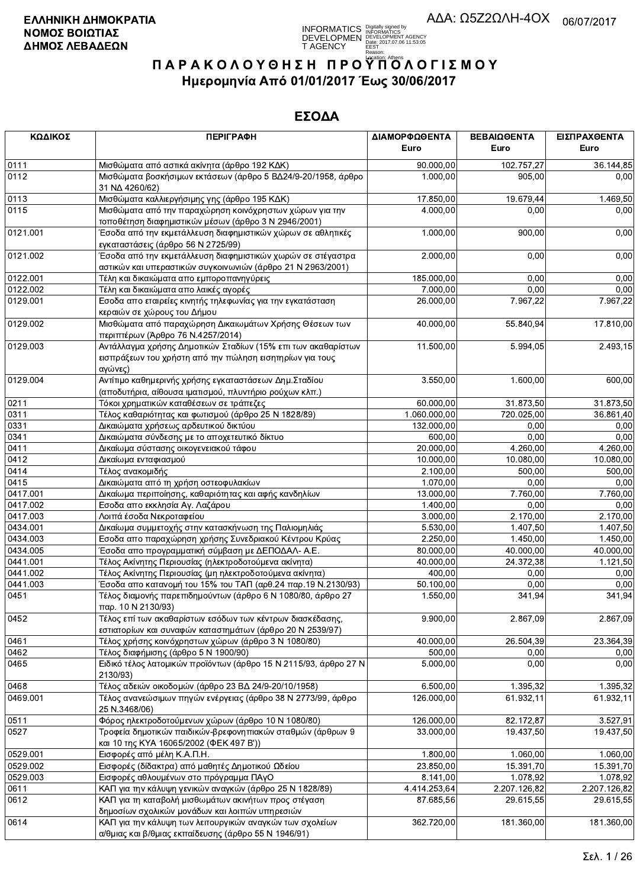

| ΚΩΔΙΚΟΣ  | <b>ПЕРІГРАФН</b>                                                                                                                    | ΔΙΑΜΟΡΦΩΘΕΝΤΑ | ΒΕΒΑΙΩΘΕΝΤΑ  | ΕΙΣΠΡΑΧΘΕΝΤΑ |
|----------|-------------------------------------------------------------------------------------------------------------------------------------|---------------|--------------|--------------|
|          |                                                                                                                                     | Euro          | Euro         | Euro         |
| 0111     | Μισθώματα από αστικά ακίνητα (άρθρο 192 ΚΔΚ)                                                                                        | 90.000,00     | 102.757,27   | 36.144,85    |
| 0112     | Μισθώματα βοσκήσιμων εκτάσεων (άρθρο 5 ΒΔ24/9-20/1958, άρθρο<br>31 NA 4260/62)                                                      | 1.000,00      | 905,00       | 0,00         |
| 0113     | Μισθώματα καλλιεργήσιμης γης (άρθρο 195 ΚΔΚ)                                                                                        | 17.850,00     | 19.679,44    | 1.469,50     |
| 0115     | Μισθώματα από την παραχώρηση κοινόχρηστων χώρων για την<br>τοποθέτηση διαφημιστικών μέσων (άρθρο 3 Ν 2946/2001)                     | 4.000,00      | 0,00         | 0,00         |
| 0121.001 | Έσοδα από την εκμετάλλευση διαφημιστικών χώρων σε αθλητικές<br>εγκαταστάσεις (άρθρο 56 Ν 2725/99)                                   | 1.000,00      | 900,00       | 0,00         |
| 0121.002 | Έσοδα από την εκμετάλλευση διαφημιστικών χωρών σε στέγαστρα<br>αστικών και υπεραστικών συγκοινωνιών (άρθρο 21 Ν 2963/2001)          | 2.000,00      | 0,00         | 0,00         |
| 0122.001 | Τέλη και δικαιώματα απο εμποροπανηγύρεις                                                                                            | 185.000,00    | 0,00         | 0,00         |
| 0122.002 | Τέλη και δικαιώματα απο λαικές αγορές                                                                                               | 7.000,00      | 0,00         | 0,00         |
| 0129.001 | Εσοδα απο εταιρείες κινητής τηλεφωνίας για την εγκατάσταση                                                                          | 26.000,00     | 7.967,22     | 7.967,22     |
|          | κεραιών σε χώρους του Δήμου                                                                                                         |               |              |              |
| 0129.002 | Μισθώματα από παραχώρηση Δικαιωμάτων Χρήσης Θέσεων των<br>περιπτέρων (Άρθρο 76 Ν.4257/2014)                                         | 40.000,00     | 55.840,94    | 17.810,00    |
| 0129.003 | Αντάλλαγμα χρήσης Δημοτικών Σταδίων (15% επι των ακαθαρίστων<br>εισπράξεων του χρήστη από την πώληση εισητηρίων για τους<br>αγώνες) | 11.500,00     | 5.994,05     | 2.493,15     |
| 0129.004 | Αντίτιμο καθημερινής χρήσης εγκαταστάσεων Δημ. Σταδίου<br>(αποδυτήρια, αίθουσα ιματισμού, πλυντήριο ρούχων κλπ.)                    | 3.550,00      | 1.600,00     | 600,00       |
| 0211     | Τόκοι χρηματικών καταθέσεων σε τράπεζες                                                                                             | 60.000,00     | 31.873,50    | 31.873,50    |
| 0311     | Τέλος καθαριότητας και φωτισμού (άρθρο 25 Ν 1828/89)                                                                                | 1.060.000,00  | 720.025,00   | 36.861,40    |
| 0331     | Δικαιώματα χρήσεως αρδευτικού δικτύου                                                                                               | 132.000,00    | 0,00         | 0,00         |
| 0341     | Δικαιώματα σύνδεσης με το αποχετευτικό δίκτυο                                                                                       | 600,00        | 0,00         | 0,00         |
| 0411     | Δικαίωμα σύστασης οικογενειακού τάφου                                                                                               | 20.000,00     | 4.260,00     | 4.260,00     |
| 0412     | Δικαίωμα ενταφιασμού                                                                                                                | 10.000,00     | 10.080,00    | 10.080,00    |
| 0414     | Τέλος ανακομιδής                                                                                                                    | 2.100,00      | 500,00       | 500,00       |
| 0415     | Δικαιώματα από τη χρήση οστεοφυλακίων                                                                                               | 1.070,00      | 0,00         | 0,00         |
| 0417.001 | Δικαίωμα περιποίησης, καθαριότητας και αφής κανδηλίων                                                                               | 13.000,00     | 7.760,00     | 7.760,00     |
| 0417.002 | Εσοδα απο εκκλησία Αγ. Λαζάρου                                                                                                      | 1.400,00      | 0,00         | 0,00         |
| 0417.003 | Λοιπά έσοδα Νεκροταφείου                                                                                                            | 3.000,00      | 2.170,00     | 2.170,00     |
| 0434.001 | Δικαίωμα συμμετοχής στην κατασκήνωση της Παλιομηλιάς                                                                                | 5.530,00      | 1.407,50     | 1.407,50     |
| 0434.003 | Εσοδα απο παραχώρηση χρήσης Συνεδριακού Κέντρου Κρύας                                                                               | 2.250,00      | 1.450,00     | 1.450,00     |
| 0434.005 | Έσοδα απο προγραμματική σύμβαση με ΔΕΠΟΔΑΛ- Α.Ε.                                                                                    | 80.000,00     | 40.000,00    | 40.000,00    |
| 0441.001 | Τέλος Ακίνητης Περιουσίας (ηλεκτροδοτούμενα ακίνητα)                                                                                | 40.000,00     | 24.372,38    | 1.121,50     |
| 0441.002 | Τέλος Ακίνητης Περιουσίας (μη ηλεκτροδοτούμενα ακίνητα)                                                                             | 400,00        | 0,00         | 0,00         |
| 0441.003 | Έσοδα απο κατανομή του 15% του ΤΑΠ (αρθ.24 παρ.19 Ν.2130/93)                                                                        | 50.100.00     | 0,00         | 0,00         |
| 0451     | Τέλος διαμονής παρεπιδημούντων (άρθρο 6 Ν 1080/80, άρθρο 27<br>παρ. 10 N 2130/93)                                                   | 1.550,00      | 341,94       | 341,94       |
| 0452     | Τέλος επί των ακαθαρίστων εσόδων των κέντρων διασκέδασης,<br>εστιατορίων και συναφών καταστημάτων (άρθρο 20 Ν 2539/97)              | 9.900,00      | 2.867,09     | 2.867,09     |
| 0461     | Τέλος χρήσης κοινόχρηστων χώρων (άρθρο 3 Ν 1080/80)                                                                                 | 40.000,00     | 26.504,39    | 23.364,39    |
| 0462     | Τέλος διαφήμισης (άρθρο 5 Ν 1900/90)                                                                                                | 500,00        | 0,00         | 0,00         |
| 0465     | Ειδικό τέλος λατομικών προϊόντων (άρθρο 15 Ν 2115/93, άρθρο 27 Ν<br>2130/93)                                                        | 5.000,00      | 0,00         | 0,00         |
| 0468     | Τέλος αδειών οικοδομών (άρθρο 23 ΒΔ 24/9-20/10/1958)                                                                                | 6.500,00      | 1.395,32     | 1.395,32     |
| 0469.001 | Τέλος ανανεώσιμων πηγών ενέργειας (άρθρο 38 Ν 2773/99, άρθρο<br>25 N.3468/06)                                                       | 126.000,00    | 61.932,11    | 61.932,11    |
| 0511     | Φόρος ηλεκτροδοτούμενων χώρων (άρθρο 10 Ν 1080/80)                                                                                  | 126.000,00    | 82.172,87    | 3.527,91     |
| 0527     | Τροφεία δημοτικών παιδικών-βρεφονηπιακών σταθμών (άρθρων 9<br>και 10 της ΚΥΑ 16065/2002 (ΦΕΚ 497 Β'))                               | 33.000,00     | 19.437,50    | 19.437,50    |
| 0529.001 | Εισφορές από μέλη Κ.Α.Π.Η.                                                                                                          | 1.800,00      | 1.060,00     | 1.060,00     |
| 0529.002 | Εισφορές (δίδακτρα) από μαθητές Δημοτικού Ωδείου                                                                                    | 23.850,00     | 15.391,70    | 15.391,70    |
| 0529.003 | Εισφορές αθλουμένων στο πρόγραμμα ΠΑγΟ                                                                                              | 8.141,00      | 1.078,92     | 1.078,92     |
| 0611     | ΚΑΠ για την κάλυψη γενικών αναγκών (άρθρο 25 Ν 1828/89)                                                                             | 4.414.253,64  | 2.207.126,82 | 2.207.126,82 |
| 0612     | ΚΑΠ για τη καταβολή μισθωμάτων ακινήτων προς στέγαση<br>δημοσίων σχολικών μονάδων και λοιπών υπηρεσιών                              | 87.685,56     | 29.615,55    | 29.615,55    |
| 0614     | ΚΑΠ για την κάλυψη των λειτουργικών αναγκών των σχολείων<br>α/θμιας και β/θμιας εκπαίδευσης (άρθρο 55 Ν 1946/91)                    | 362.720,00    | 181.360,00   | 181.360,00   |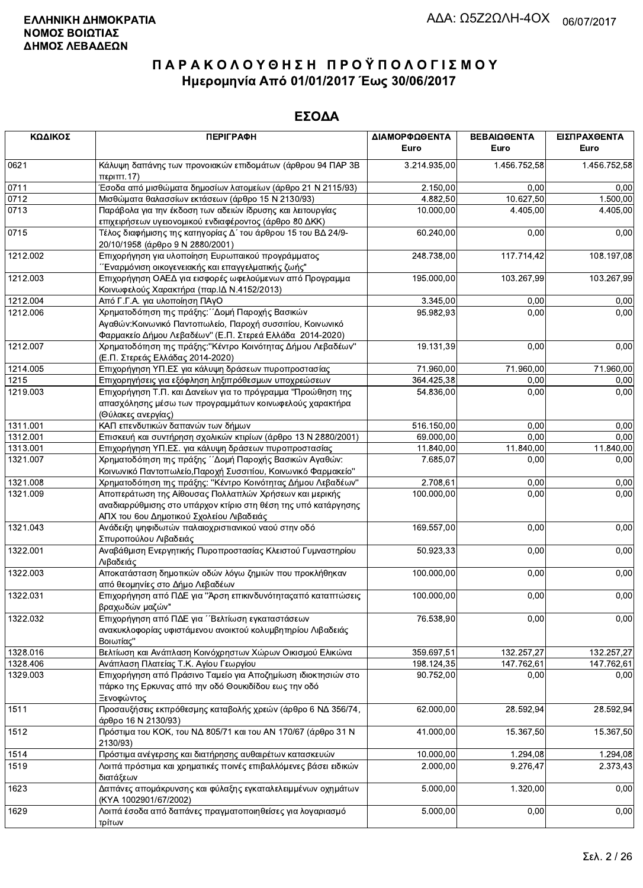| ΚΩΔΙΚΟΣ  | <b>ПЕРІГРАФН</b>                                                                                                                             | ΔΙΑΜΟΡΦΩΘΕΝΤΑ<br>Euro | ΒΕΒΑΙΩΘΕΝΤΑ<br>Euro | ΕΙΣΠΡΑΧΘΕΝΤΑ<br>Euro |
|----------|----------------------------------------------------------------------------------------------------------------------------------------------|-----------------------|---------------------|----------------------|
| 0621     | Κάλυψη δαπάνης των προνοιακών επιδομάτων (άρθρου 94 ΠΑΡ 3Β<br>περ <sub>1</sub> ππ.17                                                         | 3.214.935,00          | 1.456.752,58        | 1.456.752,58         |
| 0711     | Έσοδα από μισθώματα δημοσίων λατομείων (άρθρο 21 Ν 2115/93)                                                                                  | 2.150,00              | 0,00                | 0,00                 |
| 0712     | Μισθώματα θαλασσίων εκτάσεων (άρθρο 15 Ν 2130/93)                                                                                            | 4 882,50              | 10.627,50           | 1.500,00             |
| 0713     | Παράβολα για την έκδοση των αδειών ίδρυσης και λειτουργίας                                                                                   | 10.000,00             | 4.405,00            | 4.405,00             |
| 0715     | επιχειρήσεων υγειονομικού ενδιαφέροντος (άρθρο 80 ΔΚΚ)<br>Τέλος διαφήμισης της κατηγορίας Δ΄ του άρθρου 15 του ΒΔ 24/9-                      | 60.240,00             | 0,00                | 0,00                 |
|          | 20/10/1958 (άρθρο 9 Ν 2880/2001)                                                                                                             |                       |                     |                      |
| 1212.002 | Επιχορήγηση για υλοποίηση Ευρωπαικού προγράμματος<br>Έναρμόνιση οικογενειακής και επαγγελματικής ζωής"                                       | 248.738,00            | 117.714,42          | 108.197,08           |
| 1212.003 | Επιχορήγηση ΟΑΕΔ για εισφορές ωφελούμενων από Προγραμμα<br>Κοινωφελούς Χαρακτήρα (παρ. ΙΔ Ν.4152/2013)                                       | 195.000,00            | 103.267,99          | 103.267,99           |
| 1212.004 | Από Γ.Γ.Α. για υλοποίηση ΠΑγΟ                                                                                                                | 3.345,00              | 0,00                | 0,00                 |
| 1212.006 | Χρηματοδότηση της πράξης: "Δομή Παροχής Βασικών                                                                                              | 95.982,93             | 0,00                | 0,00                 |
|          | Αγαθών: Κοινωνικό Παντοπωλείο, Παροχή συσσιτίου, Κοινωνικό<br>Φαρμακείο Δήμου Λεβαδέων" (Ε.Π. Στερεά Ελλάδα 2014-2020)                       |                       |                     |                      |
| 1212.007 | Χρηματοδότηση της πράξης: "Κέντρο Κοινότητας Δήμου Λεβαδέων"<br>(Ε.Π. Στερεάς Ελλάδας 2014-2020)                                             | 19.131,39             | 0,00                | 0,00                 |
| 1214.005 | Επιχορήγηση ΥΠ.ΕΣ για κάλυψη δράσεων πυροπροστασίας                                                                                          | 71.960,00             | 71.960,00           | 71.960,00            |
| 1215     | Επιχορηγήσεις για εξόφληση ληξιπρόθεσμων υποχρεώσεων                                                                                         | 364.425,38            | 0,00                | 0,00                 |
| 1219.003 | Επιχορήγηση Τ.Π. και Δανείων για το πρόγραμμα "Προώθηση της<br>απασχόλησης μέσω των προγραμμάτων κοινωφελούς χαρακτήρα<br>(Θύλακες ανεργίας) | 54.836.00             | 0,00                | 0,00                 |
| 1311.001 | ΚΑΠ επενδυτικών δαπανών των δήμων                                                                                                            | 516.150,00            | 0,00                | 0,00                 |
| 1312.001 | Επισκευή και συντήρηση σχολικών κτιρίων (άρθρο 13 Ν 2880/2001)                                                                               | 69.000,00             | 0,00                | 0,00                 |
| 1313.001 | Επιχορήγηση ΥΠ.ΕΣ. για κάλυψη δράσεων πυροπροστασίας                                                                                         | 11.840,00             | 11.840,00           | 11.840,00            |
| 1321.007 | Χρηματοδότηση της πράξης ΄ Δομή Παροχής Βασικών Αγαθών:<br>Κοινωνικό Παντοπωλείο, Παροχή Συσσιτίου, Κοινωνικό Φαρμακείο"                     | 7.685,07              | 0,00                | 0,00                 |
| 1321.008 | Χρηματοδότηση της πράξης: "Κέντρο Κοινότητας Δήμου Λεβαδέων"                                                                                 | 2.708,61              | 0,00                | 0,00                 |
| 1321.009 | Αποπεράτωση της Αίθουσας Πολλαπλών Χρήσεων και μερικής<br>αναδιαρρύθμισης στο υπάρχον κτίριο στη θέση της υπό κατάργησης                     | 100.000,00            | 0,00                | 0,00                 |
|          | ΑΠΧ του 6ου Δημοτικού Σχολείου Λιβαδειάς                                                                                                     |                       |                     |                      |
| 1321.043 | Ανάδειξη ψηφιδωτών παλαιοχριστιανικού ναού στην οδό<br>Σπυροπούλου Λιβαδειάς                                                                 | 169.557,00            | 0,00                | 0,00                 |
| 1322.001 | Αναβάθμιση Ενεργητικής Πυροπροστασίας Κλειστού Γυμναστηρίου<br>Λιβαδειάς                                                                     | 50.923,33             | 0,00                | 0,00                 |
| 1322.003 | Αποκατάσταση δημοτικών οδών λόγω ζημιών που προκλήθηκαν<br>από θεομηνίες στο Δήμο Λεβαδέων                                                   | 100.000,00            | 0,00                | 0,00                 |
| 1322.031 | Επιχορήγηση από ΠΔΕ για "Άρση επικινδυνότητας από καταπτώσεις<br>βραχωδών μαζών"                                                             | 100.000,00            | 0,00                | 0,00                 |
| 1322.032 | Επιχορήγηση από ΠΔΕ για "Βελτίωση εγκαταστάσεων<br>ανακυκλοφορίας υφιστάμενου ανοικτού κολυμβητηρίου Λιβαδειάς<br>Βοιωτίας"                  | 76.538,90             | 0,00                | 0,00                 |
| 1328.016 | Βελτίωση και Ανάπλαση Κοινόχρηστων Χώρων Οικισμού Ελικώνα                                                                                    | 359.697,51            | 132.257,27          | 132.257,27           |
| 1328.406 | Ανάπλαση Πλατείας Τ.Κ. Αγίου Γεωργίου                                                                                                        | 198.124,35            | 147.762,61          | 147.762,61           |
| 1329.003 | Επιχορήγηση από Πράσινο Ταμείο για Αποζημίωση ιδιοκτησιών στο<br>πάρκο της Ερκυνας από την οδό Θουκιδίδου εως την οδό<br>Ξενοφώντος          | 90.752,00             | 0,00                | 0,00                 |
| 1511     | Προσαυξήσεις εκπρόθεσμης καταβολής χρεών (άρθρο 6 ΝΔ 356/74,<br>άρθρο 16 Ν 2130/93)                                                          | 62.000,00             | 28.592,94           | 28.592,94            |
| 1512     | Πρόστιμα του ΚΟΚ, του ΝΔ 805/71 και του ΑΝ 170/67 (άρθρο 31 Ν<br>2130/93)                                                                    | 41.000,00             | 15.367,50           | 15.367,50            |
| 1514     | Πρόστιμα ανέγερσης και διατήρησης αυθαιρέτων κατασκευών                                                                                      | 10.000,00             | 1.294,08            | 1.294,08             |
| 1519     | Λοιπά πρόστιμα και χρηματικές ποινές επιβαλλόμενες βάσει ειδικών                                                                             | 2.000,00              | 9.276,47            | 2.373,43             |
| 1623     | διατάξεων<br>Δαπάνες απομάκρυνσης και φύλαξης εγκαταλελειμμένων οχημάτων                                                                     | 5.000,00              | 1.320,00            | 0,00                 |
| 1629     | (KYA 1002901/67/2002)<br>Λοιπά έσοδα από δαπάνες πραγματοποιηθείσες για λογαριασμό<br>τρίτων                                                 | 5.000,00              | 0,00                | 0,00                 |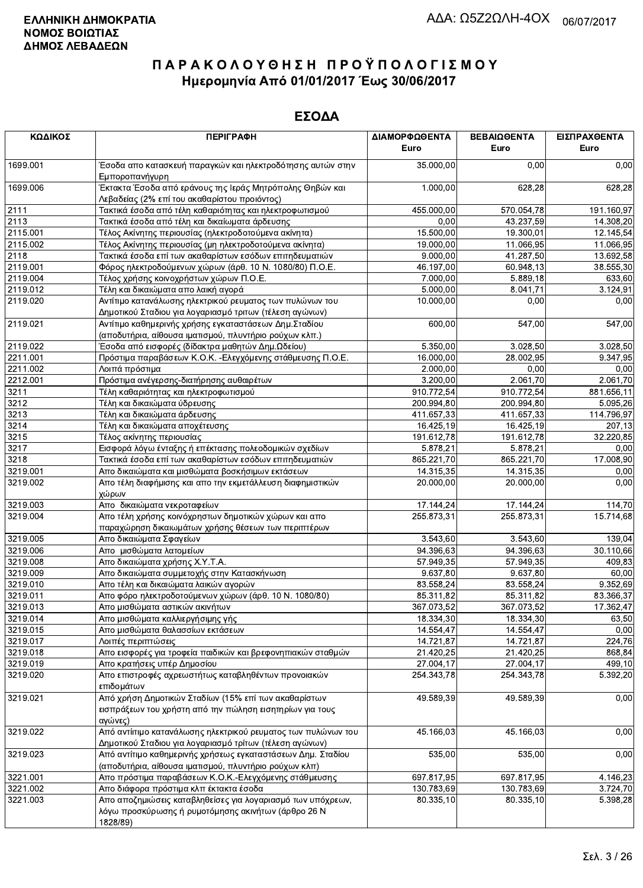| ΚΩΔΙΚΟΣ  | <b>ПЕРІГРАФН</b>                                                                                         | ΔΙΑΜΟΡΦΩΘΕΝΤΑ | ΒΕΒΑΙΩΘΕΝΤΑ | ΕΙΣΠΡΑΧΘΕΝΤΑ |
|----------|----------------------------------------------------------------------------------------------------------|---------------|-------------|--------------|
|          |                                                                                                          | Euro          | Euro        | Euro         |
| 1699.001 | Έσοδα απο κατασκευή παραγκών και ηλεκτροδότησης αυτών στην<br>Εμποροπανήγυρη                             | 35.000,00     | 0,00        | 0,00         |
| 1699.006 | Έκτακτα Έσοδα από εράνους της Ιεράς Μητρόπολης Θηβών και<br>Λεβαδείας (2% επί του ακαθαρίστου προιόντος) | 1.000,00      | 628,28      | 628,28       |
| 2111     | Τακτικά έσοδα από τέλη καθαριότητας και ηλεκτροφωτισμού                                                  | 455.000,00    | 570.054,78  | 191.160,97   |
| 2113     | Τακτικά έσοδα από τέλη και δικαίωματα άρδευσης                                                           | 0,00          | 43.237,59   | 14.308,20    |
| 2115.001 | Τέλος Ακίνητης περιουσίας (ηλεκτροδοτούμενα ακίνητα)                                                     | 15.500,00     | 19.300,01   | 12.145,54    |
| 2115.002 | Τέλος Ακίνητης περιουσίας (μη ηλεκτροδοτούμενα ακίνητα)                                                  | 19.000,00     | 11.066,95   | 11.066,95    |
| 2118     | Τακτικά έσοδα επί των ακαθαρίστων εσόδων επιτηδευματιών                                                  | 9.000,00      | 41.287,50   | 13.692,58    |
| 2119.001 | Φόρος ηλεκτροδούμενων χώρων (άρθ. 10 Ν. 1080/80) Π.Ο.Ε.                                                  | 46.197,00     | 60.948,13   | 38.555,30    |
| 2119.004 | Τέλος χρήσης κοινοχρήστων χώρων Π.Ο.Ε.                                                                   | 7.000,00      | 5.889,18    | 633,60       |
| 2119.012 | Τέλη και δικαιώματα απο λαική αγορά                                                                      | 5.000,00      | 8.041,71    | 3.124,91     |
| 2119.020 | Αντίτιμο κατανάλωσης ηλεκτρικού ρευματος των πυλώνων του                                                 | 10.000,00     | 0,00        | 0,00         |
|          | Δημοτικού Σταδιου για λογαριασμό τριτων (τέλεση αγώνων)                                                  |               |             |              |
| 2119.021 | Αντίτιμο καθημερινής χρήσης εγκαταστάσεων Δημ.Σταδίου                                                    | 600,00        | 547,00      | 547,00       |
|          | (αποδυτήρια, αίθουσα ιματισμού, πλυντήριο ρούχων κλπ.)                                                   |               |             |              |
| 2119.022 | Έσοδα από εισφορές (δίδακτρα μαθητών Δημ.Ωδείου)                                                         | 5.350,00      | 3.028,50    | 3.028,50     |
| 2211.001 | Πρόστιμα παραβάσεων Κ.Ο.Κ. - Ελεγχόμενης στάθμευσης Π.Ο.Ε.                                               | 16.000,00     | 28.002,95   | 9.347,95     |
| 2211.002 | Λοιπά πρόστιμα                                                                                           | 2.000,00      | 0,00        | 0,00         |
| 2212.001 | Πρόστιμα ανέγερσης-διατήρησης αυθαιρέτων                                                                 | 3.200,00      | 2.061,70    | 2.061,70     |
| 3211     | Τέλη καθαριότητας και ηλεκτροφωτισμού                                                                    | 910.772,54    | 910.772,54  | 881.656,11   |
| 3212     | Τέλη και δικαιώματα ύδρευσης                                                                             | 200.994,80    | 200.994,80  | 5.095,26     |
| 3213     | Τέλη και δικαιώματα άρδευσης                                                                             | 411.657,33    | 411.657,33  | 114.796,97   |
| 3214     | Τέλη και δικαιώματα αποχέτευσης                                                                          | 16.425,19     | 16.425,19   | 207,13       |
| 3215     | Τέλος ακίνητης περιουσίας                                                                                | 191.612,78    | 191.612,78  | 32.220,85    |
| 3217     | Εισφορά λόγω ένταξης ή επέκτασης πολεοδομικών σχεδίων                                                    | 5.878,21      | 5.878,21    | 0,00         |
| 3218     | Τακτικά έσοδα επί των ακαθαρίστων εσόδων επιτηδευματιών                                                  | 865.221,70    | 865.221,70  | 17.008,90    |
| 3219.001 | Απο δικαιώματα και μισθώματα βοσκήσιμων εκτάσεων                                                         | 14.315,35     | 14.315,35   | 0,00         |
| 3219.002 | Απο τέλη διαφήμισης και απο την εκμετάλλευση διαφημιστικών                                               | 20.000,00     | 20.000,00   | 0,00         |
| 3219.003 | χώρων<br>Απο δικαιώματα νεκροταφείων                                                                     | 17.144,24     | 17.144,24   | 114,70       |
| 3219.004 | Απο τέλη χρήσης κοινόχρηστων δημοτικών χώρων και απο                                                     | 255.873,31    | 255.873,31  | 15.714,68    |
|          | παραχώρηση δικαιωμάτων χρήσης θέσεων των περιπτέρων                                                      |               |             |              |
| 3219.005 | Απο δικαιώματα Σφαγείων                                                                                  | 3.543,60      | 3.543,60    | 139,04       |
| 3219.006 | Απο μισθώματα λατομείων                                                                                  | 94.396,63     | 94.396,63   | 30.110,66    |
| 3219.008 | Απο δικαιώματα χρήσης Χ.Υ.Τ.Α.                                                                           | 57.949,35     | 57.949,35   | 409,83       |
| 3219.009 | Απο δικαιώματα συμμετοχής στην Κατασκήνωση                                                               | 9.637,80      | 9.637,80    | 60,00        |
| 3219.010 | Απο τέλη και δικαιώματα λαικών αγορών                                                                    | 83.558,24     | 83.558,24   | 9.352,69     |
| 3219.011 | Απο φόρο ηλεκτροδοτούμενων χώρων (άρθ. 10 Ν. 1080/80)                                                    | 85.311,82     | 85.311,82   | 83.366,37    |
| 3219.013 | Απο μισθώματα αστικών ακινήτων                                                                           | 367.073,52    | 367.073,52  | 17.362,47    |
| 3219.014 | Απο μισθώματα καλλιεργήσιμης γής                                                                         | 18.334,30     | 18.334,30   | 63,50        |
| 3219.015 | Απο μισθώματα θαλασσίων εκτάσεων                                                                         | 14.554,47     | 14.554,47   | 0,00         |
| 3219.017 | Λοιπές περιπτώσεις                                                                                       | 14.721,87     | 14.721,87   | 224,76       |
| 3219.018 | Απο εισφορές για τροφεία παιδικών και βρεφονηπιακών σταθμών                                              | 21.420,25     | 21.420,25   | 868,84       |
| 3219.019 | Απο κρατήσεις υπέρ Δημοσίου                                                                              | 27.004,17     | 27.004,17   | 499,10       |
| 3219.020 | Απο επιστροφές αχρεωστήτως καταβληθέντων προνοιακών<br>επιδομάτων                                        | 254.343,78    | 254.343,78  | 5.392,20     |
| 3219.021 | Από χρήση Δημοτικών Σταδίων (15% επί των ακαθαρίστων                                                     | 49.589,39     | 49.589,39   | 0,00         |
|          | εισπράξεων του χρήστη από την πώληση εισητηρίων για τους                                                 |               |             |              |
|          | αγώνες)                                                                                                  |               |             |              |
| 3219.022 | Από αντίιτιμο κατανάλωσης ηλεκτρικού ρευματος των πυλώνων του                                            | 45.166,03     | 45.166,03   | 0,00         |
|          | Δημοτικού Σταδιου για λογαριασμό τρίτων (τέλεση αγώνων)                                                  |               |             |              |
| 3219.023 | Από αντίτιμο καθημερινής χρήσεως εγκαταστάσεων Δημ. Σταδίου                                              | 535,00        | 535,00      | 0,00         |
|          | (αποδυτήρια, αίθουσα ιματισμού, πλυντήριο ρούχων κλπ)                                                    |               |             |              |
| 3221.001 | Απο πρόστιμα παραβάσεων Κ.Ο.Κ.-Ελεγχόμενης στάθμευσης                                                    | 697.817,95    | 697.817,95  | 4.146,23     |
| 3221.002 | Απο διάφορα πρόστιμα κλπ έκτακτα έσοδα                                                                   | 130.783,69    | 130.783,69  | 3.724,70     |
| 3221.003 | Απο αποζημιώσεις καταβληθείσες για λογαριασμό των υπόχρεων,                                              | 80.335,10     | 80.335,10   | 5.398,28     |
|          | λόγω προσκύρωσης ή ρυμοτόμησης ακινήτων (άρθρο 26 Ν<br>1828/89)                                          |               |             |              |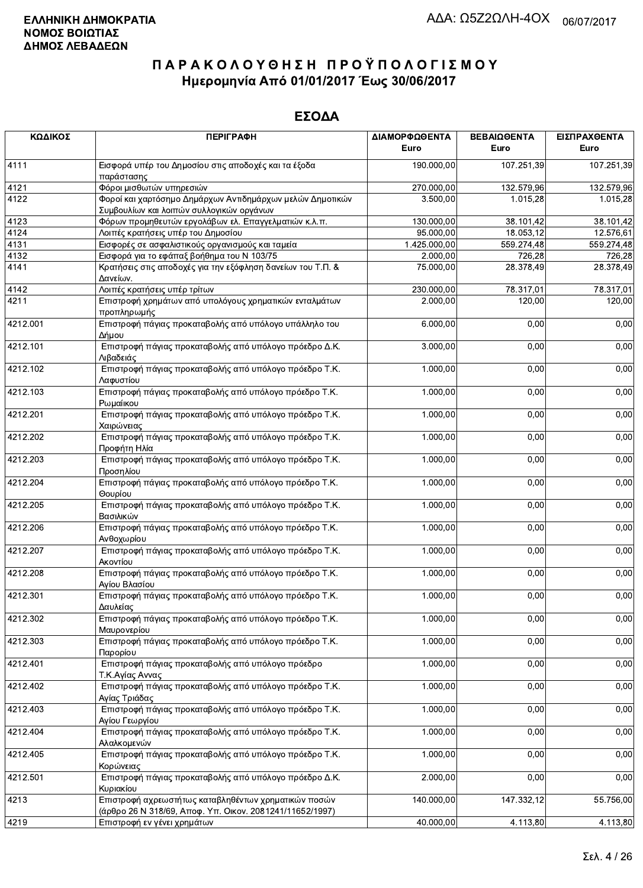| ΚΩΔΙΚΟΣ  | <b>ПЕРІГРАФН</b>                                                                        | ΔΙΑΜΟΡΦΩΘΕΝΤΑ<br>Euro | ΒΕΒΑΙΩΘΕΝΤΑ<br>Euro | ΕΙΣΠΡΑΧΘΕΝΤΑ<br>Euro |
|----------|-----------------------------------------------------------------------------------------|-----------------------|---------------------|----------------------|
| 4111     | Εισφορά υπέρ του Δημοσίου στις αποδοχές και τα έξοδα<br>παράστασης                      | 190.000,00            | 107.251,39          | 107.251,39           |
| 4121     | Φόροι μισθωτών υπηρεσιών                                                                | 270.000,00            | 132.579,96          | 132.579,96           |
| 4122     | Φοροί και χαρτόσημο Δημάρχων Αντιδημάρχων μελών Δημοτικών                               | 3.500,00              | 1.015,28            | 1.015,28             |
|          | Συμβουλίων και λοιπών συλλογικών οργάνων                                                |                       |                     |                      |
| 4123     | Φόρων προμηθευτών εργολάβων ελ. Επαγγελματιών κ.λ.π.                                    | 130.000,00            | 38.101,42           | 38.101,42            |
| 4124     | Λοιπές κρατήσεις υπέρ του Δημοσίου                                                      | 95.000,00             | 18.053,12           | 12.576,61            |
| 4131     | Εισφορές σε ασφαλιστικούς οργανισμούς και ταμεία                                        | 1.425.000,00          | 559.274,48          | 559.274,48           |
| 4132     | Εισφορά για το εφάπαξ βοήθημα του Ν 103/75                                              | 2.000,00              | 726,28              | 726,28               |
| 4141     | Κρατήσεις στις αποδοχές για την εξόφληση δανείων του Τ.Π. &<br>Δανείων.                 | 75.000,00             | 28.378,49           | 28.378,49            |
| 4142     | Λοιπές κρατήσεις υπέρ τρίτων                                                            | 230.000,00            | 78.317,01           | 78.317,01            |
| 4211     | Επιστροφή χρημάτων από υπολόγους χρηματικών ενταλμάτων                                  | 2.000,00              | 120,00              | 120,00               |
|          | προπληρωμής                                                                             |                       |                     |                      |
| 4212.001 | Επιστροφή πάγιας προκαταβολής από υπόλογο υπάλληλο του<br>Δήμου                         | 6.000,00              | 0,00                | 0,00                 |
| 4212.101 | Επιστροφή πάγιας προκαταβολής από υπόλογο πρόεδρο Δ.Κ.<br>Λιβαδειάς                     | 3.000,00              | 0,00                | 0,00                 |
| 4212.102 | Επιστροφή πάγιας προκαταβολής από υπόλογο πρόεδρο Τ.Κ.<br>Λαφυστίου                     | 1.000,00              | 0,00                | 0,00                 |
| 4212.103 | Επιστροφή πάγιας προκαταβολής από υπόλογο πρόεδρο Τ.Κ.<br>Ρωμαίικου                     | 1.000,00              | 0,00                | 0,00                 |
| 4212.201 | Επιστροφή πάγιας προκαταβολής από υπόλογο πρόεδρο Τ.Κ.<br>Χαιρώνειας                    | 1.000,00              | 0,00                | 0,00                 |
| 4212.202 | Επιστροφή πάγιας προκαταβολής από υπόλογο πρόεδρο Τ.Κ.<br>Προφήτη Ηλία                  | 1.000,00              | 0,00                | 0,00                 |
| 4212.203 | Επιστροφή πάγιας προκαταβολής από υπόλογο πρόεδρο Τ.Κ.<br>Προσηλίου                     | 1.000,00              | 0,00                | 0,00                 |
| 4212.204 | Επιστροφή πάγιας προκαταβολής από υπόλογο πρόεδρο Τ.Κ.<br>Θουρίου                       | 1.000,00              | 0,00                | 0,00                 |
| 4212.205 | Επιστροφή πάγιας προκαταβολής από υπόλογο πρόεδρο Τ.Κ.<br>Βασιλικών                     | 1.000,00              | 0,00                | 0,00                 |
| 4212.206 | Επιστροφή πάγιας προκαταβολής από υπόλογο πρόεδρο Τ.Κ.                                  | 1.000,00              | 0,00                | 0,00                 |
| 4212.207 | Ανθοχωρίου<br>Επιστροφή πάγιας προκαταβολής από υπόλογο πρόεδρο Τ.Κ.                    | 1.000,00              | 0,00                | 0,00                 |
| 4212.208 | Ακοντίου<br>Επιστροφή πάγιας προκαταβολής από υπόλογο πρόεδρο Τ.Κ.                      | 1.000,00              | 0,00                | 0,00                 |
| 4212.301 | Αγίου Βλασίου<br>Επιστροφή πάγιας προκαταβολής από υπόλογο πρόεδρο Τ.Κ.                 | 1.000,00              | 0,00                | 0,00                 |
| 4212.302 | Δαυλείας<br>Επιστροφή πάγιας προκαταβολής από υπόλογο πρόεδρο Τ.Κ.                      | 1.000,00              | 0,00                | 0,00                 |
| 4212.303 | Μαυρονερίου<br>Επιστροφή πάγιας προκαταβολής από υπόλογο πρόεδρο Τ.Κ.<br>Παρορίου       | 1.000,00              | 0,00                | 0,00                 |
| 4212.401 | Επιστροφή πάγιας προκαταβολής από υπόλογο πρόεδρο                                       | 1.000,00              | 0,00                | 0,00                 |
| 4212.402 | Τ.Κ.Αγίας Αννας<br>Επιστροφή πάγιας προκαταβολής από υπόλογο πρόεδρο Τ.Κ.               | 1.000,00              | 0,00                | 0,00                 |
| 4212.403 | Αγίας Τριάδας<br>Επιστροφή πάγιας προκαταβολής από υπόλογο πρόεδρο Τ.Κ.                 | 1.000,00              | 0,00                | 0,00                 |
| 4212.404 | Αγίου Γεωργίου<br>Επιστροφή πάγιας προκαταβολής από υπόλογο πρόεδρο Τ.Κ.                | 1.000,00              | 0,00                | 0,00                 |
| 4212.405 | Αλαλκομενών<br>Επιστροφή πάγιας προκαταβολής από υπόλογο πρόεδρο Τ.Κ.                   | 1.000,00              | 0,00                | 0,00                 |
| 4212.501 | Κορώνειας<br>Επιστροφή πάγιας προκαταβολής από υπόλογο πρόεδρο Δ.Κ.                     | 2.000,00              | 0,00                | 0,00                 |
| 4213     | Κυριακίου<br>Επιστροφή αχρεωστήτως καταβληθέντων χρηματικών ποσών                       | 140.000,00            | 147.332,12          | 55.756,00            |
| 4219     | (άρθρο 26 Ν 318/69, Αποφ. Υπ. Οικον. 2081241/11652/1997)<br>Επιστροφή εν νένει χρημάτων | 40.000.00             | 4.113.80            | 4.113.80             |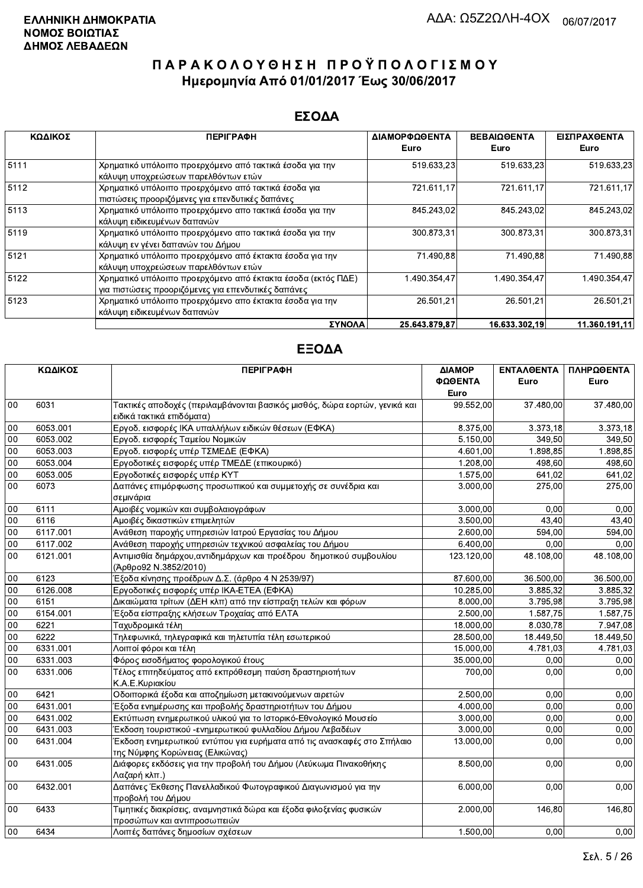#### ΕΣΟΔΑ

| ΚΩΔΙΚΟΣ | <b>ПЕРІГРАФН</b>                                                                                                    | ΔΙΑΜΟΡΦΩΘΕΝΤΑ | <b>ΒΕΒΑΙΩΘΕΝΤΑ</b> | ΕΙΣΠΡΑΧΘΕΝΤΑ  |
|---------|---------------------------------------------------------------------------------------------------------------------|---------------|--------------------|---------------|
|         |                                                                                                                     | Euro          | Euro               | Euro          |
| 5111    | Χρηματικό υπόλοιπο προερχόμενο από τακτικά έσοδα για την<br>κάλυψη υποχρεώσεων παρελθόντων ετών                     | 519.633,23    | 519.633,23         | 519.633,23    |
| 5112    | Χρηματικό υπόλοιπο προερχόμενο από τακτικά έσοδα για<br>πιστώσεις προοριζόμενες για επενδυτικές δαπάνες             | 721.611,17    | 721.611,17         | 721.611,17    |
| 5113    | Χρηματικό υπόλοιπο προερχόμενο απο τακτικά έσοδα για την<br>κάλυψη ειδικευμένων δαπανών                             | 845.243.02    | 845.243.02         | 845.243,02    |
| 5119    | Χρηματικό υπόλοιπο προερχόμενο απο τακτικά έσοδα για την<br>κάλυψη εν γένει δαπανών του Δήμου                       | 300.873,31    | 300 873,31         | 300.873,31    |
| 5121    | Χρηματικό υπόλοιπο προερχόμενο από έκτακτα έσοδα για την<br>κάλυψη υποχρεώσεων παρελθόντων ετών                     | 71.490,88     | 71.490,88          | 71.490,88     |
| 5122    | Χρηματικό υπόλοιπο προερχόμενο από έκτακτα έσοδα (εκτός ΠΔΕ)<br>για πιστώσεις προοριζόμενες για επενδυτικές δαπάνες | 1.490.354.47  | 1.490.354.47       | 1.490.354.47  |
| 5123    | Χρηματικό υπόλοιπο προερχόμενο απο έκτακτα έσοδα για την<br>κάλυψη ειδικευμένων δαπανών                             | 26.501.21     | 26.501.21          | 26.501.21     |
|         | ΣΥΝΟΛΑ                                                                                                              | 25.643.879.87 | 16.633.302.19      | 11.360.191.11 |

|        | ΚΩΔΙΚΟΣ  | <b>ПЕРІГРАФН</b>                                                                                          | ΔΙΑΜΟΡ<br>ΦΩΘΕΝΤΑ<br>Euro | ΕΝΤΑΛΘΕΝΤΑ<br>Euro | ΠΛΗΡΩΘΕΝΤΑ<br>Euro |
|--------|----------|-----------------------------------------------------------------------------------------------------------|---------------------------|--------------------|--------------------|
| 00     | 6031     | Τακτικές αποδοχές (περιλαμβάνονται βασικός μισθός, δώρα εορτών, γενικά και<br>ειδικά τακτικά επιδόματα)   | 99.552,00                 | 37.480,00          | 37.480,00          |
| 00     | 6053.001 | Εργοδ. εισφορές ΙΚΑ υπαλλήλων ειδικών θέσεων (ΕΦΚΑ)                                                       | 8.375,00                  | 3.373,18           | 3.373,18           |
| 00     | 6053.002 | Εργοδ. εισφορές Ταμείου Νομικών                                                                           | 5.150,00                  | 349,50             | 349.50             |
| 00     | 6053.003 | Εργοδ. εισφορές υπέρ ΤΣΜΕΔΕ (ΕΦΚΑ)                                                                        | 4.601.00                  | 1.898.85           | 1.898.85           |
| 00     | 6053.004 | Εργοδοτικές εισφορές υπέρ ΤΜΕΔΕ (επικουρικό)                                                              | 1.208,00                  | 498,60             | 498,60             |
| 00     | 6053.005 | Εργοδοτικές εισφορές υπέρ ΚΥΤ                                                                             | 1.575,00                  | 641,02             | 641,02             |
| 00     | 6073     | Δαπάνες επιμόρφωσης προσωπικού και συμμετοχής σε συνέδρια και<br>σεμινάρια                                | 3.000,00                  | 275,00             | 275,00             |
| 00     | 6111     | Αμοιβές νομικών και συμβολαιογράφων                                                                       | 3.000,00                  | 0.00               | 0,00               |
| 00     | 6116     | Αμοιβές δικαστικών επιμελητών                                                                             | 3.500,00                  | 43,40              | 43,40              |
| 00     | 6117.001 | Ανάθεση παροχής υπηρεσιών Ιατρού Εργασίας του Δήμου                                                       | 2.600,00                  | 594,00             | 594,00             |
| 00     | 6117.002 | Ανάθεση παροχής υπηρεσιών τεχνικού ασφαλείας του Δήμου                                                    | 6.400,00                  | 0,00               | 0,00               |
| 00     | 6121.001 | Αντιμισθία δημάρχου, αντιδημάρχων και προέδρου δημοτικού συμβουλίου<br>(Άρθρο92 Ν.3852/2010)              | 123.120,00                | 48.108,00          | 48.108,00          |
| 00     | 6123     | Έξοδα κίνησης προέδρων Δ.Σ. (άρθρο 4 Ν 2539/97)                                                           | 87.600,00                 | 36.500,00          | 36.500,00          |
| $00\,$ | 6126.008 | Εργοδοτικές εισφορές υπέρ ΙΚΑ-ΕΤΕΑ (ΕΦΚΑ)                                                                 | 10.285,00                 | 3.885,32           | 3.885,32           |
| 00     | 6151     | Δικαιώματα τρίτων (ΔΕΗ κλπ) από την είσπραξη τελών και φόρων                                              | 8.000,00                  | 3.795,98           | 3.795,98           |
| 00     | 6154.001 | Έξοδα είσπραξης κλήσεων Τροχαίας από ΕΛΤΑ                                                                 | $\overline{2.500,00}$     | 1.587,75           | 1.587,75           |
| 00     | 6221     | Ταχυδρομικά τέλη                                                                                          | 18.000,00                 | 8.030.78           | 7.947,08           |
| 00     | 6222     | Τηλεφωνικά, τηλεγραφικά και τηλετυπία τέλη εσωτερικού                                                     | 28.500,00                 | 18.449,50          | 18.449,50          |
| 00     | 6331.001 | Λοιποί φόροι και τέλη                                                                                     | 15.000,00                 | 4.781,03           | 4.781,03           |
| 00     | 6331.003 | Φόρος εισοδήματος φορολογικού έτους                                                                       | 35.000,00                 | 0.00               | 0,00               |
| 00     | 6331.006 | Τέλος επιτηδεύματος από εκπρόθεσμη παύση δραστηριοτήτων<br>Κ.Α.Ε.Κυριακίου                                | 700,00                    | 0,00               | 0,00               |
| $00\,$ | 6421     | Οδοιπορικά έξοδα και αποζημίωση μετακινούμενων αιρετών                                                    | 2.500,00                  | 0.00               | 0,00               |
| $00\,$ | 6431.001 | Έξοδα ενημέρωσης και προβολής δραστηριοτήτων του Δήμου                                                    | 4.000,00                  | 0,00               | 0,00               |
| 00     | 6431.002 | Εκτύπωση ενημερωτικού υλικού για το Ιστορικό-Εθνολογικό Μουσείο                                           | 3.000,00                  | 0.00               | 0.00               |
| 00     | 6431.003 | Έκδοση τουριστικού -ενημερωτικού φυλλαδίου Δήμου Λεβαδέων                                                 | 3.000,00                  | 0,00               | 0,00               |
| 00     | 6431.004 | Έκδοση ενημερωτικού εντύπου για ευρήματα από τις ανασκαφές στο Σπήλαιο<br>της Νύμφης Κορώνειας (Ελικώνας) | 13.000,00                 | 0,00               | 0,00               |
| 00     | 6431.005 | Διάφορες εκδόσεις για την προβολή του Δήμου (Λεύκωμα Πινακοθήκης<br>Λαζαρή κλπ.)                          | 8.500,00                  | 0,00               | 0,00               |
| 00     | 6432.001 | Δαπάνες Έκθεσης Πανελλαδικού Φωτογραφικού Διαγωνισμού για την<br>προβολή του Δήμου                        | 6.000,00                  | 0,00               | 0,00               |
| 00     | 6433     | Τιμητικές διακρίσεις, αναμνηστικά δώρα και έξοδα φιλοξενίας φυσικών<br>προσώπων και αντιπροσωπειών        | 2.000,00                  | 146,80             | 146,80             |
| $00\,$ | 6434     | Λοιπές δαπάνες δημοσίων σχέσεων                                                                           | 1.500,00                  | 0,00               | 0,00               |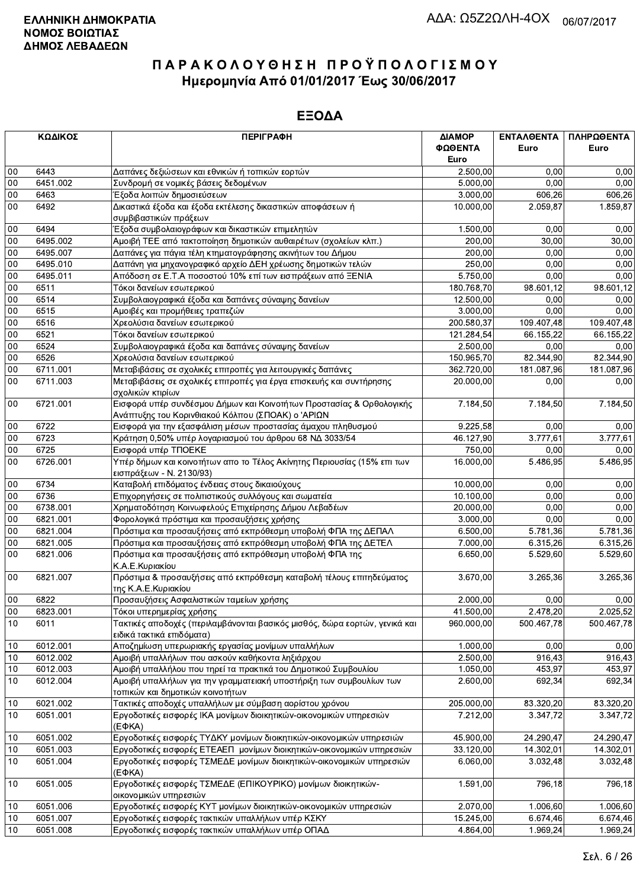|              | ΚΩΔΙΚΟΣ              | <b>ПЕРІГРАФН</b>                                                                                                          | ΔΙΑΜΟΡ<br>ΦΩΘΕΝΤΑ<br>Euro | ΕΝΤΑΛΘΕΝΤΑ<br>Euro | ΠΛΗΡΩΘΕΝΤΑ<br>Euro |
|--------------|----------------------|---------------------------------------------------------------------------------------------------------------------------|---------------------------|--------------------|--------------------|
| 00           | 6443                 | Δαπάνες δεξιώσεων και εθνικών ή τοπικών εορτών                                                                            | 2.500,00                  | 0.00               | 0,00               |
| $00\,$       | 6451.002             | Συνδρομή σε νομικές βάσεις δεδομένων                                                                                      | 5.000,00                  | 0.00               | 0,00               |
| $00\,$       | 6463                 | Έξοδα λοιπών δημοσιεύσεων                                                                                                 | 3.000,00                  | 606,26             | 606,26             |
| 00           | 6492                 | Δικαστικά έξοδα και έξοδα εκτέλεσης δικαστικών αποφάσεων ή                                                                | 10.000,00                 | 2.059.87           | 1.859,87           |
|              |                      | συμβιβαστικών πράξεων                                                                                                     |                           |                    |                    |
| $00\,$       | 6494                 | Έξοδα συμβολαιογράφων και δικαστικών επιμελητών                                                                           | 1.500,00                  | 0,00               | 0,00               |
| 00           | 6495.002             | Αμοιβή ΤΕΕ από τακτοποίηση δημοτικών αυθαιρέτων (σχολείων κλπ.)                                                           | 200,00                    | 30,00              | 30,00              |
| $00\,$       | 6495.007             | Δαπάνες για πάγια τέλη κτηματογράφησης ακινήτων του Δήμου                                                                 | 200,00                    | 0,00               | 0,00               |
| 00           | 6495.010             | Δαπάνη για μηχανογραφικό αρχείο ΔΕΗ χρέωσης δημοτικών τελών                                                               | 250,00                    | 0,00               | 0,00               |
| $00\,$       | 6495.011             | Απόδοση σε Ε.Τ.Α ποσοστού 10% επί των εισπράξεων από ΞΕΝΙΑ                                                                | 5.750,00                  | 0.00               | 0,00               |
| $00\,$       | 6511                 | Τόκοι δανείων εσωτερικού                                                                                                  | 180.768,70                | 98.601,12          | 98.601,12          |
| 00           | 6514                 | Συμβολαιογραφικά έξοδα και δαπάνες σύναψης δανείων                                                                        | 12.500,00                 | 0,00               | 0,00               |
| 00           | 6515                 | Αμοιβές και προμήθειες τραπεζών                                                                                           | 3.000,00                  | 0,00               | 0,00               |
| 00           | 6516                 | Χρεολύσια δανείων εσωτερικού                                                                                              | 200.580,37                | 109.407,48         | 109.407,48         |
| 00           | 6521<br>6524         | Τόκοι δανείων εσωτερικού                                                                                                  | 121.284,54                | 66.155,22          | 66.155,22          |
| $00\,$       | 6526                 | Συμβολαιογραφικά έξοδα και δαπάνες σύναψης δανείων<br>Χρεολύσια δανείων εσωτερικού                                        | 2.500,00                  | 0.00               | 0,00<br>82.344,90  |
| $00\,$<br>00 |                      |                                                                                                                           | 150.965,70                | 82.344,90          |                    |
| 00           | 6711.001<br>6711.003 | Μεταβιβάσεις σε σχολικές επιτροπές για λειτουργικές δαπάνες                                                               | 362.720,00                | 181.087,96<br>0,00 | 181.087,96         |
|              |                      | Μεταβιβάσεις σε σχολικές επιτροπές για έργα επισκευής και συντήρησης<br>σχολικών κτιρίων                                  | 20.000,00                 |                    | 0,00               |
| $00\,$       | 6721.001             | Εισφορά υπέρ συνδέσμου Δήμων και Κοινοτήτων Προστασίας & Ορθολογικής<br>Ανάπτυξης του Κορινθιακού Κόλπου (ΣΠΟΑΚ) ο 'ΑΡΙΩΝ | 7.184,50                  | 7.184,50           | 7.184,50           |
| $00\,$       | 6722                 | Εισφορά για την εξασφάλιση μέσων προστασίας άμαχου πληθυσμού                                                              | 9.225,58                  | 0,00               | 0,00               |
| 00           | 6723                 | Κράτηση 0,50% υπέρ λογαριασμού του άρθρου 68 ΝΔ 3033/54                                                                   | 46.127,90                 | 3.777,61           | 3.777,61           |
| $00\,$       | 6725                 | Εισφορά υπέρ ΤΠΟΕΚΕ                                                                                                       | 750,00                    | 0.00               | 0,00               |
| 00           | 6726.001             | Υπέρ δήμων και κοινοτήτων απο το Τέλος Ακίνητης Περιουσίας (15% επι των<br>εισπράξεων - Ν. 2130/93)                       | 16.000,00                 | 5.486,95           | 5.486,95           |
| 00           | 6734                 | Καταβολή επιδόματος ένδειας στους δικαιούχους                                                                             | 10.000,00                 | 0,00               | 0,00               |
| 00           | 6736                 | Επιχορηγήσεις σε πολιτιστικούς συλλόγους και σωματεία                                                                     | 10.100,00                 | 0,00               | 0,00               |
| 00           | 6738.001             | Χρηματοδότηση Κοινωφελούς Επιχείρησης Δήμου Λεβαδέων                                                                      | 20.000,00                 | 0.00               | 0,00               |
| $00\,$       | 6821.001             | Φορολογικά πρόστιμα και προσαυξήσεις χρήσης                                                                               | 3.000,00                  | 0,00               | 0,00               |
| 00           | 6821.004             | Πρόστιμα και προσαυξήσεις από εκπρόθεσμη υποβολή ΦΠΑ της ΔΕΠΑΛ                                                            | 6.500,00                  | 5.781,36           | 5.781,36           |
| $00\,$       | 6821.005             | Πρόστιμα και προσαυξήσεις από εκπρόθεσμη υποβολή ΦΠΑ της ΔΕΤΕΛ                                                            | 7.000,00                  | 6.315,26           | 6.315,26           |
| 00           | 6821.006             | Πρόστιμα και προσαυξήσεις από εκπρόθεσμη υποβολή ΦΠΑ της<br>Κ.Α.Ε.Κυριακίου                                               | 6.650,00                  | 5.529,60           | 5.529,60           |
| 00           | 6821.007             | Πρόστιμα & προσαυξήσεις από εκπρόθεσμη καταβολή τέλους επιτηδεύματος<br>της Κ.Α.Ε.Κυριακίου                               | 3.670,00                  | 3.265,36           | 3.265,36           |
| 00           | 6822                 | Προσαυξήσεις Ασφαλιστικών ταμείων χρήσης                                                                                  | 2.000,00                  | 0,00               | 0,00               |
| 00           | 6823.001             | Τόκοι υπερημερίας χρήσης                                                                                                  | 41.500,00                 | 2.478.20           | 2.025,52           |
| 10           | 6011                 | Τακτικές αποδοχές (περιλαμβάνονται βασικός μισθός, δώρα εορτών, γενικά και<br>ειδικά τακτικά επιδόματα)                   | 960.000,00                | 500.467,78         | 500.467,78         |
| 10           | 6012.001             | Αποζημίωση υπερωριακής εργασίας μονίμων υπαλλήλων                                                                         | 1.000,00                  | 0,00               | 0,00               |
| 10           | 6012.002             | Αμοιβή υπαλλήλων που ασκούν καθήκοντα ληξιάρχου                                                                           | 2.500,00                  | 916,43             | 916,43             |
| 10           | 6012.003             | Αμοιβή υπαλλήλου που τηρεί τα πρακτικά του Δημοτικού Συμβουλίου                                                           | 1.050,00                  | 453,97             | 453,97             |
| 10           | 6012.004             | Αμοιβή υπαλλήλων για την γραμματειακή υποστήριξη των συμβουλίων των<br>τοπικών και δημοτικών κοινοτήτων                   | 2.600,00                  | 692,34             | 692,34             |
| 10           | 6021.002             | Τακτικές αποδοχές υπαλλήλων με σύμβαση αορίστου χρόνου                                                                    | 205.000,00                | 83.320,20          | 83.320,20          |
| 10           | 6051.001             | Εργοδοτικές εισφορές ΙΚΑ μονίμων διοικητικών-οικονομικών υπηρεσιών<br>(EΦKA)                                              | 7.212,00                  | 3.347,72           | 3.347,72           |
| 10           | 6051.002             | Εργοδοτικές εισφορές ΤΥΔΚΥ μονίμων διοικητικών-οικονομικών υπηρεσιών                                                      | 45.900,00                 | 24.290,47          | 24.290,47          |
| 10           | 6051.003             | Εργοδοτικές εισφορές ΕΤΕΑΕΠ μονίμων διοικητικών-οικονομικών υπηρεσιών                                                     | 33.120,00                 | 14.302,01          | 14.302,01          |
| 10           | 6051.004             | Εργοδοτικές εισφορές ΤΣΜΕΔΕ μονίμων διοικητικών-οικονομικών υπηρεσιών<br>$(E\Phi KA)$                                     | 6.060,00                  | 3.032,48           | 3.032,48           |
| 10           | 6051.005             | Εργοδοτικές εισφορές ΤΣΜΕΔΕ (ΕΠΙΚΟΥΡΙΚΟ) μονίμων διοικητικών-<br>οικονομικών υπηρεσιών                                    | 1.591,00                  | 796,18             | 796,18             |
| 10           | 6051.006             | Εργοδοτικές εισφορές ΚΥΤ μονίμων διοικητικών-οικονομικών υπηρεσιών                                                        | 2.070,00                  | 1.006,60           | 1.006,60           |
| 10           | 6051.007             | Εργοδοτικές εισφορές τακτικών υπαλλήλων υπέρ ΚΣΚΥ                                                                         | 15.245,00                 | 6.674,46           | 6.674,46           |
| 10           | 6051.008             | Εργοδοτικές εισφορές τακτικών υπαλλήλων υπέρ ΟΠΑΔ                                                                         | 4.864,00                  | 1.969,24           | 1.969,24           |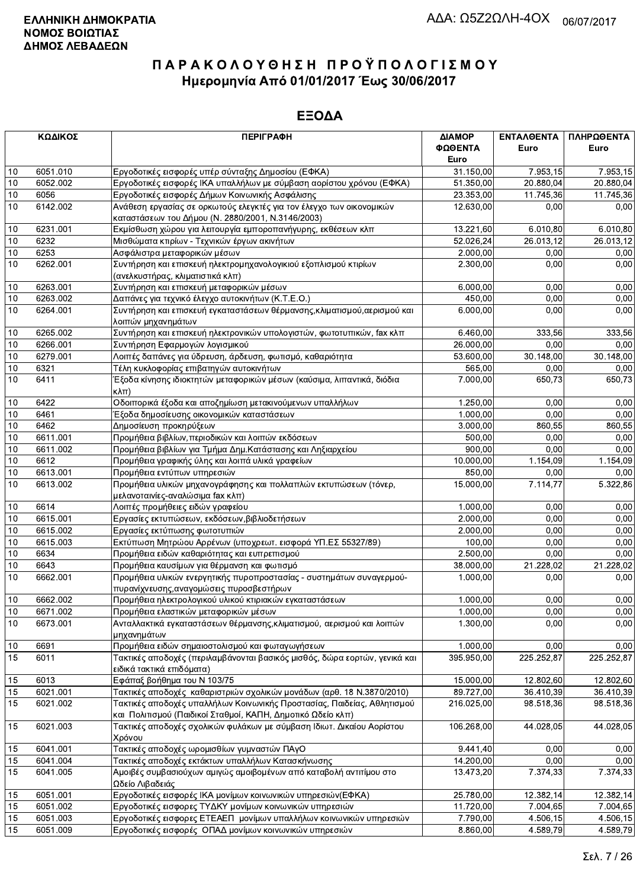|      | ΚΩΔΙΚΟΣ  | <b>ПЕРІГРАФН</b>                                                                                                                       | ΔΙΑΜΟΡ     | ΕΝΤΑΛΘΕΝΤΑ | ΠΛΗΡΩΘΕΝΤΑ            |
|------|----------|----------------------------------------------------------------------------------------------------------------------------------------|------------|------------|-----------------------|
|      |          |                                                                                                                                        | ΦΩΘΕΝΤΑ    | Euro       | Euro                  |
|      |          |                                                                                                                                        | Euro       |            |                       |
| 10   | 6051.010 | Εργοδοτικές εισφορές υπέρ σύνταξης Δημοσίου (ΕΦΚΑ)                                                                                     | 31.150,00  | 7.953,15   | $\overline{7.953,15}$ |
| 10   | 6052.002 | Εργοδοτικές εισφορές ΙΚΑ υπαλλήλων με σύμβαση αορίστου χρόνου (ΕΦΚΑ)                                                                   | 51.350,00  | 20.880,04  | 20.880,04             |
| 10   | 6056     | Εργοδοτικές εισφορές Δήμων Κοινωνικής Ασφάλισης                                                                                        | 23.353,00  | 11.745,36  | 11.745,36             |
| 10   | 6142.002 | Ανάθεση εργασίας σε ορκωτούς ελεγκτές για τον έλεγχο των οικονομικών<br>καταστάσεων του Δήμου (Ν. 2880/2001, Ν.3146/2003)              | 12.630,00  | 0,00       | 0,00                  |
| 10   | 6231.001 | Εκμίσθωση χώρου για λειτουργία εμποροπανήγυρης, εκθέσεων κλπ                                                                           | 13.221,60  | 6.010,80   | 6.010,80              |
| 10   | 6232     | Μισθώματα κτιρίων - Τεχνικών έργων ακινήτων                                                                                            | 52.026,24  | 26.013,12  | 26.013,12             |
| 10   | 6253     | Ασφάλιστρα μεταφορικών μέσων                                                                                                           | 2.000,00   | 0,00       | 0,00                  |
| 10   | 6262.001 | Συντήρηση και επισκευή ηλεκτρομηχανολογικιού εξοπλισμού κτιρίων                                                                        | 2.300,00   | 0,00       | 0,00                  |
|      |          | (ανελκυστήρας, κλιματιστικά κλπ)                                                                                                       |            |            |                       |
| 10   | 6263.001 | Συντήρηση και επισκευή μεταφορικών μέσων                                                                                               | 6.000.00   | 0,00       | 0,00                  |
| 10   | 6263.002 | Δαπάνες για τεχνικό έλεγχο αυτοκινήτων (Κ.Τ.Ε.Ο.)                                                                                      | 450,00     | 0,00       | 0,00                  |
| 10   | 6264.001 | Συντήρηση και επισκευή εγκαταστάσεων θέρμανσης, κλιματισμού, αερισμού και                                                              | 6.000,00   | 0.00       | 0,00                  |
|      |          | λοιπών μηχανημάτων                                                                                                                     |            |            |                       |
| 10   | 6265.002 | Συντήρηση και επισκευή ηλεκτρονικών υπολογιστών, φωτοτυπικών, fax κλπ                                                                  | 6.460,00   | 333,56     | 333,56                |
| 10   | 6266.001 | Συντήρηση Εφαρμογών λογισμικού                                                                                                         | 26.000,00  | 0,00       | 0,00                  |
| 10   | 6279.001 | Λοιπές δαπάνες για ύδρευση, άρδευση, φωτισμό, καθαριότητα                                                                              | 53.600,00  | 30.148,00  | 30.148,00             |
| 10   | 6321     | Τέλη κυκλοφορίας επιβατηγών αυτοκινήτων                                                                                                | 565,00     | 0,00       | 0,00                  |
| 10   | 6411     | Έξοδα κίνησης ιδιοκτητών μεταφορικών μέσων (καύσιμα, λιπαντικά, διόδια<br> κλπ)                                                        | 7.000,00   | 650,73     | 650,73                |
| 10   | 6422     | Οδοιπορικά έξοδα και αποζημίωση μετακινούμενων υπαλλήλων                                                                               | 1.250,00   | 0,00       | 0,00                  |
| 10   | 6461     | Έξοδα δημοσίευσης οικονομικών καταστάσεων                                                                                              | 1.000,00   | 0,00       | 0,00                  |
| 10   | 6462     | Δημοσίευση προκηρύξεων                                                                                                                 | 3.000,00   | 860,55     | 860,55                |
| 10   | 6611.001 | Προμήθεια βιβλίων, περιοδικών και λοιπών εκδόσεων                                                                                      | 500,00     | 0,00       | 0,00                  |
| 10   | 6611.002 | Προμήθεια βιβλίων για Τμήμα Δημ. Κατάστασης και Ληξιαρχείου                                                                            | 900,00     | 0,00       | 0,00                  |
| 10   | 6612     | Προμήθεια γραφικής ύλης και λοιπά υλικά γραφείων                                                                                       | 10.000,00  | 1.154,09   | 1.154,09              |
| 10   | 6613.001 | Προμήθεια εντύπων υπηρεσιών                                                                                                            | 850,00     | 0,00       | 0,00                  |
| 10   | 6613.002 | Προμήθεια υλικών μηχανογράφησης και πολλαπλών εκτυπώσεων (τόνερ,<br>μελανοταινίες-αναλώσιμα fax κλπ)                                   | 15.000,00  | 7.114,77   | 5.322,86              |
| 10   | 6614     | Λοιπές προμήθειες ειδών γραφείου                                                                                                       | 1.000,00   | 0.00       | 0,00                  |
| 10   | 6615.001 | Εργασίες εκτυπώσεων, εκδόσεων, βιβλιοδετήσεων                                                                                          | 2.000,00   | 0.00       | 0,00                  |
| 10   | 6615.002 | Εργασίες εκτύπωσης φωτοτυπιών                                                                                                          | 2.000,00   | 0,00       | 0,00                  |
| 10   | 6615.003 | Εκτύπωση Μητρώου Αρρένων (υποχρεωτ. εισφορά ΥΠ.ΕΣ 55327/89)                                                                            | 100,00     | 0,00       | 0,00                  |
| 10   | 6634     | Προμήθεια ειδών καθαριότητας και ευπρεπισμού                                                                                           | 2.500,00   | 0,00       | 0,00                  |
| 10   | 6643     | Προμήθεια καυσίμων για θέρμανση και φωτισμό                                                                                            | 38.000,00  | 21.228,02  | 21.228,02             |
| 10   | 6662.001 | Προμήθεια υλικών ενεργητικής πυροπροστασίας - συστημάτων συναγερμού-<br>πυρανίχνευσης, αναγομώσεις πυροσβεστήρων                       | 1.000,00   | 0,00       | 0,00                  |
| 10   | 6662.002 | Προμήθεια ηλεκτρολογικού υλικού κτιριακών εγκαταστάσεων                                                                                | 1.000,00   | 0,00       | 0,00                  |
| 10   | 6671.002 | Προμήθεια ελαστικών μεταφορικών μέσων                                                                                                  | 1.000,00   | 0,00       | 0,00                  |
| $10$ | 6673.001 | Ανταλλακτικά εγκαταστάσεων θέρμανσης, κλιματισμού, αερισμού και λοιπών                                                                 | 1.300,00   | 0,00       | 0,00                  |
|      |          | μηχανημάτων                                                                                                                            |            |            |                       |
| 10   | 6691     | Προμήθεια ειδών σημαιοστολισμού και φωταγωγήσεων                                                                                       | 1.000,00   | 0,00       | 0,00                  |
| 15   | 6011     | Τακτικές αποδοχές (περιλαμβάνονται βασικός μισθός, δώρα εορτών, γενικά και<br>ειδικά τακτικά επιδόματα)                                | 395.950,00 | 225.252,87 | 225.252,87            |
| 15   | 6013     | Εφάπαξ βοήθημα του Ν 103/75                                                                                                            | 15.000,00  | 12.802,60  | 12.802,60             |
| 15   | 6021.001 | Τακτικές αποδοχές καθαριστριών σχολικών μονάδων (αρθ. 18 Ν.3870/2010)                                                                  | 89.727,00  | 36.410,39  | 36.410,39             |
| 15   | 6021.002 | Τακτικές αποδοχές υπαλλήλων Κοινωνικής Προστασίας, Παιδείας, Αθλητισμού<br>και Πολιτισμού (Παιδικοί Σταθμοί, ΚΑΠΗ, Δημοτικό Ωδείο κλπ) | 216.025,00 | 98.518,36  | 98.518,36             |
| 15   | 6021.003 | Τακτικές αποδοχές σχολικών φυλάκων με σύμβαση Ιδιωτ. Δικαίου Αορίστου                                                                  | 106.268.00 | 44.028,05  | 44.028,05             |
| 15   | 6041.001 | Χρόνου<br>Τακτικές αποδοχές ωρομισθίων γυμναστών ΠΑγΟ                                                                                  | 9.441,40   | 0,00       | 0,00                  |
| 15   | 6041.004 | Τακτικές αποδοχές εκτάκτων υπαλλήλων Κατασκήνωσης                                                                                      | 14.200,00  | 0,00       | 0,00                  |
| 15   | 6041.005 | Αμοιβές συμβασιούχων αμιγώς αμοιβομένων από καταβολή αντιτίμου στο                                                                     | 13.473,20  | 7.374,33   | 7.374,33              |
|      |          | Ωδείο Λιβαδειάς                                                                                                                        |            |            |                       |
| 15   | 6051.001 | Εργοδοτικές εισφορές ΙΚΑ μονίμων κοινωνικών υπηρεσιών(ΕΦΚΑ)                                                                            | 25.780,00  | 12.382,14  | 12.382,14             |
| 15   | 6051.002 | Εργοδοτικές εισφορες ΤΥΔΚΥ μονίμων κοινωνικών υπηρεσιών                                                                                | 11.720,00  | 7.004,65   | 7.004,65              |
| 15   | 6051.003 | Εργοδοτικές εισφορες ΕΤΕΑΕΠ μονίμων υπαλλήλων κοινωνικών υπηρεσιών                                                                     | 7.790,00   | 4.506, 15  | 4.506,15              |
| 15   | 6051.009 | Ερνοδοτικές εισφορές ΟΠΑΔ μονίμων κοινωνικών υπηρεσιών                                                                                 | 8.860.00   | 4.589.79   | 4.589.79              |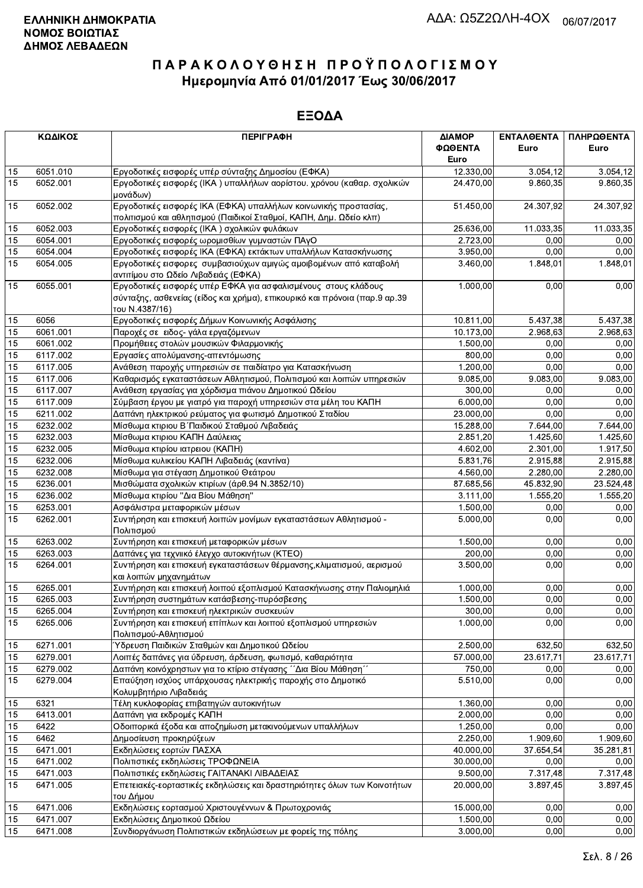|    | ΚΩΔΙΚΟΣ  | <b>ПЕРІГРАФН</b>                                                                                                                                               | ΔΙΑΜΟΡ    | ΕΝΤΑΛΘΕΝΤΑ | ΠΛΗΡΩΘΕΝΤΑ |
|----|----------|----------------------------------------------------------------------------------------------------------------------------------------------------------------|-----------|------------|------------|
|    |          |                                                                                                                                                                | ΦΩΘΕΝΤΑ   | Euro       | Euro       |
|    |          |                                                                                                                                                                | Euro      |            |            |
| 15 | 6051.010 | Εργοδοτικές εισφορές υπέρ σύνταξης Δημοσίου (ΕΦΚΑ)                                                                                                             | 12.330,00 | 3.054.12   | 3.054, 12  |
| 15 | 6052.001 | Εργοδοτικές εισφορές (ΙΚΑ) υπαλλήλων αορίστου. χρόνου (καθαρ. σχολικών<br>μονάδων)                                                                             | 24.470,00 | 9.860.35   | 9.860,35   |
| 15 | 6052.002 | Εργοδοτικές εισφορές ΙΚΑ (ΕΦΚΑ) υπαλλήλων κοινωνικής προστασίας,<br>πολιτισμού και αθλητισμού (Παιδικοί Σταθμοί, ΚΑΠΗ, Δημ. Ωδείο κλπ)                         | 51.450,00 | 24.307,92  | 24.307,92  |
| 15 | 6052.003 | Εργοδοτικές εισφορές (ΙΚΑ) σχολικών φυλάκων                                                                                                                    | 25.636,00 | 11.033,35  | 11.033,35  |
| 15 | 6054.001 | Εργοδοτικές εισφορές ωρομισθίων γυμναστών ΠΑγΟ                                                                                                                 | 2.723,00  | 0,00       | 0,00       |
| 15 | 6054.004 | Εργοδοτικές εισφορές ΙΚΑ (ΕΦΚΑ) εκτάκτων υπαλλήλων Κατασκήνωσης                                                                                                | 3.950,00  | 0,00       | 0,00       |
| 15 | 6054.005 | Εργοδοτικές εισφορες συμβασιούχων αμιγώς αμοιβομένων από καταβολή<br>αντιτίμου στο Ωδείο Λιβαδειάς (ΕΦΚΑ)                                                      | 3.460,00  | 1.848,01   | 1.848,01   |
| 15 | 6055.001 | Εργοδοτικές εισφορές υπέρ ΕΦΚΑ για ασφαλισμένους στους κλάδους<br>σύνταξης, ασθενείας (είδος και χρήμα), επικουρικό και πρόνοια (παρ.9 αρ.39<br>του Ν.4387/16) | 1.000,00  | 0,00       | 0,00       |
| 15 | 6056     | Εργοδοτικές εισφορές Δήμων Κοινωνικής Ασφάλισης                                                                                                                | 10.811,00 | 5.437,38   | 5.437,38   |
| 15 | 6061.001 | Παροχές σε ειδος- γάλα εργαζόμενων                                                                                                                             | 10.173,00 | 2.968,63   | 2.968,63   |
| 15 | 6061.002 | Προμήθειες στολών μουσικών Φιλαρμονικής                                                                                                                        | 1.500,00  | 0,00       | 0,00       |
| 15 | 6117.002 | Εργασίες απολύμανσης-απεντόμωσης                                                                                                                               | 800,00    | 0,00       | 0,00       |
| 15 | 6117.005 | Ανάθεση παροχής υπηρεσιών σε παιδίατρο για Κατασκήνωση                                                                                                         | 1.200,00  | 0,00       | 0,00       |
| 15 | 6117.006 | Καθαρισμός εγκαταστάσεων Αθλητισμού, Πολιτισμού και λοιπών υπηρεσιών                                                                                           | 9.085,00  | 9.083,00   | 9.083,00   |
| 15 | 6117.007 | Ανάθεση εργασίας για χόρδισμα πιάνου Δημοτικού Ωδείου                                                                                                          | 300,00    | 0,00       | 0,00       |
| 15 | 6117.009 | Σύμβαση έργου με γιατρό για παροχή υπηρεσιών στα μέλη του ΚΑΠΗ                                                                                                 | 6.000,00  | 0,00       | 0,00       |
| 15 | 6211.002 | Δαπάνη ηλεκτρικού ρεύματος για φωτισμό Δημοτικού Σταδίου                                                                                                       | 23.000,00 | 0,00       | 0.00       |
| 15 | 6232.002 | Μίσθωμα κτιριου Β΄ Παιδικού Σταθμού Λιβαδειάς                                                                                                                  | 15.288,00 | 7.644,00   | 7.644,00   |
| 15 | 6232.003 | Μίσθωμα κτιριου ΚΑΠΗ Δαύλειας                                                                                                                                  | 2.851,20  | 1.425,60   | 1.425,60   |
| 15 | 6232.005 | Μίσθωμα κτιρίου ιατρειου (ΚΑΠΗ)                                                                                                                                | 4.602,00  | 2.301,00   | 1.917,50   |
| 15 | 6232.006 | Μίσθωμα κυλικείου ΚΑΠΗ Λιβαδειάς (καντίνα)                                                                                                                     | 5.831,76  | 2.915,88   | 2.915,88   |
| 15 | 6232.008 | Μίσθωμα για στέγαση Δημοτικού Θεάτρου                                                                                                                          | 4.560,00  | 2.280,00   | 2.280,00   |
| 15 | 6236.001 | Μισθώματα σχολικών κτιρίων (άρθ.94 Ν.3852/10)                                                                                                                  | 87.685,56 | 45.832,90  | 23.524,48  |
| 15 | 6236.002 | Μίσθωμα κτιρίου "Δια Βίου Μάθηση"                                                                                                                              | 3.111,00  | 1.555,20   | 1.555,20   |
| 15 | 6253.001 | Ασφάλιστρα μεταφορικών μέσων                                                                                                                                   | 1.500,00  | 0,00       | 0,00       |
| 15 | 6262.001 | Συντήρηση και επισκευή λοιπών μονίμων εγκαταστάσεων Αθλητισμού -<br>Πολιτισμού                                                                                 | 5.000,00  | 0,00       | 0,00       |
| 15 | 6263.002 | Συντήρηση και επισκευή μεταφορικών μέσων                                                                                                                       | 1.500,00  | 0,00       | 0,00       |
| 15 | 6263.003 | Δαπάνες για τεχνιικό έλεγχο αυτοκινήτων (ΚΤΕΟ)                                                                                                                 | 200,00    | 0,00       | 0,00       |
| 15 | 6264.001 | Συντήρηση και επισκευή εγκαταστάσεων θέρμανσης, κλιματισμού, αερισμού<br>και λοιπών μηχανημάτων                                                                | 3.500,00  | 0,00       | 0,00       |
| 15 | 6265.001 | Συντήρηση και επισκευή λοιπού εξοπλισμού Κατασκήνωσης στην Παλιομηλιά                                                                                          | 1.000,00  | 0,00       | 0,00       |
| 15 | 6265.003 | Συντήρηση συστημάτων κατάσβεσης-πυρόσβεσης                                                                                                                     | 1.500,00  | 0,00       | 0,00       |
| 15 | 6265.004 | Συντήρηση και επισκευή ηλεκτρικών συσκευών                                                                                                                     | 300,00    | 0.00       | 0,00       |
| 15 | 6265.006 | Συντήρηση και επισκευή επίπλων και λοιπού εξοπλισμού υπηρεσιών<br>Πολιτισμού-Αθλητισμού                                                                        | 1.000,00  | 0,00       | 0,00       |
| 15 | 6271.001 | Ύδρευση Παιδικών Σταθμών και Δημοτικού Ωδείου                                                                                                                  | 2.500,00  | 632,50     | 632,50     |
| 15 | 6279.001 | Λοιπές δαπάνες για ύδρευση, άρδευση, φωτισμό, καθαριότητα                                                                                                      | 57.000,00 | 23.617,71  | 23.617,71  |
| 15 | 6279.002 | Δαπάνη κοινόχρηστων για το κτίριο στέγασης ΄΄Δια Βίου Μάθηση΄΄                                                                                                 | 750,00    | 0,00       | 0,00       |
| 15 | 6279.004 | Επαύξηση ισχύος υπάρχουσας ηλεκτρικής παροχής στο Δημοτικό<br>Κολυμβητήριο Λιβαδειάς                                                                           | 5.510,00  | 0,00       | 0,00       |
| 15 | 6321     | Τέλη κυκλοφορίας επιβατηγών αυτοκινήτων                                                                                                                        | 1.360,00  | 0,00       | 0,00       |
| 15 | 6413.001 | Δαπάνη για εκδρομές ΚΑΠΗ                                                                                                                                       | 2.000,00  | 0,00       | 0,00       |
| 15 | 6422     | Οδοιπορικά έξοδα και αποζημίωση μετακινούμενων υπαλλήλων                                                                                                       | 1.250,00  | 0,00       | 0,00       |
| 15 | 6462     | Δημοσίευση προκηρύξεων                                                                                                                                         | 2.250,00  | 1.909,60   | 1.909,60   |
| 15 | 6471.001 | Εκδηλώσεις εορτών ΠΑΣΧΑ                                                                                                                                        | 40.000,00 | 37.654,54  | 35.281,81  |
| 15 | 6471.002 | Πολιτιστικές εκδηλώσεις ΤΡΟΦΩΝΕΙΑ                                                                                                                              | 30.000,00 | 0,00       | 0,00       |
| 15 | 6471.003 | Πολιτιστικές εκδηλώσεις ΓΑΙΤΑΝΑΚΙ ΛΙΒΑΔΕΙΑΣ                                                                                                                    | 9.500,00  | 7.317,48   | 7.317,48   |
| 15 | 6471.005 | Επετειακές-εορταστικές εκδηλώσεις και δραστηριότητες όλων των Κοινοτήτων<br>του Δήμου                                                                          | 20.000,00 | 3.897,45   | 3.897,45   |
| 15 | 6471.006 | Εκδηλώσεις εορτασμού Χριστουγέννων & Πρωτοχρονιάς                                                                                                              | 15.000,00 | 0,00       | 0,00       |
| 15 | 6471.007 | Εκδηλώσεις Δημοτικού Ωδείου                                                                                                                                    | 1.500,00  | 0,00       | 0,00       |
| 15 | 6471.008 | Συνδιοργάνωση Πολιτιστικών εκδηλώσεων με φορείς της πόλης                                                                                                      | 3.000,00  | 0,00       | 0,00       |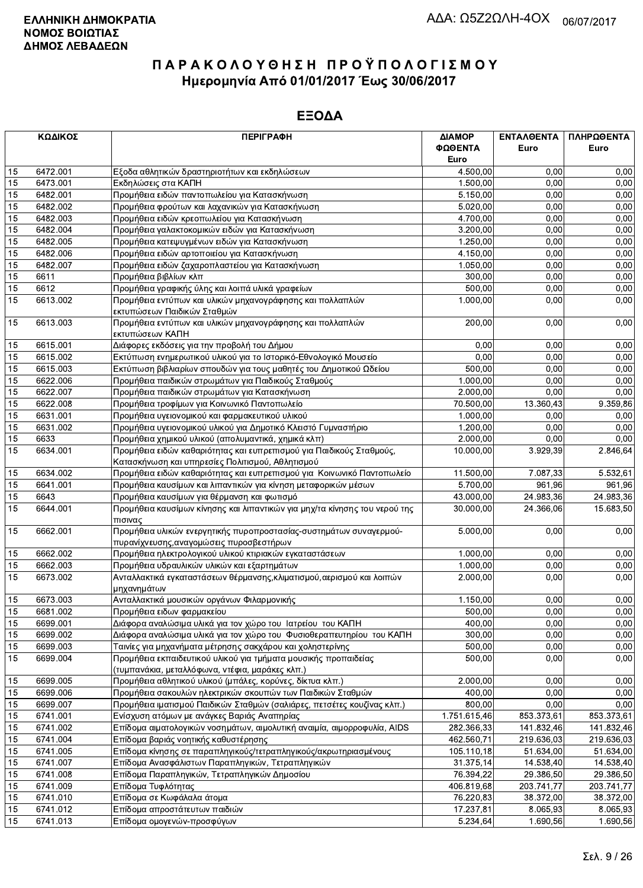|    | ΚΩΔΙΚΟΣ  | <b>ПЕРІГРАФН</b>                                                                                                         | ΔΙΑΜΟΡ<br>ΦΩΘΕΝΤΑ<br>Euro | ΕΝΤΑΛΘΕΝΤΑ<br>Euro | ΠΛΗΡΩΘΕΝΤΑ<br>Euro |
|----|----------|--------------------------------------------------------------------------------------------------------------------------|---------------------------|--------------------|--------------------|
| 15 | 6472.001 | Εξοδα αθλητικών δραστηριοτήτων και εκδηλώσεων                                                                            | 4.500,00                  | 0,00               | 0,00               |
| 15 | 6473.001 | Εκδηλώσεις στα ΚΑΠΗ                                                                                                      | 1.500,00                  | 0,00               | 0,00               |
| 15 | 6482.001 | Προμήθεια ειδών παντοπωλείου για Κατασκήνωση                                                                             | 5.150,00                  | 0,00               | 0,00               |
| 15 | 6482.002 | Προμήθεια φρούτων και λαχανικών για Κατασκήνωση                                                                          | 5.020,00                  | 0,00               | 0,00               |
| 15 | 6482.003 | Προμήθεια ειδών κρεοπωλείου για Κατασκήνωση                                                                              | 4.700,00                  | 0,00               | 0,00               |
| 15 | 6482.004 | Προμήθεια γαλακτοκομικών ειδών για Κατασκήνωση                                                                           | 3.200,00                  | 0,00               | 0,00               |
| 15 | 6482.005 | Προμήθεια κατεψυγμένων ειδών για Κατασκήνωση                                                                             | 1.250,00                  | 0,00               | 0,00               |
| 15 | 6482.006 | Προμήθεια ειδών αρτοποιείου για Κατασκήνωση                                                                              | 4.150,00                  | 0,00               | 0,00               |
| 15 | 6482.007 | Προμήθεια ειδών ζαχαροπλαστείου για Κατασκήνωση                                                                          | 1.050,00                  | 0,00               | 0,00               |
| 15 | 6611     | Προμήθεια βιβλίων κλπ                                                                                                    | 300,00                    | 0,00               | 0,00               |
| 15 | 6612     | Προμήθεια γραφικής ύλης και λοιπά υλικά γραφείων                                                                         | 500,00                    | 0,00               | 0,00               |
| 15 | 6613.002 | Προμήθεια εντύπων και υλικών μηχανογράφησης και πολλαπλών                                                                | 1.000,00                  | 0,00               | 0,00               |
|    |          | εκτυπώσεων Παιδικών Σταθμών                                                                                              |                           |                    |                    |
| 15 | 6613.003 | Προμήθεια εντύπων και υλικών μηχανογράφησης και πολλαπλών                                                                | 200,00                    | 0,00               | 0,00               |
|    |          | εκτυπώσεων ΚΑΠΗ                                                                                                          |                           |                    |                    |
| 15 | 6615.001 | Διάφορες εκδόσεις για την προβολή του Δήμου                                                                              | 0,00                      | 0,00               | 0,00               |
| 15 | 6615.002 | Εκτύπωση ενημερωτικού υλικού για το Ιστορικό-Εθνολογικό Μουσείο                                                          | 0,00                      | 0,00               | 0,00               |
| 15 | 6615.003 | Εκτύπωση βιβλιαρίων σπουδών για τους μαθητές του Δημοτικού Ωδείου                                                        | 500,00                    | 0,00               | 0,00               |
| 15 | 6622.006 | Προμήθεια παιδικών στρωμάτων για Παιδικούς Σταθμούς                                                                      | 1.000,00                  | 0,00               | 0,00               |
| 15 | 6622.007 | Προμήθεια παιδικών στρωμάτων για Κατασκήνωση                                                                             | 2.000,00                  | 0.00               | 0,00               |
| 15 | 6622.008 | Προμήθεια τροφίμων για Κοινωνικό Παντοπωλείο                                                                             | 70.500,00                 | 13.360,43          | 9.359,86           |
| 15 | 6631.001 | Προμήθεια υγειονομικού και φαρμακευτικού υλικού                                                                          | 1.000,00                  | 0,00               | 0,00               |
| 15 | 6631.002 | Προμήθεια υγειονομικού υλικού για Δημοτικό Κλειστό Γυμναστήριο                                                           | 1.200,00                  | 0,00               | 0,00               |
| 15 | 6633     | Προμήθεια χημικού υλικού (απολυμαντικά, χημικά κλπ)                                                                      | 2.000,00                  | 0,00               | 0,00               |
| 15 | 6634.001 | Προμήθεια ειδών καθαριότητας και ευπρεπισμού για Παιδικούς Σταθμούς,<br>Κατασκήνωση και υπηρεσίες Πολιτισμού, Αθλητισμού | 10.000,00                 | 3.929,39           | 2.846,64           |
| 15 | 6634.002 | Προμήθεια ειδών καθαριότητας και ευπρεπισμού για Κοινωνικό Παντοπωλείο                                                   | 11.500,00                 | 7.087,33           | 5.532,61           |
| 15 | 6641.001 | Προμήθεια καυσίμων και λιπαντικών για κίνηση μεταφορικών μέσων                                                           | 5.700,00                  | 961,96             | 961,96             |
| 15 | 6643     | Προμήθεια καυσίμων για θέρμανση και φωτισμό                                                                              | 43.000,00                 | 24.983,36          | 24.983,36          |
| 15 | 6644.001 | Προμήθεια καυσίμων κίνησης και λιπαντικών για μηχ/τα κίνησης του νερού της                                               | 30.000,00                 | 24.366,06          | 15.683,50          |
| 15 | 6662.001 | πισινας<br>Προμήθεια υλικών ενεργητικής πυροπροστασίας-συστημάτων συναγερμού-                                            | 5.000,00                  | 0,00               | 0,00               |
|    |          | πυρανίχνευσης, αναγομώσεις πυροσβεστήρων                                                                                 |                           |                    |                    |
| 15 | 6662.002 | Προμήθεια ηλεκτρολογικού υλικού κτιριακών εγκαταστάσεων                                                                  | 1.000,00                  | 0,00               | 0,00               |
| 15 | 6662.003 | Προμήθεια υδραυλικών υλικών και εξαρτημάτων                                                                              | 1.000.00                  | 0,00               | 0,00               |
| 15 | 6673.002 | Ανταλλακτικά εγκαταστάσεων θέρμανσης, κλιματισμού, αερισμού και λοιπών<br>μηχανημάτων                                    | 2.000,00                  | 0,00               | 0,00               |
| 15 | 6673.003 | Ανταλλακτικά μουσικών οργάνων Φιλαρμονικής                                                                               | 1.150,00                  | 0,00               | 0,00               |
| 15 | 6681.002 | Προμήθεια ειδων φαρμακείου                                                                                               | 500,00                    | 0,00               | 0,00               |
| 15 | 6699.001 | Διάφορα αναλώσιμα υλικά για τον χώρο του Ιατρείου του ΚΑΠΗ                                                               | 400,00                    | 0,00               | 0,00               |
| 15 | 6699.002 | Διάφορα αναλώσιμα υλικά για τον χώρο του Φυσιοθεραπευτηρίου του ΚΑΠΗ                                                     | 300,00                    | 0,00               | 0,00               |
| 15 | 6699.003 | Ταινίες για μηχανήματα μέτρησης σακχάρου και χοληστερίνης                                                                | 500,00                    | 0,00               | 0,00               |
| 15 | 6699.004 | Προμήθεια εκπαιδευτικού υλικού για τμήματα μουσικής προπαιδείας                                                          | 500,00                    | 0,00               | 0,00               |
|    |          | (τυμπανάκια, μεταλλόφωνα, ντέφια, μαράκες κλπ.)                                                                          |                           |                    |                    |
| 15 | 6699.005 | Προμήθεια αθλητικού υλικού (μπάλες, κορύνες, δίκτυα κλπ.)                                                                | 2.000,00                  | 0,00               | 0,00               |
| 15 | 6699.006 | Προμήθεια σακουλών ηλεκτρικών σκουπών των Παιδικών Σταθμών                                                               | 400,00                    | 0,00               | 0,00               |
| 15 | 6699.007 | Προμήθεια ιματισμού Παιδικών Σταθμών (σαλιάρες, πετσέτες κουζίνας κλπ.)                                                  | 800,00                    | 0,00               | 0,00               |
| 15 | 6741.001 | Ενίσχυση ατόμων με ανάγκες Βαριάς Αναπηρίας                                                                              | 1.751.615,46              | 853.373,61         | 853.373,61         |
| 15 | 6741.002 | Επίδομα αιματολογικών νοσημάτων, αιμολυτική αναιμία, αιμορροφυλία, AIDS                                                  | 282.366,33                | 141.832,46         | 141.832,46         |
| 15 | 6741.004 | Επίδομα βαριάς νοητικής καθυστέρησης                                                                                     | 462.560,71                | 219.636,03         | 219.636,03         |
| 15 | 6741.005 | Επίδομα κίνησης σε παραπληγικούς/τετραπληγικούς/ακρωτηριασμένους                                                         | 105.110,18                | 51.634,00          | 51.634,00          |
| 15 | 6741.007 | Επίδομα Ανασφάλιστων Παραπληγικών, Τετραπληγικών                                                                         | 31.375,14                 | 14.538,40          | 14.538,40          |
| 15 | 6741.008 | Επίδομα Παραπληγικών, Τετραπληγικών Δημοσίου                                                                             | 76.394,22                 | 29.386,50          | 29.386,50          |
| 15 | 6741.009 | Επίδομα Τυφλότητας                                                                                                       | 406.819,68                | 203.741,77         | 203.741,77         |
| 15 | 6741.010 | Επίδομα σε Κωφάλαλα άτομα                                                                                                | 76.220,83                 | 38.372,00          | 38.372,00          |
| 15 | 6741.012 | Επίδομα απροστάτευτων παιδιών                                                                                            | 17.237,81                 | 8.065,93           | 8.065,93           |
| 15 | 6741.013 | Επίδομα ομογενών-προσφύγων                                                                                               | 5.234,64                  | 1.690,56           | 1.690,56           |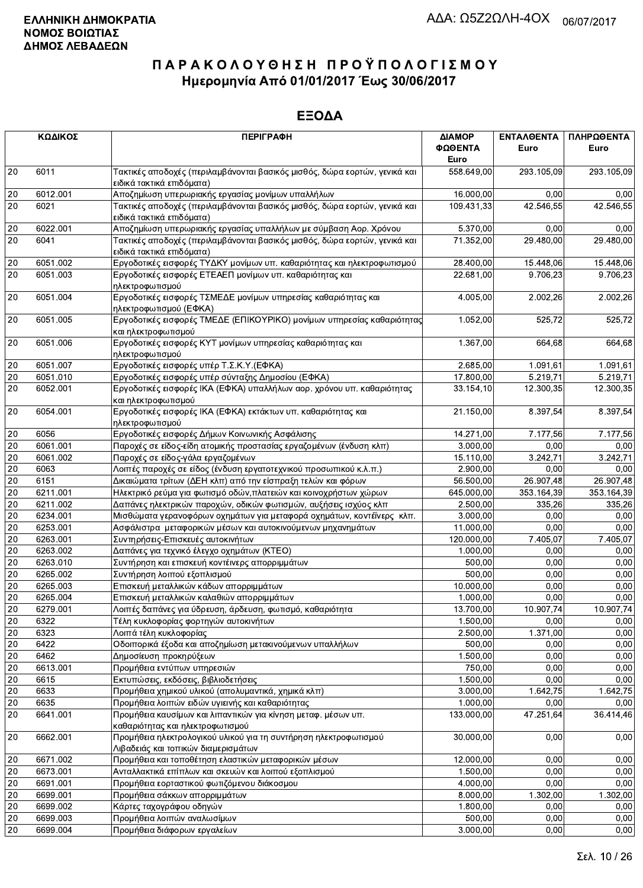|        | ΚΩΔΙΚΟΣ  | <b>ПЕРІГРАФН</b>                                                                                        | ΔΙΑΜΟΡ<br>ΦΩΘΕΝΤΑ<br>Euro | <b>ENTAA@ENTA</b><br>Euro | ΠΛΗΡΩΘΕΝΤΑ<br>Euro |
|--------|----------|---------------------------------------------------------------------------------------------------------|---------------------------|---------------------------|--------------------|
| 20     | 6011     | Τακτικές αποδοχές (περιλαμβάνονται βασικός μισθός, δώρα εορτών, γενικά και<br>ειδικά τακτικά επιδόματα) | 558.649,00                | 293.105,09                | 293.105,09         |
| 20     | 6012.001 | Αποζημίωση υπερωριακής εργασίας μονίμων υπαλλήλων                                                       | 16.000,00                 | 0.00                      | 0,00               |
| 20     | 6021     | Τακτικές αποδοχές (περιλαμβάνονται βασικός μισθός, δώρα εορτών, γενικά και<br>ειδικά τακτικά επιδόματα) | 109.431,33                | 42.546,55                 | 42.546,55          |
| $20\,$ | 6022.001 | Αποζημίωση υπερωριακής εργασίας υπαλλήλων με σύμβαση Αορ. Χρόνου                                        | 5.370,00                  | 0.00                      | 0,00               |
| 20     | 6041     | Τακτικές αποδοχές (περιλαμβάνονται βασικός μισθός, δώρα εορτών, γενικά και<br>ειδικά τακτικά επιδόματα) | 71.352,00                 | 29.480,00                 | 29.480,00          |
| 20     | 6051.002 | Εργοδοτικές εισφορές ΤΥΔΚΥ μονίμων υπ. καθαριότητας και ηλεκτροφωτισμού                                 | 28.400,00                 | 15.448,06                 | 15.448,06          |
| 20     | 6051.003 | Εργοδοτικές εισφορές ΕΤΕΑΕΠ μονίμων υπ. καθαριότητας και<br>ηλεκτροφωτισμού                             | 22.681,00                 | 9.706,23                  | 9.706,23           |
| 20     | 6051.004 | Εργοδοτικές εισφορές ΤΣΜΕΔΕ μονίμων υπηρεσίας καθαριότητας και<br>ηλεκτροφωτισμού (ΕΦΚΑ)                | 4.005,00                  | 2.002,26                  | 2.002,26           |
| 20     | 6051.005 | Εργοδοτικές εισφορές ΤΜΕΔΕ (ΕΠΙΚΟΥΡΙΚΟ) μονίμων υπηρεσίας καθαριότητας<br>και ηλεκτροφωτισμού           | 1.052,00                  | 525,72                    | 525,72             |
| 20     | 6051.006 | Εργοδοτικές εισφορές ΚΥΤ μονίμων υπηρεσίας καθαριότητας και<br>ηλεκτροφωτισμού                          | 1.367,00                  | 664,68                    | 664,68             |
| 20     | 6051.007 | Εργοδοτικές εισφορές υπέρ Τ.Σ.Κ.Υ. (ΕΦΚΑ)                                                               | 2.685,00                  | 1.091,61                  | 1.091,61           |
| 20     | 6051.010 | Εργοδοτικές εισφορές υπέρ σύνταξης Δημοσίου (ΕΦΚΑ)                                                      | 17.800,00                 | 5.219,71                  | 5.219,71           |
| 20     | 6052.001 | Εργοδοτικές εισφορές ΙΚΑ (ΕΦΚΑ) υπαλλήλων αορ. χρόνου υπ. καθαριότητας<br>και ηλεκτροφωτισμού           | 33.154,10                 | 12.300,35                 | 12.300,35          |
| 20     | 6054.001 | Εργοδοτικές εισφορές ΙΚΑ (ΕΦΚΑ) εκτάκτων υπ. καθαριότητας και<br>ηλεκτροφωτισμού                        | 21.150,00                 | 8.397,54                  | 8.397,54           |
| 20     | 6056     | Εργοδοτικές εισφορές Δήμων Κοινωνικής Ασφάλισης                                                         | 14.271,00                 | 7.177,56                  | 7.177,56           |
| 20     | 6061.001 | Παροχές σε είδος-είδη ατομικής προστασίας εργαζομένων (ένδυση κλπ)                                      | 3.000,00                  | 0.00                      | 0,00               |
| 20     | 6061.002 | Παροχές σε είδος-γάλα εργαζομένων                                                                       | 15.110,00                 | 3.242,71                  | 3.242,71           |
| 20     | 6063     | Λοιπές παροχές σε είδος (ένδυση εργατοτεχνικού προσωπικού κ.λ.π.)                                       | 2.900,00                  | 0,00                      | 0,00               |
| 20     | 6151     | Δικαιώματα τρίτων (ΔΕΗ κλπ) από την είσπραξη τελών και φόρων                                            | 56.500,00                 | 26.907,48                 | 26.907,48          |
| 20     | 6211.001 | Ηλεκτρικό ρεύμα για φωτισμό οδών, πλατειών και κοινοχρήστων χώρων                                       | 645.000,00                | 353.164,39                | 353.164,39         |
| 20     | 6211.002 | Δαπάνες ηλεκτρικών παροχών, οδικών φωτισμών, αυξήσεις ισχύος κλπ                                        | 2.500,00                  | 335,26                    | 335,26             |
| 20     | 6234.001 | Μισθώματα γερανοφόρων οχημάτων για μεταφορά οχημάτων, κοντέϊνερς κλπ.                                   | 3.000,00                  | 0.00                      | 0,00               |
| 20     | 6253.001 | Ασφάλιστρα μεταφορικών μέσων και αυτοκινούμενων μηχανημάτων                                             | 11.000,00                 | 0.00                      | 0,00               |
| 20     | 6263.001 | Συντηρήσεις-Επισκευές αυτοκινήτων                                                                       | 120.000,00                | 7.405,07                  | 7.405,07           |
| 20     | 6263.002 | Δαπάνες για τεχνικό έλεγχο οχημάτων (ΚΤΕΟ)                                                              | 1.000,00                  | 0,00                      | 0,00               |
| 20     | 6263.010 | Συντήρηση και επισκευή κοντέινερς απορριμμάτων                                                          | 500,00                    | 0,00                      | 0,00               |
| 20     | 6265.002 | Συντήρηση λοιπού εξοπλισμού                                                                             | 500,00                    | 0,00                      | 0,00               |
| 20     | 6265.003 | Επισκευή μεταλλικών κάδων απορριμμάτων                                                                  | 10.000,00                 | 0,00                      | 0,00               |
| 20     | 6265.004 | Επισκευή μεταλλικών καλαθιών απορριμμάτων                                                               | 1.000,00                  | 0,00                      | 0,00               |
| 20     | 6279.001 | Λοιπές δαπάνες για ύδρευση, άρδευση, φωτισμό, καθαριότητα                                               | 13.700,00                 | 10.907,74                 | 10.907,74          |
| $20\,$ | 6322     | Τέλη κυκλοφορίας φορτηγών αυτοκινήτων                                                                   | 1.500,00                  | 0,00                      | 0,00               |
| 20     | 6323     | Λοιπά τέλη κυκλοφορίας                                                                                  | 2.500,00                  | 1.371,00                  | 0,00               |
| 20     | 6422     | Οδοιπορικά έξοδα και αποζημίωση μετακινούμενων υπαλλήλων                                                | 500,00                    | 0,00                      | 0,00               |
| 20     | 6462     | Δημοσίευση προκηρύξεων                                                                                  | 1.500,00                  | 0,00                      | 0,00               |
| 20     | 6613.001 | Προμήθεια εντύπων υπηρεσιών                                                                             | 750,00                    | 0,00                      | 0,00               |
| 20     | 6615     | Εκτυπώσεις, εκδόσεις, βιβλιοδετήσεις                                                                    | 1.500,00                  | 0,00                      | 0,00               |
| 20     | 6633     | Προμήθεια χημικού υλικού (απολυμαντικά, χημικά κλπ)                                                     | 3.000,00                  | 1.642,75                  | 1.642,75           |
| 20     | 6635     | Προμήθεια λοιπών ειδών υγιεινής και καθαριότητας                                                        | 1.000,00                  | 0,00                      | 0,00               |
| 20     | 6641.001 | Προμήθεια καυσίμων και λιπαντικών για κίνηση μεταφ. μέσων υπ.<br>καθαριότητας και ηλεκτροφωτισμού       | 133.000,00                | 47.251,64                 | 36.414,46          |
| 20     | 6662.001 | Προμήθεια ηλεκτρολογικού υλικού για τη συντήρηση ηλεκτροφωτισμού<br>Λιβαδειάς και τοπικών διαμερισμάτων | 30.000,00                 | 0,00                      | 0,00               |
| 20     | 6671.002 | Προμήθεια και τοποθέτηση ελαστικών μεταφορικών μέσων                                                    | 12.000,00                 | 0,00                      | 0,00               |
| 20     | 6673.001 | Ανταλλακτικά επίπλων και σκευών και λοιπού εξοπλισμού                                                   | 1.500,00                  | 0,00                      | 0,00               |
| 20     | 6691.001 | Προμήθεια εορταστικού φωτιζόμενου διάκοσμου                                                             | 4.000,00                  | 0,00                      | 0,00               |
| 20     | 6699.001 | Προμήθεια σάκκων απορριμμάτων                                                                           | 8.000,00                  | 1.302,00                  | 1.302,00           |
| 20     | 6699.002 | Κάρτες ταχογράφου οδηγών                                                                                | 1.800,00                  | 0,00                      | 0,00               |
| 20     | 6699.003 | Προμήθεια λοιπών αναλωσίμων                                                                             | 500,00                    | 0,00                      | 0,00               |
| 20     | 6699.004 | Προμήθεια διάφορων εργαλείων                                                                            | 3.000,00                  | 0,00                      | 0,00               |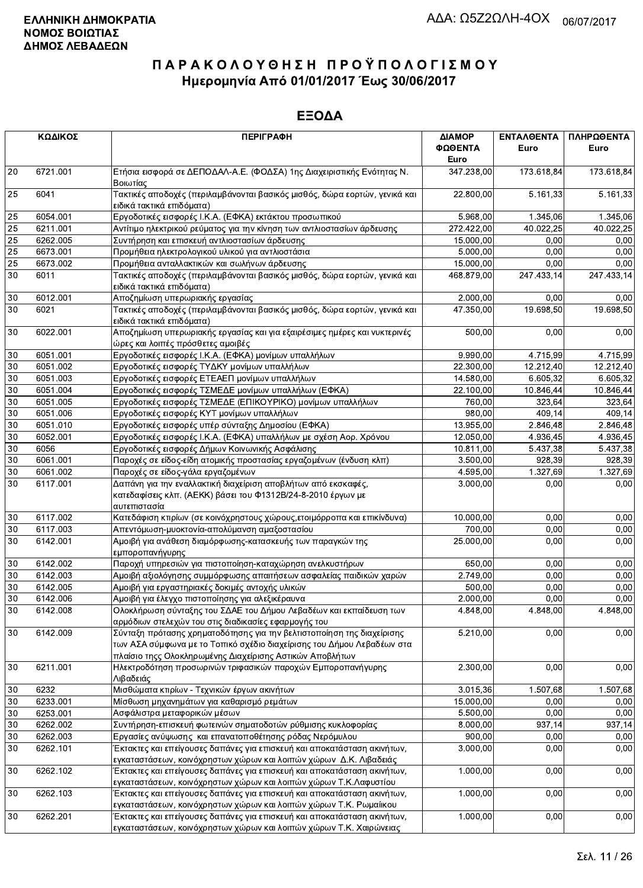|        | ΚΩΔΙΚΟΣ  | <b>ПЕРІГРАФН</b>                                                                                                                                                                                             | ΔΙΑΜΟΡ<br>ΦΩΘΕΝΤΑ | <b>ENTAA@ENTA</b><br>Euro | ΠΛΗΡΩΘΕΝΤΑ<br>Euro |
|--------|----------|--------------------------------------------------------------------------------------------------------------------------------------------------------------------------------------------------------------|-------------------|---------------------------|--------------------|
|        |          |                                                                                                                                                                                                              | Euro              |                           |                    |
| 20     | 6721.001 | Ετήσια εισφορά σε ΔΕΠΟΔΑΛ-Α.Ε. (ΦΟΔΣΑ) 1ης Διαχειριστικής Ενότητας Ν.<br>Βοιωτίας                                                                                                                            | 347.238,00        | 173.618,84                | 173.618,84         |
| 25     | 6041     | Τακτικές αποδοχές (περιλαμβάνονται βασικός μισθός, δώρα εορτών, γενικά και<br>ειδικά τακτικά επιδόματα)                                                                                                      | 22.800,00         | 5.161,33                  | 5.161,33           |
| 25     | 6054.001 | Εργοδοτικές εισφορές Ι.Κ.Α. (ΕΦΚΑ) εκτάκτου προσωπικού                                                                                                                                                       | 5.968,00          | 1.345.06                  | 1.345,06           |
| 25     | 6211.001 | Αντίτιμο ηλεκτρικού ρεύματος για την κίνηση των αντλιοστασίων άρδευσης                                                                                                                                       | 272.422,00        | 40.022,25                 | 40.022,25          |
| 25     | 6262.005 | Συντήρηση και επισκευή αντλιοστασίων άρδευσης                                                                                                                                                                | 15.000,00         | 0,00                      | 0,00               |
| 25     | 6673.001 | Προμήθεια ηλεκτρολογικού υλικού για αντλιοστάσια                                                                                                                                                             | 5.000,00          | 0,00                      | 0,00               |
| 25     | 6673.002 | Προμήθεια ανταλλακτικών και σωλήνων άρδευσης                                                                                                                                                                 | 15.000,00         | 0,00                      | 0,00               |
| 30     | 6011     | Τακτικές αποδοχές (περιλαμβάνονται βασικός μισθός, δώρα εορτών, γενικά και<br>ειδικά τακτικά επιδόματα)                                                                                                      | 468.879,00        | 247.433,14                | 247.433,14         |
| $30\,$ | 6012.001 | Αποζημίωση υπερωριακής εργασίας                                                                                                                                                                              | 2.000,00          | 0,00                      | 0,00               |
| 30     | 6021     | Τακτικές αποδοχές (περιλαμβάνονται βασικός μισθός, δώρα εορτών, γενικά και                                                                                                                                   | 47.350,00         | 19.698,50                 | 19.698,50          |
|        |          | ειδικά τακτικά επιδόματα)                                                                                                                                                                                    |                   |                           |                    |
| 30     | 6022.001 | Αποζημίωση υπερωριακής εργασίας και για εξαιρέσιμες ημέρες και νυκτερινές                                                                                                                                    | 500,00            | 0,00                      | 0,00               |
|        |          | ώρες και λοιπές πρόσθετες αμοιβές                                                                                                                                                                            |                   |                           |                    |
| 30     | 6051.001 | Εργοδοτικές εισφορές Ι.Κ.Α. (ΕΦΚΑ) μονίμων υπαλλήλων                                                                                                                                                         | 9.990,00          | 4.715,99                  | 4.715,99           |
| 30     | 6051.002 | Εργοδοτικές εισφορές ΤΥΔΚΥ μονίμων υπαλλήλων                                                                                                                                                                 | 22.300,00         | 12.212,40                 | 12.212,40          |
| 30     | 6051.003 | Εργοδοτικές εισφορές ΕΤΕΑΕΠ μονίμων υπαλλήλων                                                                                                                                                                | 14.580,00         | 6.605,32                  | 6.605,32           |
| 30     | 6051.004 | Εργοδοτικές εισφορές ΤΣΜΕΔΕ μονίμων υπαλλήλων (ΕΦΚΑ)                                                                                                                                                         | 22.100,00         | 10.846,44                 | 10.846,44          |
| 30     | 6051.005 | Εργοδοτικές εισφορές ΤΣΜΕΔΕ (ΕΠΙΚΟΥΡΙΚΟ) μονίμων υπαλλήλων                                                                                                                                                   | 760,00            | 323,64                    | 323,64             |
| 30     | 6051.006 | Εργοδοτικές εισφορές ΚΥΤ μονίμων υπαλλήλων                                                                                                                                                                   | 980,00            | 409,14                    | 409,14             |
| 30     | 6051.010 | Εργοδοτικές εισφορές υπέρ σύνταξης Δημοσίου (ΕΦΚΑ)                                                                                                                                                           | 13.955,00         | 2.846,48                  | 2.846,48           |
| 30     | 6052.001 | Εργοδοτικές εισφορές Ι.Κ.Α. (ΕΦΚΑ) υπαλλήλων με σχέση Αορ. Χρόνου                                                                                                                                            | 12.050,00         | 4.936,45                  | 4.936,45           |
| 30     | 6056     | Εργοδοτικές εισφορές Δήμων Κοινωνικής Ασφάλισης                                                                                                                                                              | 10.811,00         | 5.437,38                  | 5.437,38           |
| 30     | 6061.001 | Παροχές σε είδος-είδη ατομικής προστασίας εργαζομένων (ένδυση κλπ)                                                                                                                                           | 3.500,00          | 928.39                    | 928,39             |
| 30     | 6061.002 | Παροχές σε είδος-γάλα εργαζομένων                                                                                                                                                                            | 4.595,00          | 1.327,69                  | 1.327,69           |
| 30     | 6117.001 | Δαπάνη για την εναλλακτική διαχείριση αποβλήτων από εκσκαφές,<br>κατεδαφίσεις κλπ. (ΑΕΚΚ) βάσει του Φ1312Β/24-8-2010 έργων με<br>αυτεπιστασία                                                                | 3.000,00          | 0,00                      | 0,00               |
| 30     | 6117.002 | Κατεδάφιση κτιρίων (σε κοινόχρηστους χώρους, ετοιμόρροπα και επικίνδυνα)                                                                                                                                     | 10.000,00         | 0,00                      | 0,00               |
| 30     | 6117.003 | Απεντόμωση-μυοκτονία-απολύμανση αμαξοστασίου                                                                                                                                                                 | 700,00            | 0,00                      | 0,00               |
| 30     | 6142.001 | Αμοιβή για ανάθεση διαμόρφωσης-κατασκευής των παραγκών της<br>εμποροπανήγυρης                                                                                                                                | 25.000,00         | 0,00                      | 0,00               |
| 30     | 6142.002 | Παροχή υπηρεσιών για πιστοποίηση-καταχώρηση ανελκυστήρων                                                                                                                                                     | 650,00            | 0,00                      | 0,00               |
| 30     | 6142.003 | Αμοιβή αξιολόγησης συμμόρφωσης απαιτήσεων ασφαλείας παιδικών χαρών                                                                                                                                           | 2.749,00          | 0.00                      | 0,00               |
| 30     | 6142.005 | Αμοιβή για εργαστηριακές δοκιμές αντοχής υλικών                                                                                                                                                              | 500,00            | 0,00                      | 0,00               |
| 30     | 6142.006 | Αμοιβή για έλεγχο πιστοποίησης για αλεξικέραυνα                                                                                                                                                              | 2.000,00          | 0,00                      | 0,00               |
| 30     | 6142.008 | Ολοκλήρωση σύνταξης του ΣΔΑΕ του Δήμου Λεβαδέων και εκπαίδευση των                                                                                                                                           | 4.848,00          | 4.848,00                  | 4.848,00           |
|        |          | αρμόδιων στελεχών του στις διαδικασίες εφαρμογής του                                                                                                                                                         |                   |                           |                    |
| 30     | 6142.009 | Σύνταξη πρότασης χρηματοδότησης για την βελτιστοποίηση της διαχείρισης<br>των ΑΣΑ σύμφωνα με το Τοπικό σχέδιο διαχείρισης του Δήμου Λεβαδέων στα<br>πλαίσιο τηςς Ολοκληρωμένης Διαχείρισης Αστικών Αποβλήτων | 5.210,00          | 0,00                      | 0,00               |
| 30     | 6211.001 | Ηλεκτροδότηση προσωρινών τριφασικών παροχών Εμποροπανήγυρης<br>Λιβαδειάς                                                                                                                                     | 2.300,00          | 0,00                      | 0,00               |
| 30     | 6232     | Μισθώματα κτιρίων - Τεχνικών έργων ακινήτων                                                                                                                                                                  | 3.015,36          | 1.507,68                  | 1.507,68           |
| 30     | 6233.001 | Μίσθωση μηχανημάτων για καθαρισμό ρεμάτων                                                                                                                                                                    | 15.000,00         | 0,00                      | 0,00               |
| 30     | 6253.001 |                                                                                                                                                                                                              | 5.500,00          | 0,00                      | 0,00               |
|        |          | Ασφάλιστρα μεταφορικών μέσων                                                                                                                                                                                 |                   |                           |                    |
| 30     | 6262.002 | Συντήρηση-επισκευή φωτεινών σηματοδοτών ρύθμισης κυκλοφορίας                                                                                                                                                 | 8.000,00          | 937,14                    | 937,14             |
| 30     | 6262.003 | Εργασίες ανύψωσης και επανατοποθέτησης ρόδας Νερόμυλου                                                                                                                                                       | 900,00            | 0,00                      | 0,00               |
| 30     | 6262.101 | Έκτακτες και επείγουσες δαπάνες για επισκευή και αποκατάσταση ακινήτων,<br>εγκαταστάσεων, κοινόχρηστων χώρων και λοιπών χώρων Δ.Κ. Λιβαδειάς                                                                 | 3.000,00          | 0,00                      | 0,00               |
| 30     | 6262.102 | Έκτακτες και επείγουσες δαπάνες για επισκευή και αποκατάσταση ακινήτων,                                                                                                                                      | 1.000,00          | 0,00                      | 0,00               |
|        |          | εγκαταστάσεων, κοινόχρηστων χώρων και λοιπών χώρων Τ.Κ.Λαφυστίου                                                                                                                                             |                   |                           |                    |
| 30     | 6262.103 | Έκτακτες και επείγουσες δαπάνες για επισκευή και αποκατάσταση ακινήτων,<br>εγκαταστάσεων, κοινόχρηστων χώρων και λοιπών χώρων Τ.Κ. Ρωμαίικου                                                                 | 1.000,00          | 0,00                      | 0,00               |
| 30     | 6262.201 | Έκτακτες και επείγουσες δαπάνες για επισκευή και αποκατάσταση ακινήτων,                                                                                                                                      | 1.000,00          | 0,00                      | 0,00               |
|        |          | ενκαταστάσεων, κοινόχρηστων χώρων και λοιπών χώρων Τ.Κ. Χαιρώνειας                                                                                                                                           |                   |                           |                    |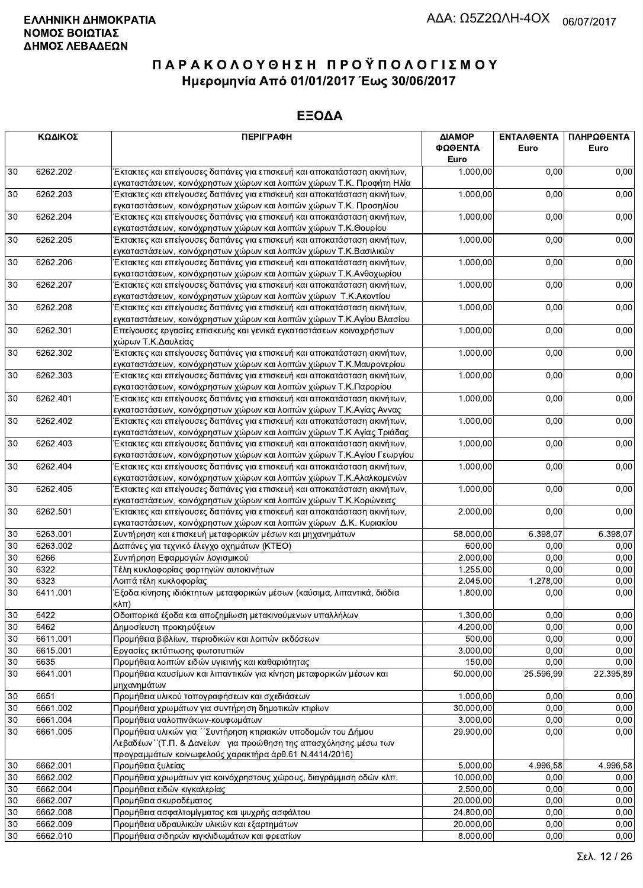| ΚΩΔΙΚΟΣ |          | <b>ПЕРІГРАФН</b>                                                                               | ΔΙΑΜΟΡ<br>ΦΩΘΕΝΤΑ<br>Euro | <b>ENTAAOENTA</b><br>Euro | ΠΛΗΡΩΘΕΝΤΑ<br>Euro |
|---------|----------|------------------------------------------------------------------------------------------------|---------------------------|---------------------------|--------------------|
| 30      | 6262.202 | Έκτακτες και επείγουσες δαπάνες για επισκευή και αποκατάσταση ακινήτων,                        | 1.000,00                  | 0,00                      | 0,00               |
|         |          | εγκαταστάσεων, κοινόχρηστων χώρων και λοιπών χώρων Τ.Κ. Προφήτη Ηλία                           |                           |                           |                    |
| 30      | 6262.203 | Έκτακτες και επείγουσες δαπάνες για επισκευή και αποκατάσταση ακινήτων,                        | 1.000,00                  | 0,00                      | 0,00               |
|         |          | εγκαταστάσεων, κοινόχρηστων χώρων και λοιπών χώρων Τ.Κ. Προσηλίου                              |                           |                           |                    |
| 30      | 6262.204 | Έκτακτες και επείγουσες δαπάνες για επισκευή και αποκατάσταση ακινήτων,                        | 1.000,00                  | 0,00                      | 0,00               |
|         |          | εγκαταστάσεων, κοινόχρηστων χώρων και λοιπών χώρων Τ.Κ.Θουρίου                                 |                           |                           |                    |
| 30      | 6262.205 | Έκτακτες και επείγουσες δαπάνες για επισκευή και αποκατάσταση ακινήτων,                        | 1.000,00                  | 0,00                      | 0,00               |
|         |          | εγκαταστάσεων, κοινόχρηστων χώρων και λοιπών χώρων Τ.Κ. Βασιλικών                              |                           |                           |                    |
| 30      | 6262.206 | Έκτακτες και επείγουσες δαπάνες για επισκευή και αποκατάσταση ακινήτων,                        | 1.000,00                  | 0,00                      | 0,00               |
|         |          | εγκαταστάσεων, κοινόχρηστων χώρων και λοιπών χώρων Τ.Κ.Ανθοχωρίου                              |                           |                           |                    |
| 30      | 6262.207 | Έκτακτες και επείγουσες δαπάνες για επισκευή και αποκατάσταση ακινήτων,                        | 1.000,00                  | 0,00                      | 0,00               |
|         |          | εγκαταστάσεων, κοινόχρηστων χώρων και λοιπών χώρων Τ.Κ. Ακοντίου                               |                           |                           |                    |
| 30      | 6262.208 | Έκτακτες και επείγουσες δαπάνες για επισκευή και αποκατάσταση ακινήτων,                        | 1.000,00                  | 0,00                      | 0,00               |
|         |          | εγκαταστάσεων, κοινόχρηστων χώρων και λοιπών χώρων Τ.Κ.Αγίου Βλασίου                           |                           |                           |                    |
| 30      | 6262.301 | Επείγουσες εργασίες επισκευής και γενικά εγκαταστάσεων κοινοχρήστων                            | 1.000,00                  | 0,00                      | 0,00               |
|         |          | χώρων Τ.Κ.Δαυλείας                                                                             |                           |                           |                    |
| 30      | 6262.302 | Έκτακτες και επείγουσες δαπάνες για επισκευή και αποκατάσταση ακινήτων,                        | 1.000,00                  | 0,00                      | 0,00               |
|         |          | εγκαταστάσεων, κοινόχρηστων χώρων και λοιπών χώρων Τ.Κ.Μαυρονερίου                             |                           |                           |                    |
| 30      | 6262.303 | Έκτακτες και επείγουσες δαπάνες για επισκευή και αποκατάσταση ακινήτων,                        | 1.000,00                  | 0,00                      | 0,00               |
|         |          | εγκαταστάσεων, κοινόχρηστων χώρων και λοιπών χώρων Τ.Κ.Παρορίου                                |                           |                           |                    |
| 30      | 6262.401 | Έκτακτες και επείγουσες δαπάνες για επισκευή και αποκατάσταση ακινήτων,                        | 1.000,00                  | 0,00                      | 0,00               |
|         |          | εγκαταστάσεων, κοινόχρηστων χώρων και λοιπών χώρων Τ.Κ.Αγίας Αννας                             |                           |                           |                    |
| 30      | 6262.402 | Έκτακτες και επείγουσες δαπάνες για επισκευή και αποκατάσταση ακινήτων,                        | 1.000,00                  | 0,00                      | 0,00               |
|         |          | εγκαταστάσεων, κοινόχρηστων χώρων και λοιπών χώρων Τ.Κ Αγίας Τριάδας                           |                           |                           |                    |
| 30      | 6262.403 | Έκτακτες και επείγουσες δαπάνες για επισκευή και αποκατάσταση ακινήτων,                        | 1.000,00                  | 0,00                      | 0,00               |
|         |          | εγκαταστάσεων, κοινόχρηστων χώρων και λοιπών χώρων Τ.Κ.Αγίου Γεωργίου                          |                           |                           |                    |
| 30      | 6262.404 | Έκτακτες και επείγουσες δαπάνες για επισκευή και αποκατάσταση ακινήτων,                        | 1.000,00                  | 0,00                      | 0,00               |
|         |          | εγκαταστάσεων, κοινόχρηστων χώρων και λοιπών χώρων Τ.Κ.Αλαλκομενών                             |                           |                           |                    |
| 30      | 6262.405 | Έκτακτες και επείγουσες δαπάνες για επισκευή και αποκατάσταση ακινήτων,                        | 1.000,00                  | 0,00                      | 0,00               |
|         |          | εγκαταστάσεων, κοινόχρηστων χώρων και λοιπών χώρων Τ.Κ.Κορώνειας                               |                           |                           |                    |
| 30      | 6262.501 | Έκτακτες και επείγουσες δαπάνες για επισκευή και αποκατάσταση ακινήτων,                        | 2.000,00                  | 0,00                      | 0,00               |
|         |          | εγκαταστάσεων, κοινόχρηστων χώρων και λοιπών χώρων Δ.Κ. Κυριακίου                              |                           |                           |                    |
| 30      | 6263.001 | Συντήρηση και επισκευή μεταφορικών μέσων και μηχανημάτων                                       | 58.000,00                 | 6.398,07                  | 6.398,07           |
| 30      | 6263.002 | Δαπάνες για τεχνικό έλεγχο οχημάτων (ΚΤΕΟ)                                                     | 600,00                    | 0,00                      | 0,00               |
| 30      | 6266     | Συντήρηση Εφαρμογών λογισμικού                                                                 | 2.000,00                  | 0,00                      | 0,00               |
| 30      | 6322     | Τέλη κυκλοφορίας φορτηγών αυτοκινήτων                                                          | 1.255,00                  | 0,00                      | 0,00               |
| 30      | 6323     | Λοιπά τέλη κυκλοφορίας                                                                         | 2.045,00                  | $\overline{1.278,00}$     | 0,00               |
| 30      | 6411.001 | Έξοδα κίνησης ιδιόκτητων μεταφορικών μέσων (καύσιμα, λιπαντικά, διόδια<br>$\kappa\lambda\pi$ ) | 1.800,00                  | 0,00                      | 0,00               |
| 30      | 6422     | .<br>Οδοιπορικά έξοδα και αποζημίωση μετακινούμενων υπαλλήλων                                  | 1.300,00                  | 0,00                      | 0,00               |
| 30      | 6462     | Δημοσίευση προκηρύξεων                                                                         | 4.200,00                  | 0,00                      | 0,00               |
| 30      | 6611.001 | Προμήθεια βιβλίων, περιοδικών και λοιπών εκδόσεων                                              | 500,00                    | 0,00                      | 0,00               |
| 30      | 6615.001 | Εργασίες εκτύπωσης φωτοτυπιών                                                                  | 3.000,00                  | 0,00                      | 0,00               |
| 30      | 6635     | Προμήθεια λοιπών ειδών υγιεινής και καθαριότητας                                               | 150,00                    | 0,00                      | 0,00               |
| 30      | 6641.001 | Προμήθεια καυσίμων και λιπαντικών για κίνηση μεταφορικών μέσων και                             | 50.000,00                 | 25.596,99                 | 22.395,89          |
|         |          | μηχανημάτων                                                                                    |                           |                           |                    |
| $30\,$  | 6651     | Προμήθεια υλικού τοπογραφήσεων και σχεδιάσεων                                                  | 1.000,00                  | 0.00                      | 0,00               |
| 30      | 6661.002 | Προμήθεια χρωμάτων για συντήρηση δημοτικών κτιρίων                                             | 30.000,00                 | 0,00                      | 0,00               |
| 30      | 6661.004 | Προμήθεια υαλοπινάκων-κουφωμάτων                                                               | 3.000,00                  | 0,00                      | 0,00               |
| 30      | 6661.005 | Προμήθεια υλικών για ΄΄ Συντήρηση κτιριακών υποδομών του Δήμου                                 | 29.900,00                 | 0,00                      | 0,00               |
|         |          | Λεβαδέων "(Τ.Π. & Δανείων για προώθηση της απασχόλησης μέσω των                                |                           |                           |                    |
|         |          | προγραμμάτων κοινωφελούς χαρακτήρα άρθ.61 Ν.4414/2016)                                         |                           |                           |                    |
| 30      | 6662.001 | Προμήθεια ξυλείας                                                                              | 5.000,00                  | 4.996,58                  | 4.996,58           |
| 30      | 6662.002 | Προμήθεια χρωμάτων για κοινόχρηστους χώρους, διαγράμμιση οδών κλπ.                             | 10.000,00                 | 0,00                      | 0,00               |
| 30      | 6662.004 | Προμήθεια ειδών κιγκαλερίας                                                                    | 2.500,00                  | 0,00                      | 0,00               |
| 30      | 6662.007 | Προμήθεια σκυροδέματος                                                                         | 20.000,00                 | 0,00                      | 0,00               |
| 30      | 6662.008 | Προμήθεια ασφαλτομίγματος και ψυχρής ασφάλτου                                                  | 24.800,00                 | 0.00                      | 0,00               |
| 30      | 6662.009 | Προμήθεια υδραυλικών υλικών και εξαρτημάτων                                                    | 20.000,00                 | 0,00                      | 0,00               |
| 30      | 6662.010 | Προμήθεια σιδηρών κιγκλιδωμάτων και φρεατίων                                                   | 8.000,00                  | 0,00                      | 0,00               |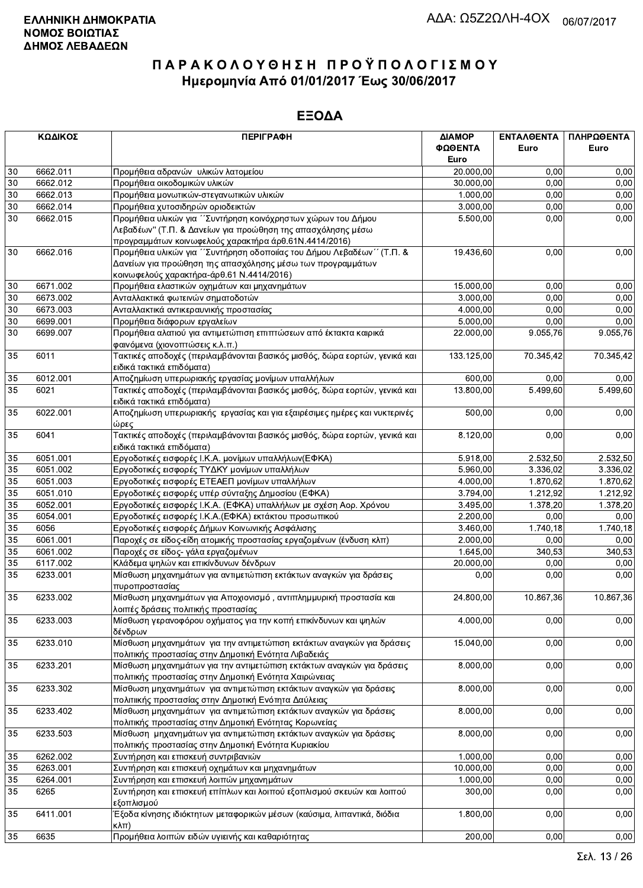| ΚΩΔΙΚΟΣ         |          | <b>ПЕРІГРАФН</b>                                                                                       | ΔΙΑΜΟΡ     | ΕΝΤΑΛΘΕΝΤΑ | ΠΛΗΡΩΘΕΝΤΑ |  |
|-----------------|----------|--------------------------------------------------------------------------------------------------------|------------|------------|------------|--|
|                 |          |                                                                                                        | ΦΩΘΕΝΤΑ    | Euro       | Euro       |  |
|                 |          |                                                                                                        | Euro       |            |            |  |
| 30              | 6662.011 | Προμήθεια αδρανών υλικών λατομείου                                                                     | 20.000,00  | 0,00       | 0,00       |  |
| 30              | 6662.012 | Προμήθεια οικοδομικών υλικών                                                                           | 30.000,00  | 0.00       | 0,00       |  |
| 30              | 6662.013 | Προμήθεια μονωτικών-στεγανωτικών υλικών                                                                | 1.000,00   | 0,00       | 0,00       |  |
| 30              | 6662.014 | Προμήθεια χυτοσιδηρών οριοδεικτών                                                                      | 3.000,00   | 0,00       | 0,00       |  |
| 30              | 6662.015 | Προμήθεια υλικών για ΄ Συντήρηση κοινόχρηστων χώρων του Δήμου                                          | 5.500,00   | 0,00       | 0,00       |  |
|                 |          | Λεβαδέων" (Τ.Π. & Δανείων για προώθηση της απασχόλησης μέσω                                            |            |            |            |  |
|                 |          | προγραμμάτων κοινωφελούς χαρακτήρα άρθ.61Ν.4414/2016)                                                  |            |            |            |  |
| 30              | 6662.016 | Προμήθεια υλικών για "Συντήρηση οδοποιίας του Δήμου Λεβαδέων" (Τ.Π. &                                  | 19.436,60  | 0,00       | 0,00       |  |
|                 |          | Δανείων για προώθηση της απασχόλησης μέσω των προγραμμάτων                                             |            |            |            |  |
|                 |          | κοινωφελούς χαρακτήρα-άρθ.61 Ν.4414/2016)                                                              |            |            |            |  |
| 30              | 6671.002 | Προμήθεια ελαστικών οχημάτων και μηχανημάτων                                                           | 15.000,00  | 0,00       | 0,00       |  |
| 30              | 6673.002 | Ανταλλακτικά φωτεινών σηματοδοτών                                                                      | 3.000,00   | 0,00       | 0,00       |  |
| 30              | 6673.003 | Ανταλλακτικά αντικεραυνικής προστασίας                                                                 | 4.000,00   | 0,00       | 0,00       |  |
| 30              | 6699.001 | Προμήθεια διάφορων εργαλείων                                                                           | 5.000,00   | 0.00       | 0,00       |  |
| $30\,$          | 6699.007 | Προμήθεια αλατιού για αντιμετώπιση επιπτώσεων από έκτακτα καιρικά                                      | 22.000,00  | 9.055,76   | 9.055,76   |  |
|                 |          | φαινόμενα (χιονοπτώσεις κ.λ.π.)                                                                        |            |            |            |  |
| 35              | 6011     | Τακτικές αποδοχές (περιλαμβάνονται βασικός μισθός, δώρα εορτών, γενικά και                             | 133.125,00 | 70.345,42  | 70.345,42  |  |
|                 |          | ειδικά τακτικά επιδόματα)                                                                              |            |            |            |  |
| 35              | 6012.001 | Αποζημίωση υπερωριακής εργασίας μονίμων υπαλλήλων                                                      | 600,00     | 0.00       | 0,00       |  |
| 35              | 6021     | Τακτικές αποδοχές (περιλαμβάνονται βασικός μισθός, δώρα εορτών, γενικά και                             | 13.800,00  | 5.499.60   | 5.499,60   |  |
|                 |          |                                                                                                        |            |            |            |  |
|                 | 6022.001 | ειδικά τακτικά επιδόματα)<br>Αποζημίωση υπερωριακής εργασίας και για εξαιρέσιμες ημέρες και νυκτερινές | 500,00     | 0,00       | 0,00       |  |
| 35              |          |                                                                                                        |            |            |            |  |
|                 | 6041     | ώρες<br>Τακτικές αποδοχές (περιλαμβάνονται βασικός μισθός, δώρα εορτών, γενικά και                     |            |            | 0,00       |  |
| 35              |          |                                                                                                        | 8.120,00   | 0,00       |            |  |
|                 | 6051.001 | ειδικά τακτικά επιδόματα)<br>Εργοδοτικές εισφορές Ι.Κ.Α. μονίμων υπαλλήλων(ΕΦΚΑ)                       | 5.918,00   | 2.532,50   | 2.532,50   |  |
| 35              |          |                                                                                                        |            |            |            |  |
| 35              | 6051.002 | Εργοδοτικές εισφορές ΤΥΔΚΥ μονίμων υπαλλήλων                                                           | 5.960,00   | 3.336,02   | 3.336,02   |  |
| 35              | 6051.003 | Εργοδοτικές εισφορές ΕΤΕΑΕΠ μονίμων υπαλλήλων                                                          | 4.000,00   | 1.870,62   | 1.870,62   |  |
| 35              | 6051.010 | Εργοδοτικές εισφορές υπέρ σύνταξης Δημοσίου (ΕΦΚΑ)                                                     | 3.794,00   | 1.212,92   | 1.212,92   |  |
| $\overline{35}$ | 6052.001 | Εργοδοτικές εισφορές Ι.Κ.Α. (ΕΦΚΑ) υπαλλήλων με σχέση Αορ. Χρόνου                                      | 3.495,00   | 1.378,20   | 1.378,20   |  |
| 35              | 6054.001 | Εργοδοτικές εισφορές Ι.Κ.Α. (ΕΦΚΑ) εκτάκτου προσωπικού                                                 | 2.200,00   | 0,00       | 0,00       |  |
| 35              | 6056     | Εργοδοτικές εισφορές Δήμων Κοινωνικής Ασφάλισης                                                        | 3.460,00   | 1.740,18   | 1.740,18   |  |
| 35              | 6061.001 | Παροχές σε είδος-είδη ατομικής προστασίας εργαζομένων (ένδυση κλπ)                                     | 2.000,00   | 0,00       | 0,00       |  |
| 35              | 6061.002 | Παροχές σε είδος- γάλα εργαζομένων                                                                     | 1.645,00   | 340,53     | 340,53     |  |
| 35              | 6117.002 | Κλάδεμα ψηλών και επικίνδυνων δένδρων                                                                  | 20.000,00  | 0,00       | 0,00       |  |
| 35              | 6233.001 | Μίσθωση μηχανημάτων για αντιμετώπιση εκτάκτων αναγκών για δράσεις                                      | 0,00       | 0,00       | 0,00       |  |
|                 |          | πυροπροστασίας                                                                                         |            |            |            |  |
| 35              | 6233.002 | Μίσθωση μηχανημάτων για Αποχιονισμό, αντιπλημμυρική προστασία και                                      | 24.800,00  | 10.867,36  | 10.867,36  |  |
|                 |          | λοιπές δράσεις πολιτικής προστασίας                                                                    |            |            |            |  |
| 35              | 6233.003 | Μίσθωση γερανοφόρου οχήματος για την κοπή επικίνδυνων και ψηλών                                        | 4.000,00   | 0,00       | 0,00       |  |
|                 |          | δένδρων                                                                                                |            |            |            |  |
| 35              | 6233.010 | Μίσθωση μηχανημάτων για την αντιμετώπιση εκτάκτων αναγκών για δράσεις                                  | 15.040,00  | 0,00       | 0,00       |  |
|                 |          | πολιτικής προστασίας στην Δημοτική Ενότητα Λιβαδειάς                                                   |            |            |            |  |
| 35              | 6233.201 | Μίσθωση μηχανημάτων για την αντιμετώπιση εκτάκτων αναγκών για δράσεις                                  | 8.000,00   | 0,00       | 0,00       |  |
|                 |          | πολιτικής προστασίας στην Δημοτική Ενότητα Χαιρώνειας                                                  |            |            |            |  |
| 35              | 6233.302 | Μίσθωση μηχανημάτων για αντιμετώπιση εκτάκτων αναγκών για δράσεις                                      | 8.000,00   | 0,00       | 0,00       |  |
|                 |          | πολιτιικής προστασίας στην Δημοτική Ενότητα Δαύλειας                                                   |            |            |            |  |
| 35              | 6233.402 | Μίσθωση μηχανημάτων για αντιμετώπιση εκτάκτων αναγκών για δράσεις                                      | 8.000,00   | 0,00       | 0,00       |  |
|                 |          | πολιτικής προστασίας στην Δημοτική Ενότητας Κορωνείας                                                  |            |            |            |  |
| 35              | 6233.503 | Μίσθωση μηχανημάτων για αντιμετώπιση εκτάκτων αναγκών για δράσεις                                      | 8.000,00   | 0,00       | 0,00       |  |
|                 |          | πολιτικής προστασίας στην Δημοτική Ενότητα Κυριακίου                                                   |            |            |            |  |
| 35              | 6262.002 | Συντήρηση και επισκευή συντριβανιών                                                                    | 1.000,00   | 0,00       | 0,00       |  |
| 35              | 6263.001 | Συντήρηση και επισκευή οχημάτων και μηχανημάτων                                                        | 10.000,00  | 0,00       | 0,00       |  |
| 35              | 6264.001 | Συντήρηση και επισκευή λοιπών μηχανημάτων                                                              | 1.000,00   | 0,00       | 0,00       |  |
| 35              | 6265     | Συντήρηση και επισκευή επίπλων και λοιπού εξοπλισμού σκευών και λοιπού                                 | 300,00     | 0,00       | 0,00       |  |
|                 |          | εξοπλισμού                                                                                             |            |            |            |  |
| 35              | 6411.001 | Έξοδα κίνησης ιδιόκτητων μεταφορικών μέσων (καύσιμα, λιπαντικά, διόδια                                 | 1.800,00   | 0,00       | 0,00       |  |
|                 |          | кλπ)                                                                                                   |            |            |            |  |
| 35              | 6635     | Προμήθεια λοιπών ειδών υγιεινής και καθαριότητας                                                       | 200,00     | 0,00       | 0,00       |  |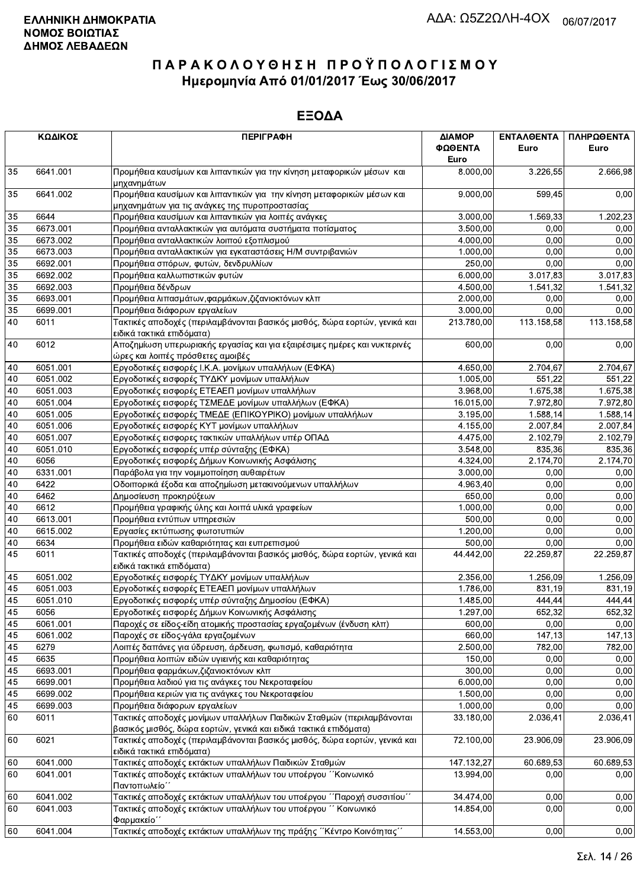| ΚΩΔΙΚΟΣ  |                      | <b>ПЕРІГРАФН</b>                                                                                                                           | ΔΙΑΜΟΡ<br>ΦΩΘΕΝΤΑ  | <b>ENTAAGENTA</b><br>Euro | ΠΛΗΡΩΘΕΝΤΑ<br>Euro |  |
|----------|----------------------|--------------------------------------------------------------------------------------------------------------------------------------------|--------------------|---------------------------|--------------------|--|
| 35       | 6641.001             | Προμήθεια καυσίμων και λιπαντικών για την κίνηση μεταφορικών μέσων και                                                                     | Euro<br>8.000,00   | 3.226,55                  | 2.666,98           |  |
|          |                      | μηχανημάτων                                                                                                                                |                    |                           |                    |  |
| 35       | 6641.002             | Προμήθεια καυσίμων και λιπαντικών για την κίνηση μεταφορικών μέσων και<br>μηχανημάτων για τις ανάγκες της πυροπροστασίας                   | 9.000,00           | 599,45                    | 0,00               |  |
| 35       | 6644                 | Προμήθεια καυσίμων και λιπαντικών για λοιπές ανάγκες                                                                                       | 3.000,00           | 1.569.33                  | 1.202,23           |  |
| 35       | 6673.001             | Προμήθεια ανταλλακτικών για αυτόματα συστήματα ποτίσματος                                                                                  | 3.500,00           | 0.00                      | 0,00               |  |
| 35       | 6673.002             | Προμήθεια ανταλλακτικών λοιπού εξοπλισμού                                                                                                  | 4.000,00           | 0,00                      | 0,00               |  |
| 35       | 6673.003             | Προμήθεια ανταλλακτικών για εγκαταστάσεις Η/Μ συντριβανιών                                                                                 | 1.000,00           | 0,00                      | 0,00               |  |
| 35       | 6692.001             | Προμήθεια σπόρων, φυτών, δενδρυλλίων                                                                                                       | 250,00             | 0,00                      | 0,00               |  |
| 35       | 6692.002             | Προμήθεια καλλωπιστικών φυτών                                                                                                              | 6.000,00           | 3.017,83                  | 3.017,83           |  |
| 35       | 6692.003             | Προμήθεια δένδρων                                                                                                                          | 4.500,00           | 1.541,32                  | 1.541,32           |  |
| 35       | 6693.001             | Προμήθεια λιπασμάτων, φαρμάκων, ζιζανιοκτόνων κλπ                                                                                          | 2.000,00           | 0.00                      | 0,00               |  |
| 35       | 6699.001             | Προμήθεια διάφορων εργαλείων                                                                                                               | 3.000,00           | 0.00                      | 0,00               |  |
| 40       | 6011                 | Τακτικές αποδοχές (περιλαμβάνονται βασικός μισθός, δώρα εορτών, γενικά και<br>ειδικά τακτικά επιδόματα)                                    | 213.780,00         | 113.158,58                | 113.158,58         |  |
| 40       | 6012                 | Αποζημίωση υπερωριακής εργασίας και για εξαιρέσιμες ημέρες και νυκτερινές<br>ώρες και λοιπές πρόσθετες αμοιβές                             | 600,00             | 0,00                      | 0,00               |  |
| 40       | 6051.001             | Εργοδοτικές εισφορές Ι.Κ.Α. μονίμων υπαλλήλων (ΕΦΚΑ)                                                                                       | 4.650,00           | 2.704,67                  | 2.704,67           |  |
| 40       | 6051.002             | Εργοδοτικές εισφορές ΤΥΔΚΥ μονίμων υπαλλήλων                                                                                               | 1.005,00           | 551,22                    | 551,22             |  |
| 40       | 6051.003             | Εργοδοτικές εισφορές ΕΤΕΑΕΠ μονίμων υπαλλήλων                                                                                              | 3.968,00           | 1.675,38                  | 1.675,38           |  |
| 40       | 6051.004             | Εργοδοτικές εισφορές ΤΣΜΕΔΕ μονίμων υπαλλήλων (ΕΦΚΑ)                                                                                       | 16.015,00          | 7.972,80                  | 7.972,80           |  |
| 40       | 6051.005             | Εργοδοτικές εισφορές ΤΜΕΔΕ (ΕΠΙΚΟΥΡΙΚΟ) μονίμων υπαλλήλων                                                                                  | 3.195,00           | 1.588,14                  | 1.588,14           |  |
| 40       | 6051.006             | Εργοδοτικές εισφορές ΚΥΤ μονίμων υπαλλήλων                                                                                                 | 4.155,00           | 2.007,84                  | 2.007,84           |  |
| 40       | 6051.007             | Εργοδοτικές εισφορες τακτικών υπαλλήλων υπέρ ΟΠΑΔ                                                                                          | 4.475,00           | 2.102.79                  | 2.102,79           |  |
| 40       | 6051.010             | Εργοδοτικές εισφορές υπέρ σύνταξης (ΕΦΚΑ)                                                                                                  | 3.548,00           | 835,36                    | 835,36             |  |
| 40       | 6056                 | Εργοδοτικές εισφορές Δήμων Κοινωνικής Ασφάλισης                                                                                            | 4.324,00           | 2.174,70                  | 2.174,70           |  |
| 40       | 6331.001             | Παράβολα για την νομιμοποίηση αυθαιρέτων                                                                                                   | 3.000,00           | 0,00                      | 0,00               |  |
| 40       | 6422                 | Οδοιπορικά έξοδα και αποζημίωση μετακινούμενων υπαλλήλων                                                                                   | 4.963,40           | 0,00                      | 0,00               |  |
| 40       | 6462                 | Δημοσίευση προκηρύξεων                                                                                                                     | 650,00             | 0.00                      | 0,00               |  |
| 40       | 6612                 | Προμήθεια γραφικής ύλης και λοιπά υλικά γραφείων                                                                                           | 1.000,00           | 0.00                      | 0,00               |  |
| 40<br>40 | 6613.001<br>6615.002 | Προμήθεια εντύπων υπηρεσιών                                                                                                                | 500,00             | 0,00<br>0,00              | 0,00<br>0,00       |  |
| 40       | 6634                 | Εργασίες εκτύπωσης φωτοτυπιών<br>Προμήθεια ειδών καθαριότητας και ευπρεπισμού                                                              | 1.200,00<br>500,00 | 0,00                      | 0,00               |  |
| 45       | 6011                 | Τακτικές αποδοχές (περιλαμβάνονται βασικός μισθός, δώρα εορτών, γενικά και<br>ειδικά τακτικά επιδόματα)                                    | 44.442,00          | 22.259,87                 | 22.259,87          |  |
| 45       | 6051.002             | Εργοδοτικές εισφορές ΤΥΔΚΥ μονίμων υπαλλήλων                                                                                               | 2.356,00           | 1.256,09                  | 1.256,09           |  |
| 45       | 6051.003             | Εργοδοτικές εισφορές ΕΤΕΑΕΠ μονίμων υπαλλήλων                                                                                              | 1.786,00           | 831,19                    | 831,19             |  |
| 45       | 6051.010             | Εργοδοτικές εισφορές υπέρ σύνταξης Δημοσίου (ΕΦΚΑ)                                                                                         | 1.485,00           | 444,44                    | 444,44             |  |
| 45       | 6056                 | Εργοδοτικές εισφορές Δήμων Κοινωνικής Ασφάλισης                                                                                            | 1.297,00           | 652.32                    | 652,32             |  |
| 45       | 6061.001             | Παροχές σε είδος-είδη ατομικής προστασίας εργαζομένων (ένδυση κλπ)                                                                         | 600,00             | 0,00                      | 0,00               |  |
| 45       | 6061.002             | Παροχές σε είδος-γάλα εργαζομένων                                                                                                          | 660,00             | 147,13                    | 147,13             |  |
| 45       | 6279                 | Λοιπές δαπάνες για ύδρευση, άρδευση, φωτισμό, καθαριότητα                                                                                  | 2.500,00           | 782,00                    | 782,00             |  |
| 45       | 6635                 | Προμήθεια λοιπών ειδών υγιεινής και καθαριότητας                                                                                           | 150,00             | 0,00                      | 0,00               |  |
| 45       | 6693.001             | Προμήθεια φαρμάκων, ζιζανιοκτόνων κλπ                                                                                                      | 300,00             | 0.00                      | 0,00               |  |
| 45       | 6699.001             | Προμήθεια λαδιού για τις ανάγκες του Νεκροταφείου                                                                                          | 6.000,00           | 0,00                      | 0,00               |  |
| 45       | 6699.002             | Προμήθεια κεριών για τις ανάγκες του Νεκροταφείου                                                                                          | 1.500,00           | 0,00                      | 0,00               |  |
| 45       | 6699.003             | Προμήθεια διάφορων εργαλείων                                                                                                               | 1.000,00           | 0,00                      | 0,00               |  |
| 60       | 6011                 | Τακτικές αποδοχές μονίμων υπαλλήλων Παιδικών Σταθμών (περιλαμβάνονται<br>βασικός μισθός, δώρα εορτών, γενικά και ειδικά τακτικά επιδόματα) | 33.180,00          | 2.036,41                  | 2.036,41           |  |
| 60       | 6021                 | Τακτικές αποδοχές (περιλαμβάνονται βασικός μισθός, δώρα εορτών, γενικά και                                                                 | 72.100,00          | 23.906,09                 | 23.906,09          |  |
|          |                      | ειδικά τακτικά επιδόματα)                                                                                                                  |                    |                           |                    |  |
| 60       | 6041.000             | Τακτικές αποδοχές εκτάκτων υπαλλήλων Παιδικών Σταθμών                                                                                      | 147.132,27         | 60.689,53                 | 60.689,53          |  |
| 60       | 6041.001             | Τακτικές αποδοχές εκτάκτων υπαλλήλων του υποέργου "Κοινωνικό<br>Παντοπωλείο΄                                                               | 13.994,00          | 0,00                      | 0,00               |  |
| 60       | 6041.002             | Τακτικές αποδοχές εκτάκτων υπαλλήλων του υποέργου ΄΄Παροχή συσσιτίου΄΄                                                                     | 34.474,00          | 0,00                      | 0,00               |  |
| 60       | 6041.003             | Τακτικές αποδοχές εκτάκτων υπαλλήλων του υποέργου "Κοινωνικό<br>Φαρμακείο"                                                                 | 14.854,00          | 0,00                      | 0,00               |  |
| 60       | 6041.004             | Τακτικές αποδοχές εκτάκτων υπαλλήλων της πράξης "Κέντρο Κοινότητας"                                                                        | 14.553,00          | 0,00                      | 0,00               |  |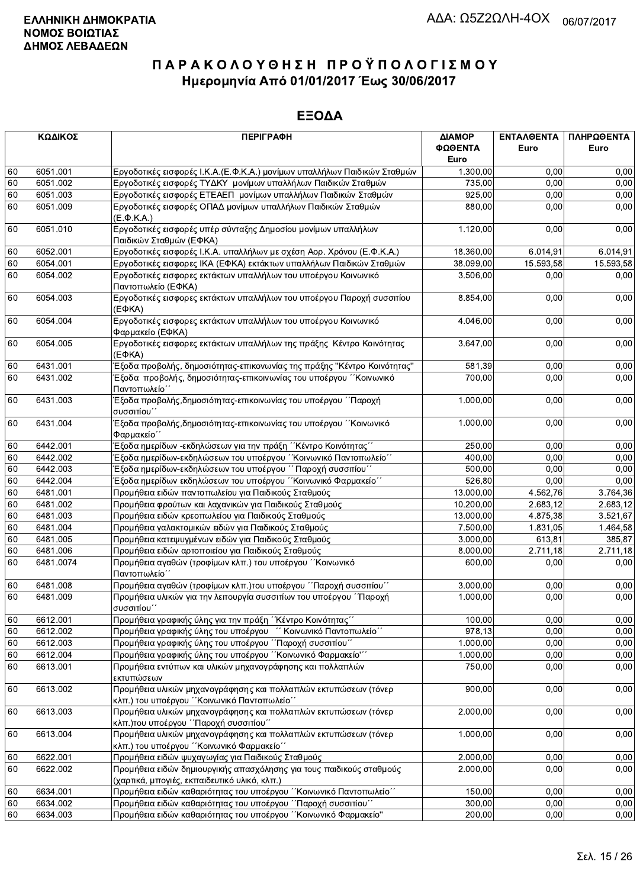| ΚΩΔΙΚΟΣ |           | <b>ПЕРІГРАФН</b>                                                                                                     | ΔΙΑΜΟΡ           | <b>ENTAAGENTA</b> | ΠΛΗΡΩΘΕΝΤΑ |
|---------|-----------|----------------------------------------------------------------------------------------------------------------------|------------------|-------------------|------------|
|         |           |                                                                                                                      | ΦΩΘΕΝΤΑ          | Euro              | Euro       |
|         |           |                                                                                                                      | Euro             |                   |            |
| 60      | 6051.001  | Εργοδοτικές εισφορές Ι.Κ.Α. (Ε.Φ.Κ.Α.) μονίμων υπαλλήλων Παιδικών Σταθμών                                            | 1.300,00         | 0.00              | 0.00       |
| 60      | 6051.002  | Εργοδοτικές εισφορές ΤΥΔΚΥ μονίμων υπαλλήλων Παιδικών Σταθμών                                                        | 735,00           | 0,00              | 0,00       |
| 60      | 6051.003  | Εργοδοτικές εισφορές ΕΤΕΑΕΠ μονίμων υπαλλήλων Παιδικών Σταθμών                                                       | 925,00           | 0,00              | 0,00       |
| 60      | 6051.009  | Εργοδοτικές εισφορές ΟΠΑΔ μονίμων υπαλλήλων Παιδικών Σταθμών<br>(Ε.Φ.Κ.Α.)                                           | 880,00           | 0,00              | 0,00       |
| 60      | 6051.010  | Εργοδοτικές εισφορές υπέρ σύνταξης Δημοσίου μονίμων υπαλλήλων<br>Παιδικών Σταθμών (ΕΦΚΑ)                             | 1.120,00         | 0,00              | 0,00       |
| 60      | 6052.001  | Εργοδοτικές εισφορές Ι.Κ.Α. υπαλλήλων με σχέση Αορ. Χρόνου (Ε.Φ.Κ.Α.)                                                | 18.360,00        | 6.014,91          | 6.014,91   |
| 60      | 6054.001  | Εργοδοτικές εισφορες ΙΚΑ (ΕΦΚΑ) εκτάκτων υπαλλήλων Παιδικών Σταθμών                                                  | 38.099,00        | 15.593,58         | 15.593,58  |
| 60      | 6054.002  | Εργοδοτικές εισφορες εκτάκτων υπαλλήλων του υποέργου Κοινωνικό<br>Παντοπωλείο (ΕΦΚΑ)                                 | 3.506,00         | 0,00              | 0,00       |
| 60      | 6054.003  | Εργοδοτικές εισφορες εκτάκτων υπαλλήλων του υποέργου Παροχή συσσιτίου<br>$(E\Phi KA)$                                | 8.854,00         | 0,00              | 0,00       |
| 60      | 6054.004  | Εργοδοτικές εισφορες εκτάκτων υπαλλήλων του υποέργου Κοινωνικό<br>Φαρμακείο (ΕΦΚΑ)                                   | 4.046,00         | 0,00              | 0,00       |
| 60      | 6054.005  | Εργοδοτικές εισφορες εκτάκτων υπαλλήλων της πράξης Κέντρο Κοινότητας<br>$(E\Phi KA)$                                 | 3.647,00         | 0,00              | 0,00       |
| 60      | 6431.001  | Έξοδα προβολής, δημοσιότητας-επικονωνίας της πράξης "Κέντρο Κοινότητας"                                              | 581.39           | 0.00              | 0,00       |
| 60      | 6431.002  | Έξοδα προβολής, δημοσιότητας-επικοινωνίας του υποέργου ΄΄Κοινωνικό<br>Παντοπωλείο΄                                   | 700,00           | 0,00              | 0,00       |
| 60      | 6431.003  | Έξοδα προβολής,δημοσιότητας-επικοινωνίας του υποέργου ΄΄Παροχή<br>συσσιτίου'                                         | 1.000,00         | 0,00              | 0,00       |
| 60      | 6431.004  | Έξοδα προβολής,δημοσιότητας-επικοινωνίας του υποέργου ΄΄Κοινωνικό<br>Φαρμακείο΄                                      |                  | 0,00              | 0,00       |
| 60      | 6442.001  | Έξοδα ημερίδων -εκδηλώσεων για την πράξη ΄΄Κέντρο Κοινότητας΄΄                                                       | 250,00           | 0,00              | 0,00       |
| 60      | 6442.002  | Έξοδα ημερίδων-εκδηλώσεων του υποέργου "Κοινωνικό Παντοπωλείο"                                                       | 400,00           | 0,00              | 0,00       |
| 60      | 6442.003  | Έξοδα ημερίδων-εκδηλώσεων του υποέργου ΄΄ Παροχή συσσιτίου΄΄                                                         |                  | 0,00              | 0,00       |
| 60      | 6442.004  | Έξοδα ημερίδων εκδηλώσεων του υποέργου ΄΄Κοινωνικό Φαρμακείο΄΄                                                       | 500,00<br>526,80 | 0,00              | 0,00       |
| 60      | 6481.001  | Προμήθεια ειδών παντοπωλείου για Παιδικούς Σταθμούς                                                                  | 13.000,00        | 4.562,76          | 3.764,36   |
| 60      | 6481.002  | Προμήθεια φρούτων και λαχανικών για Παιδικούς Σταθμούς                                                               | 10.200,00        | 2.683,12          | 2.683,12   |
| 60      | 6481.003  | Προμήθεια ειδών κρεοπωλείου για Παιδικούς Σταθμούς                                                                   | 13.000,00        | 4.875,38          | 3.521,67   |
| 60      | 6481.004  | Προμήθεια γαλακτομικών ειδών για Παιδικούς Σταθμούς                                                                  | 7.500,00         | 1.831,05          | 1.464,58   |
| 60      | 6481.005  | Προμήθεια κατεψυγμένων ειδών για Παιδικούς Σταθμούς                                                                  |                  | 613,81            | 385,87     |
| 60      | 6481.006  | Προμήθεια ειδών αρτοποιείου για Παιδικούς Σταθμούς                                                                   |                  | 2.711,18          | 2.711,18   |
| 60      | 6481.0074 | Προμήθεια αγαθών (τροφίμων κλπ.) του υποέργου ΄΄Κοινωνικό<br>Παντοπωλείο΄                                            |                  | 0,00              | 0,00       |
| 60      | 6481.008  | Προμήθεια αγαθών (τροφίμων κλπ.) του υποέργου ΄΄Παροχή συσσιτίου΄΄                                                   | 3.000,00         | 0,00              | 0,00       |
| 60      | 6481.009  | Προμήθεια υλικών για την λειτουργία συσσιτίων του υποέργου ΄΄Παροχή<br>συσσιτίου"                                    | 1.000,00         | 0,00              | 0,00       |
| 60      | 6612.001  | Προμήθεια γραφικής ύλης για την πράξη ΄΄Κέντρο Κοινότητας΄΄                                                          | 100,00           | 0,00              | 0,00       |
| 60      | 6612.002  | Προμήθεια γραφικής ύλης του υποέργου "Κοινωνικό Παντοπωλείο"                                                         | 978,13           | 0,00              | 0,00       |
| 60      | 6612.003  | Προμήθεια γραφικής ύλης του υποέργου "Παροχή συσσιτίου"                                                              | 1.000,00         | 0,00              | 0,00       |
| 60      | 6612.004  | Προμήθεια γραφικής ύλης του υποέργου "Κοινωνικό Φαρμακείο"                                                           | 1.000,00         | 0,00              | 0,00       |
| 60      | 6613.001  | Προμήθεια εντύπων και υλικών μηχανογράφησης και πολλαπλών<br>εκτυπώσεων                                              |                  | 0,00              | 0,00       |
| 60      | 6613.002  | Προμήθεια υλικών μηχανογράφησης και πολλαπλών εκτυπώσεων (τόνερ<br>κλπ.) του υποέργου ΄΄Κοινωνικό Παντοπωλείο΄΄      |                  | 0,00              | 0,00       |
| 60      | 6613.003  | Προμήθεια υλικών μηχανογράφησης και πολλαπλών εκτυπώσεων (τόνερ<br>κλπ.)του υποέργου ΄΄Παροχή συσσιτίου΄΄            |                  | 0,00              | 0,00       |
| 60      | 6613.004  | Προμήθεια υλικών μηχανογράφησης και πολλαπλών εκτυπώσεων (τόνερ<br>κλπ.) του υποέργου ΄΄ Κοινωνικό Φαρμακείο΄΄       | 1.000,00         | 0,00              | 0,00       |
| 60      | 6622.001  | Προμήθεια ειδών ψυχαγωγίας για Παιδικούς Σταθμούς                                                                    | 2.000,00         | 0,00              | 0,00       |
| 60      | 6622.002  | Προμήθεια ειδών δημιουργικής απασχόλησης για τους παιδικούς σταθμούς<br>(χαρτικά, μπογιές, εκπαιδευτικό υλικό, κλπ.) | 2.000,00         | 0,00              | 0,00       |
| 60      | 6634.001  | Προμήθεια ειδών καθαριότητας του υποέργου "Κοινωνικό Παντοπωλείο"                                                    | 150,00           | 0,00              | 0,00       |
| 60      | 6634.002  | Προμήθεια ειδών καθαριότητας του υποέργου ΄΄Παροχή συσσιτίου΄΄                                                       | 300,00           | 0,00              | 0,00       |
| 60      | 6634.003  | Προμήθεια ειδών καθαριότητας του υποέργου "Κοινωνικό Φαρμακείο"                                                      | 200,00           | 0,00              | 0,00       |
|         |           |                                                                                                                      |                  |                   |            |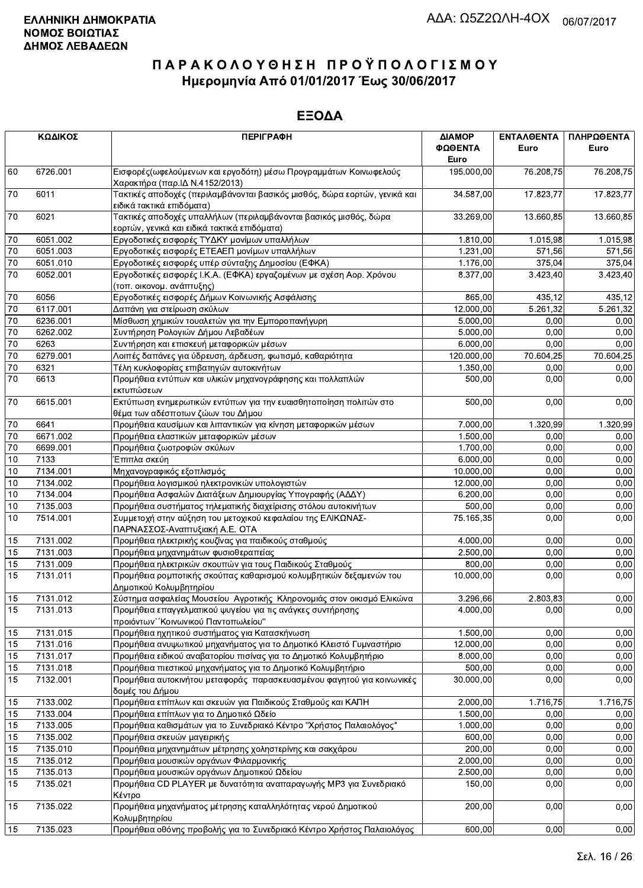| ΚΩΔΙΚΟΣ         |          | <b>ПЕРІГРАФН</b>                                                                                                  | ΔΙΑΜΟΡ     | ΕΝΤΑΛΘΕΝΤΑ | ΠΛΗΡΩΘΕΝΤΑ |
|-----------------|----------|-------------------------------------------------------------------------------------------------------------------|------------|------------|------------|
|                 |          |                                                                                                                   | ΦΩΘΕΝΤΑ    | Euro       | Euro       |
|                 |          |                                                                                                                   | Euro       |            |            |
| 60              | 6726.001 | Εισφορές (ωφελούμενων και εργοδότη) μέσω Προγραμμάτων Κοινωφελούς<br>Χαρακτήρα (παρ.ΙΔ Ν.4152/2013)               | 195.000,00 | 76.208.75  | 76.208,75  |
| 70              | 6011     | Τακτικές αποδοχές (περιλαμβάνονται βασικός μισθός, δώρα εορτών, γενικά και<br>ειδικά τακτικά επιδόματα)           | 34.587,00  | 17.823,77  | 17.823,77  |
| $70\,$          | 6021     | Τακτικές αποδοχές υπαλλήλων (περιλαμβάνονται βασικός μισθός, δώρα<br>εορτών, γενικά και ειδικά τακτικά επιδόματα) | 33.269,00  | 13.660,85  | 13.660,85  |
| $70\,$          | 6051.002 | Εργοδοτικές εισφορές ΤΥΔΚΥ μονίμων υπαλλήλων                                                                      | 1.810,00   | 1.015,98   | 1.015,98   |
| 70              | 6051.003 | Εργοδοτικές εισφορές ΕΤΕΑΕΠ μονίμων υπαλλήλων                                                                     | 1.231,00   | 571,56     | 571,56     |
| 70              | 6051.010 | Εργοδοτικές εισφορές υπέρ σύνταξης Δημοσίου (ΕΦΚΑ)                                                                | 1.176,00   | 375,04     | 375.04     |
| $\overline{70}$ | 6052.001 | Εργοδοτικές εισφορές Ι.Κ.Α. (ΕΦΚΑ) εργαζομένων με σχέση Αορ. Χρόνου<br>(τοπ. οικονομ. ανάπτυξης)                  | 8.377,00   | 3.423,40   | 3.423,40   |
| 70              | 6056     | Εργοδοτικές εισφορές Δήμων Κοινωνικής Ασφάλισης                                                                   | 865,00     | 435,12     | 435,12     |
| 70              | 6117.001 | Δαπάνη για στείρωση σκύλων                                                                                        | 12.000,00  | 5.261,32   | 5.261,32   |
| $70\,$          | 6236.001 | Μίσθωση χημικών τουαλετών για την Εμποροπανήγυρη                                                                  | 5.000,00   | 0,00       | 0,00       |
| $70\,$          | 6262.002 | Συντήρηση Ρολογιών Δήμου Λεβαδέων                                                                                 | 5.000,00   | 0,00       | 0,00       |
| $\overline{70}$ | 6263     | Συντήρηση και επισκευή μεταφορικών μέσων                                                                          | 6.000,00   | 0,00       | 0,00       |
| $\overline{70}$ | 6279.001 | Λοιπές δαπάνες για ύδρευση, άρδευση, φωτισμό, καθαριότητα                                                         | 120.000,00 | 70.604,25  | 70.604,25  |
| $\overline{70}$ | 6321     | Τέλη κυκλοφορίας επιβατηγών αυτοκινήτων                                                                           | 1.350,00   | 0,00       | 0,00       |
| 70              | 6613     | Προμήθεια εντύπων και υλικών μηχανογράφησης και πολλαπλών<br>εκτυπώσεων                                           | 500,00     | 0,00       | 0,00       |
| 70              | 6615.001 | Εκτύπωση ενημερωτικών εντύπων για την ευαισθητοποίηση πολιτών στο<br>θέμα των αδέσποτων ζώων του Δήμου            | 500,00     | 0,00       | 0,00       |
| $70\,$          | 6641     | Προμήθεια καυσίμων και λιπαντικών για κίνηση μεταφορικών μέσων                                                    | 7.000,00   | 1.320,99   | 1.320,99   |
| $70\,$          | 6671.002 | Προμήθεια ελαστικών μεταφορικών μέσων                                                                             | 1.500,00   | 0,00       | 0,00       |
| $70\,$          | 6699.001 | Προμήθεια ζωοτροφών σκύλων                                                                                        | 1.700,00   | 0,00       | 0,00       |
| 10              | 7133     | Έπιπλα σκεύη                                                                                                      | 6.000,00   | 0,00       | 0,00       |
| $10$            | 7134.001 | Μηχανογραφικός εξοπλισμός                                                                                         | 10.000,00  | 0,00       | 0,00       |
| $10$            | 7134.002 | Προμήθεια λογισμικού ηλεκτρονικών υπολογιστών                                                                     | 12.000,00  | 0,00       | 0,00       |
| 10              | 7134.004 | Προμήθεια Ασφαλών Διατάξεων Δημιουργίας Υπογραφής (ΑΔΔΥ)                                                          | 6.200,00   | 0,00       | 0,00       |
| $10$            | 7135.003 | Προμήθεια συστήματος τηλεματικής διαχείρισης στόλου αυτοκινήτων                                                   | 500,00     | 0,00       | 0,00       |
| 10              | 7514.001 | Συμμετοχή στην αύξηση του μετοχικού κεφαλαίου της ΕΛΙΚΩΝΑΣ-<br>ΠΑΡΝΑΣΣΟΣ-Αναπτυξιακή Α.Ε. ΟΤΑ                     | 75.165,35  | 0,00       | 0,00       |
| 15              | 7131.002 | Προμήθεια ηλεκτρικής κουζίνας για παιδικούς σταθμούς                                                              | 4.000,00   | 0,00       | 0,00       |
| 15              | 7131.003 | Προμήθεια μηχανημάτων φυσιοθεραπείας                                                                              | 2.500,00   | 0,00       | 0,00       |
| 15              | 7131.009 | Προμήθεια ηλεκτρικών σκουπών για τους Παιδικούς Σταθμούς                                                          | 800.00     | 0,00       | 0,00       |
| 15              | 7131.011 | Προμήθεια ρομποτικής σκούπας καθαρισμού κολυμβητικών δεξαμενών του<br>Δημοτικού Κολυμβητηρίου                     | 10.000,00  | 0.00       | 0,00       |
| 15              | 7131.012 | Σύστημα ασφαλείας Μουσείου Αγροτικής Κληρονομιάς στον οικισμό Ελικώνα                                             | 3.296,66   | 2.803,83   | 0,00       |
| 15              | 7131.013 | Προμήθεια επαγγελματικού ψυγείου για τις ανάγκες συντήρησης<br>προιόντων "Κοινωνικού Παντοπωλείου"                | 4.000.00   | 0,00       | 0,00       |
| 15              | 7131.015 | Προμήθεια ηχητικού συστήματος για Κατασκήνωση                                                                     | 1.500,00   | 0,00       | 0,00       |
| 15              | 7131.016 | Προμήθεια ανυψωτικού μηχανήματος για το Δημοτικό Κλειστό Γυμναστήριο                                              | 12.000,00  | 0,00       | 0,00       |
| 15              | 7131.017 | Προμήθεια ειδικού αναβατορίου πισίνας για το Δημοτικό Κολυμβητήριο                                                | 8.000,00   | 0,00       | 0,00       |
| 15              | 7131.018 | Προμήθεια πιεστικού μηχανήματος για το Δημοτικό Κολυμβητήριο                                                      | 500,00     | 0,00       | 0,00       |
| 15              | 7132.001 | Προμήθεια αυτοκινήτου μεταφοράς παρασκευασμένου φαγητού για κοινωνικές<br>δομές του Δήμου                         | 30.000,00  | 0.00       | 0,00       |
| 15              | 7133.002 | Προμήθεια επίπλων και σκευών για Παιδικούς Σταθμούς και ΚΑΠΗ                                                      | 2.000,00   | 1.716,75   | 1.716,75   |
| 15              | 7133.004 | Προμήθεια επίπλων για το Δημοτικό Ωδείο                                                                           | 1.500,00   | 0,00       | 0,00       |
| 15              | 7133.005 | Προμήθεια καθισμάτων για το Συνεδριακό Κέντρο "Χρήστος Παλαιολόγος"                                               | 1.000,00   | 0,00       | 0,00       |
| 15              | 7135.002 | Προμήθεια σκευών μαγειρικής                                                                                       | 600,00     | 0,00       | 0,00       |
| 15              | 7135.010 | Προμήθεια μηχανημάτων μέτρησης χοληστερίνης και σακχάρου                                                          | 200,00     | 0,00       | 0,00       |
| 15              | 7135.012 | Προμήθεια μουσικών οργάνων Φιλαρμονικής                                                                           | 2.000,00   | 0,00       | 0,00       |
| 15              | 7135.013 | Προμήθεια μουσικών οργάνων Δημοτικού Ωδείου                                                                       | 2.500,00   | 0,00       | 0,00       |
| 15              | 7135.021 | Προμήθεια CD PLAYER με δυνατότητα αναπαραγωγής MP3 για Συνεδριακό<br>Κέντρο                                       | 150,00     | 0,00       | 0,00       |
| 15              | 7135.022 | Προμήθεια μηχανήματος μέτρησης καταλληλότητας νερού Δημοτικού<br>Κολυμβητηρίου                                    | 200,00     | 0,00       | 0,00       |
| 15              | 7135.023 | Προμήθεια οθόνης προβολής για το Συνεδριακό Κέντρο Χρήστος Παλαιολόγος                                            | 600,00     | 0,00       | 0,00       |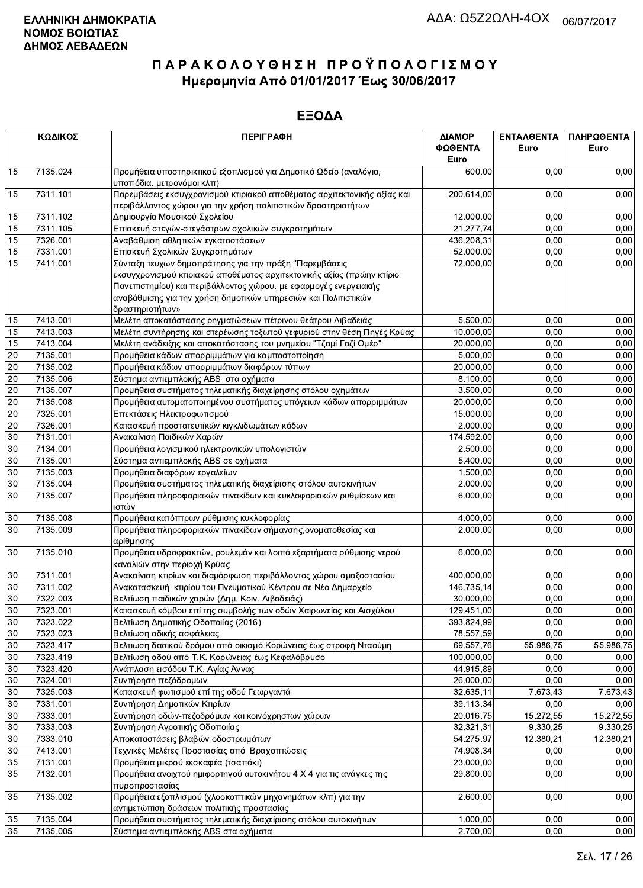| ΚΩΔΙΚΟΣ |                                                                                                                                                       | <b>ПЕРІГРАФН</b>                                                                                                                                                                                                                                                                          | ΔΙΑΜΟΡ<br>ΦΩΘΕΝΤΑ<br>Euro | ΕΝΤΑΛΘΕΝΤΑ<br>Euro | ΠΛΗΡΩΘΕΝΤΑ<br>Euro |
|---------|-------------------------------------------------------------------------------------------------------------------------------------------------------|-------------------------------------------------------------------------------------------------------------------------------------------------------------------------------------------------------------------------------------------------------------------------------------------|---------------------------|--------------------|--------------------|
| 15      | 7135.024                                                                                                                                              | Προμήθεια υποστηρικτικού εξοπλισμού για Δημοτικό Ωδείο (αναλόγια,<br>υποπόδια, μετρονόμοι κλπ)                                                                                                                                                                                            | 600,00                    | 0,00               | 0,00               |
| 15      | 7311.101<br>Παρεμβάσεις εκσυγχρονισμού κτιριακού αποθέματος αρχιτεκτονικής αξίας και<br>περιβάλλοντος χώρου για την χρήση πολιτιστικών δραστηριοτήτων |                                                                                                                                                                                                                                                                                           | 200.614,00                | 0,00               | 0,00               |
| 15      | 7311.102                                                                                                                                              | Δημιουργία Μουσικού Σχολείου                                                                                                                                                                                                                                                              | 12.000,00                 | 0,00               | 0,00               |
| 15      | 7311.105                                                                                                                                              | Επισκευή στεγών-στεγάστρων σχολικών συγκροτημάτων                                                                                                                                                                                                                                         | 21.277,74                 | 0,00               | 0,00               |
| 15      | 7326.001                                                                                                                                              | Αναβάθμιση αθλητικών εγκαταστάσεων                                                                                                                                                                                                                                                        | 436.208,31                | 0,00               | 0,00               |
| 15      | 7331.001                                                                                                                                              | Επισκευή Σχολικών Συγκροτημάτων                                                                                                                                                                                                                                                           | 52.000,00                 | 0,00               | 0,00               |
| 15      | 7411.001                                                                                                                                              | Σύνταξη τευχων δημοπράτησης για την πράξη "Παρεμβάσεις<br>εκσυγχρονισμού κτιριακού αποθέματος αρχιτεκτονικής αξίας (πρώην κτίριο<br>Πανεπιστημίου) και περιβάλλοντος χώρου, με εφαρμογές ενεργειακής<br>αναβάθμισης για την χρήση δημοτικών υπηρεσιών και Πολιτιστικών<br>δραστηριοτήτων» | 72.000,00                 | 0,00               | 0,00               |
| 15      | 7413.001                                                                                                                                              | Μελέτη αποκατάστασης ρηγματώσεων πέτρινου θεάτρου Λιβαδειάς                                                                                                                                                                                                                               | 5.500,00                  | 0,00               | 0,00               |
| 15      | 7413.003                                                                                                                                              | Μελέτη συντήρησης και στερέωσης τοξωτού γεφυριού στην θέση Πηγές Κρύας                                                                                                                                                                                                                    | 10.000,00                 | 0,00               | 0,00               |
| 15      | 7413.004                                                                                                                                              | Μελέτη ανάδειξης και αποκατάστασης του μνημείου "Τζαμί Γαζί Ομέρ"                                                                                                                                                                                                                         | 20.000,00                 | 0,00               | 0,00               |
| 20      | 7135.001                                                                                                                                              | Προμήθεια κάδων απορριμμάτων για κομποστοποίηση                                                                                                                                                                                                                                           | 5.000,00                  | 0,00               | 0,00               |
| 20      | 7135.002                                                                                                                                              | Προμήθεια κάδων απορριμμάτων διαφόρων τύπων                                                                                                                                                                                                                                               | 20.000,00                 | 0,00               | 0,00               |
| 20      | 7135.006                                                                                                                                              | Σύστημα αντιεμπλοκής ABS στα οχήματα                                                                                                                                                                                                                                                      | 8.100,00                  | 0,00               | 0,00               |
| 20      | 7135.007                                                                                                                                              | Προμήθεια συστήματος τηλεματικής διαχείρησης στόλου οχημάτων                                                                                                                                                                                                                              | 3.500,00                  | 0,00               | 0,00               |
| 20      | 7135.008<br>Προμήθεια αυτοματοποιημένου συστήματος υπόγειων κάδων απορριμμάτων                                                                        |                                                                                                                                                                                                                                                                                           | 20.000,00                 | 0,00               | 0,00               |
| 20      | 7325.001<br>Επεκτάσεις Ηλεκτροφωτισμού                                                                                                                |                                                                                                                                                                                                                                                                                           | 15.000,00                 | 0,00               | 0,00               |
| 20      | 7326.001                                                                                                                                              | Κατασκευή προστατευτικών κιγκλιδωμάτων κάδων                                                                                                                                                                                                                                              | 2.000,00                  | 0,00               | 0,00               |
| 30      | 7131.001                                                                                                                                              | Ανακαίνιση Παιδικών Χαρών                                                                                                                                                                                                                                                                 | 174.592,00                | 0,00               | 0,00               |
| 30      | 7134.001                                                                                                                                              | Προμήθεια λογισμικού ηλεκτρονικών υπολογιστών                                                                                                                                                                                                                                             | 2.500,00                  | 0,00               | 0,00               |
| 30      | 7135.001                                                                                                                                              | Σύστημα αντιεμπλοκής ABS σε οχήματα                                                                                                                                                                                                                                                       | 5.400,00                  | 0,00               | 0,00               |
| 30      | 7135.003                                                                                                                                              | Προμήθεια διαφόρων εργαλείων                                                                                                                                                                                                                                                              | 1.500,00                  | 0,00               | 0,00               |
| 30      | 7135.004                                                                                                                                              | Προμήθεια συστήματος τηλεματικής διαχείρισης στόλου αυτοκινήτων                                                                                                                                                                                                                           | 2.000,00                  | 0,00               | 0,00               |
| 30      | 7135.007                                                                                                                                              | Προμήθεια πληροφοριακών πινακίδων και κυκλοφοριακών ρυθμίσεων και<br>ιστών                                                                                                                                                                                                                | 6.000,00                  | 0,00               | 0,00               |
| 30      | 7135.008                                                                                                                                              | Προμήθεια κατόπτρων ρύθμισης κυκλοφορίας                                                                                                                                                                                                                                                  | 4.000,00                  | 0,00               | 0,00               |
| 30      | 7135.009                                                                                                                                              | Προμήθεια πληροφοριακών πινακίδων σήμανσης, ονοματοθεσίας και<br>∣αρίθμησης                                                                                                                                                                                                               | 2.000,00                  | 0,00               | 0,00               |
| 30      | 7135.010                                                                                                                                              | Προμήθεια υδροφρακτών, ρουλεμάν και λοιπά εξαρτήματα ρύθμισης νερού<br>καναλιών στην περιοχή Κρύας                                                                                                                                                                                        | 6.000,00                  | 0,00               | 0,00               |
| 30      | 7311.001                                                                                                                                              | Ανακαίνιση κτιρίων και διαμόρφωση περιβάλλοντος χώρου αμαξοστασίου                                                                                                                                                                                                                        | 400.000,00                | 0,00               | 0,00               |
| 30      | 7311.002                                                                                                                                              | Ανακατασκευή κτιρίου του Πνευματικού Κέντρου σε Νέο Δημαρχείο                                                                                                                                                                                                                             | 146.735,14                | 0,00               | 0,00               |
| 30      | 7322.003                                                                                                                                              | Βελτίωση παιδικών χαρών (Δημ. Κοιν. Λιβαδειάς)                                                                                                                                                                                                                                            | 30.000,00                 | 0,00               | 0,00               |
| 30      | 7323.001                                                                                                                                              | Κατασκευή κόμβου επί της συμβολής των οδών Χαιρωνείας και Αισχύλου                                                                                                                                                                                                                        | 129.451,00                | 0,00               | 0,00               |
| 30      | 7323.022                                                                                                                                              | Βελτίωση Δημοτικής Οδοποιίας (2016)                                                                                                                                                                                                                                                       | 393.824,99                | 0,00               | 0,00               |
| $30\,$  | 7323.023                                                                                                                                              | Βελτίωση οδικής ασφάλειας                                                                                                                                                                                                                                                                 | 78.557,59                 | 0,00               | 0,00               |
| 30      | 7323.417                                                                                                                                              | Βελτιωση δασικού δρόμου από οικισμό Κορώνειας έως στροφή Νταούμη                                                                                                                                                                                                                          | 69.557,76                 | 55.986,75          | 55.986,75          |
| 30      | 7323.419                                                                                                                                              | Βελτίωση οδού από Τ.Κ. Κορώνειας έως Κεφαλόβρυσο                                                                                                                                                                                                                                          | 100.000,00                | 0,00               | 0,00               |
| $30\,$  | 7323.420                                                                                                                                              | Ανάπλαση εισόδου Τ.Κ. Αγίας Άννας                                                                                                                                                                                                                                                         | 44.915,89                 | 0,00               | 0,00               |
| 30      | 7324.001                                                                                                                                              | Συντήρηση πεζόδρομων                                                                                                                                                                                                                                                                      | 26.000,00                 | 0,00               | 0,00               |
| 30      | 7325.003                                                                                                                                              | Κατασκευή φωτισμού επί της οδού Γεωργαντά                                                                                                                                                                                                                                                 | 32.635,11                 | 7.673,43           | 7.673,43           |
| 30      | 7331.001                                                                                                                                              | Συντήρηση Δημοτικών Κτιρίων                                                                                                                                                                                                                                                               | 39.113,34                 | 0,00               | 0,00               |
| 30      | 7333.001                                                                                                                                              | Συντήρηση οδών-πεζοδρόμων και κοινόχρηστων χώρων                                                                                                                                                                                                                                          | 20.016,75                 | 15.272,55          | 15.272,55          |
| 30      | 7333.003                                                                                                                                              | Συντήρηση Αγροτικής Οδοποιίας                                                                                                                                                                                                                                                             | 32.321,31                 | 9.330,25           | 9.330,25           |
| 30      | 7333.010                                                                                                                                              | Αποκαταστάσεις βλαβών οδοστρωμάτων                                                                                                                                                                                                                                                        | 54.275,97                 | 12.380,21          | 12.380,21          |
| 30      | 7413.001                                                                                                                                              | Τεχνικές Μελέτες Προστασίας από Βραχοπτώσεις                                                                                                                                                                                                                                              | 74.908,34                 | 0,00               | 0,00               |
| 35      | 7131.001                                                                                                                                              | Προμήθεια μικρού εκσκαφέα (τσαπάκι)                                                                                                                                                                                                                                                       | 23.000,00                 | 0,00               | 0,00               |
| 35      | 7132.001                                                                                                                                              | Προμήθεια ανοιχτού ημιφορτηγού αυτοκινήτου 4 Χ 4 για τις ανάγκες της<br>πυροπροστασίας                                                                                                                                                                                                    | 29.800,00                 | 0,00               | 0,00               |
| 35      | 7135.002                                                                                                                                              | Προμήθεια εξοπλισμού (χλοοκοπτικών μηχανημάτων κλπ) για την<br>αντιμετώπιση δράσεων πολιτικής προστασίας                                                                                                                                                                                  | 2.600,00                  | 0,00               | 0,00               |
| 35      | 7135.004                                                                                                                                              | Προμήθεια συστήματος τηλεματικής διαχείρισης στόλου αυτοκινήτων                                                                                                                                                                                                                           | 1.000,00                  | 0,00               | 0,00               |
| 35      | 7135.005                                                                                                                                              | Σύστημα αντιεμπλοκής ABS στα οχήματα                                                                                                                                                                                                                                                      | 2.700,00                  | 0,00               | 0,00               |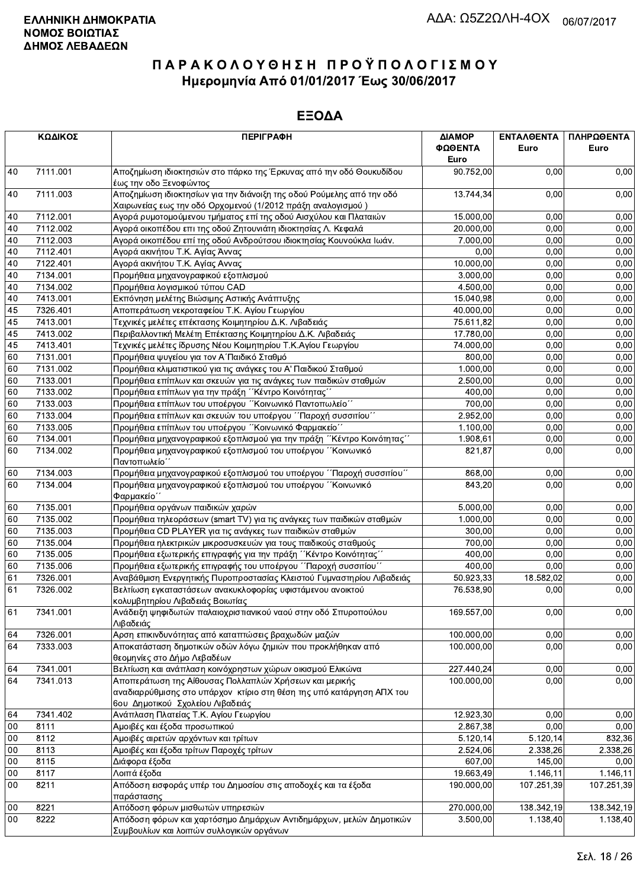| ΚΩΔΙΚΟΣ |                                                                          | <b>ПЕРІГРАФН</b>                                                                                                                     | ΔΙΑΜΟΡ<br>ΦΩΘΕΝΤΑ<br>Euro | ΕΝΤΑΛΘΕΝΤΑ<br>Euro | ΠΛΗΡΩΘΕΝΤΑ<br>Euro |
|---------|--------------------------------------------------------------------------|--------------------------------------------------------------------------------------------------------------------------------------|---------------------------|--------------------|--------------------|
| 40      | 7111.001                                                                 | Αποζημίωση ιδιοκτησιών στο πάρκο της Έρκυνας από την οδό Θουκυδίδου<br>έως την οδο Ξενοφώντος                                        | 90.752,00                 | 0.00               | 0,00               |
| 40      | 7111.003                                                                 | Αποζημίωση ιδιοκτησίων για την διάνοιξη της οδού Ρούμελης από την οδό<br>Χαιρωνείας εως την οδό Ορχομενού (1/2012 πράξη αναλογισμού) | 13.744,34                 | 0,00               | 0,00               |
| 40      | 7112.001                                                                 | Αγορά ρυμοτομούμενου τμήματος επί της οδού Αισχύλου και Πλαταιών                                                                     | 15.000,00                 | 0.00               | 0,00               |
| 40      | 7112.002                                                                 | Αγορά οικοπέδου επι της οδού Ζητουνιάτη ιδιοκτησίας Λ. Κεφαλά                                                                        | 20.000,00                 | 0,00               | 0,00               |
| 40      | 7112.003                                                                 | Αγορά οικοπέδου επί της οδού Ανδρούτσου ιδιοκτησίας Κουνούκλα Ιωάν.                                                                  | 7.000,00                  | 0,00               | 0,00               |
| 40      | 7112.401                                                                 | Αγορά ακινήτου Τ.Κ. Αγίας Άννας                                                                                                      | 0,00                      | 0,00               | 0,00               |
| 40      | 7122.401                                                                 | Αγορά ακινήτου Τ.Κ. Αγίας Αννας                                                                                                      | 10.000,00                 | 0,00               | 0,00               |
| 40      | 7134.001                                                                 | Προμήθεια μηχανογραφικού εξοπλισμού                                                                                                  | 3.000,00                  | 0,00               | 0,00               |
| $40\,$  | 7134.002                                                                 | Προμήθεια λογισμικού τύπου CAD                                                                                                       | 4.500,00                  | 0,00               | 0,00               |
| $40\,$  | 7413.001                                                                 | Εκπόνηση μελέτης Βιώσιμης Αστικής Ανάπτυξης                                                                                          | 15.040,98                 | 0,00               | 0,00               |
| 45      | 7326.401                                                                 | Αποπεράτωση νεκροταφείου Τ.Κ. Αγίου Γεωργίου                                                                                         | 40.000,00                 | 0.00               | 0,00               |
| 45      | 7413.001                                                                 | Τεχνικές μελέτες επέκτασης Κοιμητηρίου Δ.Κ. Λιβαδειάς                                                                                | 75.611,82                 | 0,00               | 0,00               |
| 45      | 7413.002                                                                 | Περιβαλλοντική Μελέτη Επέκτασης Κοιμητηρίου Δ.Κ. Λιβαδειάς                                                                           | 17.780,00                 | 0,00               | 0,00               |
| 45      | 7413.401                                                                 | Τεχνικές μελέτες ίδρυσης Νέου Κοιμητηρίου Τ.Κ.Αγίου Γεωργίου                                                                         | 74.000,00                 | 0,00               | 0,00               |
| 60      | 7131.001                                                                 | Προμήθεια ψυγείου για τον Α΄ Παιδικό Σταθμό                                                                                          | 800,00                    | 0,00               | 0,00               |
| 60      | 7131.002                                                                 | Προμήθεια κλιματιστικού για τις ανάγκες του Α' Παιδικού Σταθμού                                                                      | 1.000,00                  | 0,00               | 0,00               |
| 60      | 7133.001                                                                 | Προμήθεια επίπλων και σκευών για τις ανάγκες των παιδικών σταθμών                                                                    | 2.500,00                  | 0,00               | 0,00               |
| 60      | 7133.002                                                                 | Προμήθεια επίπλων για την πράξη "Κέντρο Κοινότητας"                                                                                  | 400,00                    | 0,00               | 0,00               |
| 60      | 7133.003                                                                 | Προμήθεια επίπλων του υποέργου "Κοινωνικό Παντοπωλείο"                                                                               | 700,00                    | 0,00               | 0,00               |
| 60      | 7133.004<br>Προμήθεια επίπλων και σκευών του υποέργου "Παροχή συσσιτίου" |                                                                                                                                      | 2.952,00                  | 0,00               | 0,00               |
| 60      | Προμήθεια επίπλων του υποέργου "Κοινωνικό Φαρμακείο"<br>7133.005         |                                                                                                                                      | 1.100,00                  | 0,00               | 0,00               |
| 60      | 7134.001                                                                 | Προμήθεια μηχανογραφικού εξοπλισμού για την πράξη "Κέντρο Κοινότητας"                                                                | 1.908,61                  | 0,00               | 0,00               |
| 60      | 7134.002                                                                 | Προμήθεια μηχανογραφικού εξοπλισμού του υποέργου "Κοινωνικό<br>Παντοπωλείο΄                                                          | 821,87                    | 0,00               | 0,00               |
| 60      | 7134.003                                                                 | Προμήθεια μηχανογραφικού εξοπλισμού του υποέργου "Παροχή συσσιτίου"                                                                  | 868,00                    | 0,00               | 0,00               |
| 60      | 7134.004                                                                 | Προμήθεια μηχανογραφικού εξοπλισμού του υποέργου "Κοινωνικό<br>Φαρμακείο΄                                                            | 843,20                    | 0.00               | 0,00               |
| 60      | 7135.001                                                                 | Προμήθεια οργάνων παιδικών χαρών                                                                                                     | 5.000,00                  | 0,00               | 0,00               |
| 60      | 7135.002                                                                 | Προμήθεια τηλεοράσεων (smart TV) για τις ανάγκες των παιδικών σταθμών                                                                | 1.000,00                  | 0,00               | 0,00               |
| 60      | 7135.003                                                                 | Προμήθεια CD PLAYER για τις ανάγκες των παιδικών σταθμών                                                                             | 300,00                    | 0,00               | 0,00               |
| 60      | 7135.004                                                                 | Προμήθεια ηλεκτρικών μικροσυσκευών για τους παιδικούς σταθμούς                                                                       | 700,00                    | 0,00               | 0,00               |
| 60      | 7135.005                                                                 | Προμήθεια εξωτερικής επιγραφής για την πράξη "Κέντρο Κοινότητας"                                                                     | 400,00                    | 0,00               | 0,00               |
| 60      | 7135.006                                                                 | Προμήθεια εξωτερικής επιγραφής του υποέργου ΄΄Παροχή συσσιτίου΄΄                                                                     | 400,00                    | 0,00               | 0,00               |
| 61      | 7326.001                                                                 | Αναβάθμιση Ενεργητικής Πυροπροστασίας Κλειστού Γυμναστηρίου Λιβαδειάς                                                                | 50.923,33                 | 18.582,02          | 0,00               |
| 61      | 7326.002                                                                 | Βελτίωση εγκαταστάσεων ανακυκλοφορίας υφιστάμενου ανοικτού                                                                           | 76.538,90                 | 0,00               | 0,00               |
|         |                                                                          | κολυμβητηρίου Λιβαδειάς Βοιωτίας                                                                                                     |                           |                    |                    |
| 61      | 7341.001                                                                 | Ανάδειξη ψηφιδωτών παλαιοχριστιανικού ναού στην οδό Σπυροπούλου<br>Λιβαδειάς                                                         | 169.557,00                | 0,00               | 0,00               |
| 64      | 7326.001                                                                 | Αρση επικινδυνότητας από καταπτώσεις βραχωδών μαζών                                                                                  | 100.000,00                | 0,00               | 0,00               |
| 64      | 7333.003                                                                 | Αποκατάσταση δημοτικών οδών λόγω ζημιών που προκλήθηκαν από<br>θεομηνίες στο Δήμο Λεβαδέων                                           | 100.000.00                | 0,00               | 0,00               |
| 64      | 7341.001                                                                 | Βελτίωση και ανάπλαση κοινόχρηστων χώρων οικισμού Ελικώνα                                                                            | 227.440,24                | 0,00               | 0,00               |
| 64      | 7341.013                                                                 | Αποπεράτωση της Αίθουσας Πολλαπλών Χρήσεων και μερικής<br>αναδιαρρύθμισης στο υπάρχον κτίριο στη θέση της υπό κατάργηση ΑΠΧ του      | 100.000,00                | 0,00               | 0,00               |
|         |                                                                          | 6ου Δημοτικού Σχολείου Λιβαδειάς                                                                                                     |                           |                    |                    |
| 64      | 7341.402                                                                 | Ανάπλαση Πλατείας Τ.Κ. Αγίου Γεωργίου                                                                                                | 12.923,30                 | 0,00               | 0,00               |
| 00      | 8111                                                                     | Αμοιβές και έξοδα προσωπικού                                                                                                         | 2.867,38                  | 0,00               | 0,00               |
| 00      | 8112                                                                     | Αμοιβές αιρετών αρχόντων και τρίτων                                                                                                  | 5.120, 14                 | 5.120, 14          | 832,36             |
| 00      | 8113                                                                     | Αμοιβές και έξοδα τρίτων Παροχές τρίτων                                                                                              | 2.524,06                  | 2.338,26           | 2.338,26           |
| 00      | 8115                                                                     | Διάφορα έξοδα                                                                                                                        | 607,00                    | 145,00             | 0,00               |
| 00      | 8117                                                                     | Λοιπά έξοδα                                                                                                                          | 19.663,49                 | 1.146,11           | 1.146,11           |
| 00      | 8211                                                                     | Απόδοση εισφοράς υπέρ του Δημοσίου στις αποδοχές και τα έξοδα<br>παράστασης                                                          | 190.000,00                | 107.251,39         | 107.251,39         |
| 00      | 8221                                                                     | Απόδοση φόρων μισθωτών υπηρεσιών                                                                                                     | 270.000,00                | 138.342,19         | 138.342,19         |
| 00      | 8222                                                                     | Απόδοση φόρων και χαρτόσημο Δημάρχων Αντιδημάρχων, μελών Δημοτικών<br>Συμβουλίων και λοιπών συλλονικών οργάνων.                      | 3.500,00                  | 1.138,40           | 1.138,40           |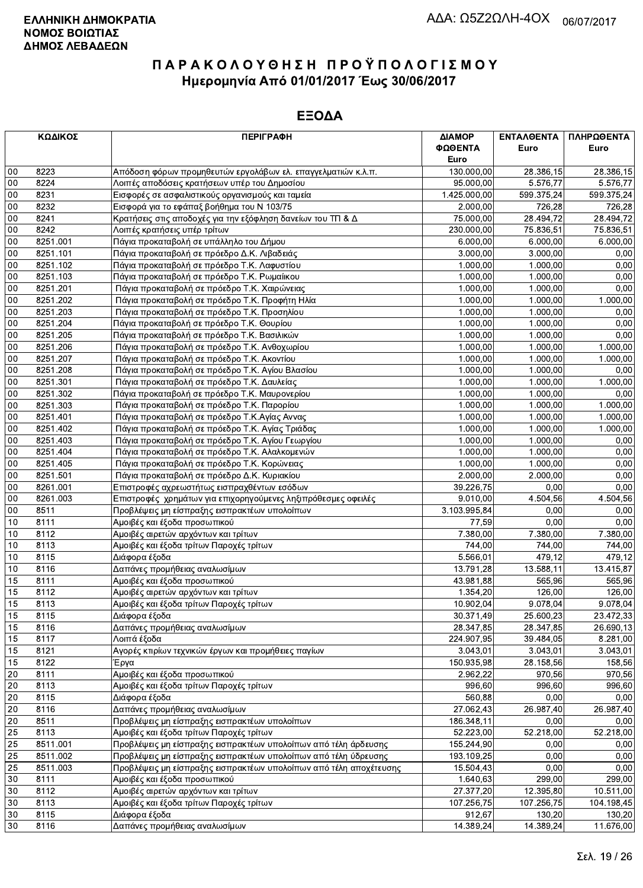|             | ΚΩΔΙΚΟΣ<br><b>ПЕРІГРАФН</b> |                                                                    | ΔΙΑΜΟΡ<br>ΦΩΘΕΝΤΑ<br>Euro | ΕΝΤΑΛΘΕΝΤΑ<br>Euro    | ΠΛΗΡΩΘΕΝΤΑ<br>Euro   |
|-------------|-----------------------------|--------------------------------------------------------------------|---------------------------|-----------------------|----------------------|
| 00          | 8223                        | Απόδοση φόρων προμηθευτών εργολάβων ελ. επαγγελματιών κ.λ.π.       | 130.000,00                | 28.386,15             | 28.386,15            |
| 00          | 8224                        | Λοιπές αποδόσεις κρατήσεων υπέρ του Δημοσίου                       | 95.000,00                 | $\overline{5.576,77}$ | 5.576,77             |
| 00          | 8231                        | Εισφορές σε ασφαλιστικούς οργανισμούς και ταμεία                   | 1.425.000,00              | 599.375,24            | 599.375,24           |
| 00          | 8232                        | Εισφορά για το εφάπαξ βοήθημα του Ν 103/75                         | 2.000,00                  | 726,28                | 726,28               |
| 00          | 8241                        | Κρατήσεις στις αποδοχές για την εξόφληση δανείων του ΤΠ & Δ        | 75.000,00                 | 28.494,72             | 28.494,72            |
| 00          | 8242                        | Λοιπές κρατήσεις υπέρ τρίτων                                       | 230.000,00                | 75.836,51             | 75.836,51            |
| 00          | 8251.001                    | Πάγια προκαταβολή σε υπάλληλο του Δήμου                            | 6.000,00                  | 6.000,00              | 6.000,00             |
| 00          | 8251.101                    | Πάγια προκαταβολή σε πρόεδρο Δ.Κ. Λιβαδειάς                        | 3.000,00                  | 3.000,00              | 0,00                 |
| 00          | 8251.102                    | Πάγια προκαταβολή σε πρόεδρο Τ.Κ. Λαφυστίου                        | 1.000,00                  | 1.000,00              | 0,00                 |
| 00          | 8251.103                    | Πάγια προκαταβολή σε πρόεδρο Τ.Κ. Ρωμαίικου                        | 1.000,00                  | 1.000,00              | 0,00                 |
| 00          | 8251.201                    | Πάγια προκαταβολή σε πρόεδρο Τ.Κ. Χαιρώνειας                       | 1.000,00                  | 1.000,00              | 0,00                 |
| 00          | 8251.202                    | Πάγια προκαταβολή σε πρόεδρο Τ.Κ. Προφήτη Ηλία                     | 1.000,00                  | 1.000,00              | 1.000,00             |
| 00          | 8251.203                    | Πάγια προκαταβολή σε πρόεδρο Τ.Κ. Προσηλίου                        | 1.000,00                  | 1.000,00              | 0,00                 |
| 00          | 8251.204                    | Πάγια προκαταβολή σε πρόεδρο Τ.Κ. Θουρίου                          | 1.000,00                  | 1.000,00              | 0,00                 |
| 00          | 8251.205                    | Πάγια προκαταβολή σε πρόεδρο Τ.Κ. Βασιλικών                        | 1.000,00                  | 1.000,00              | 0,00                 |
| 00          | 8251.206                    | Πάγια προκαταβολή σε πρόεδρο Τ.Κ. Ανθοχωρίου                       | 1.000,00                  | 1.000,00              | 1.000,00             |
| 00          | 8251.207                    | Πάγια προκαταβολή σε πρόεδρο Τ.Κ. Ακοντίου                         | 1.000,00                  | 1.000,00              | 1.000,00             |
| 00          | 8251.208                    | Πάγια προκαταβολή σε πρόεδρο Τ.Κ. Αγίου Βλασίου                    | 1.000,00                  | 1.000,00              | 0,00                 |
| 00          | 8251.301                    | Πάγια προκαταβολή σε πρόεδρο Τ.Κ. Δαυλείας                         | 1.000,00                  | 1.000,00              | 1.000,00             |
| 00          | 8251.302                    | Πάγια προκαταβολή σε πρόεδρο Τ.Κ. Μαυρονερίου                      | 1.000,00                  | 1.000,00              | 0,00                 |
| 00          | 8251.303                    | Πάγια προκαταβολή σε πρόεδρο Τ.Κ. Παρορίου                         | 1.000,00                  | 1.000,00              | 1.000,00             |
| 00          | 8251.401                    | Πάγια προκαταβολή σε πρόεδρο Τ.Κ.Αγίας Αννας                       | 1.000,00                  | 1.000,00              | 1.000,00             |
| 00          | 8251.402                    | Πάγια προκαταβολή σε πρόεδρο Τ.Κ. Αγίας Τριάδας                    | 1.000,00                  | 1.000,00              | 1.000,00             |
| 00          | 8251.403                    | Πάγια προκαταβολή σε πρόεδρο Τ.Κ. Αγίου Γεωργίου                   | 1.000,00                  | 1.000,00              | 0,00                 |
| 00          | 8251.404                    | Πάγια προκαταβολή σε πρόεδρο Τ.Κ. Αλαλκομενών                      | 1.000,00                  | 1.000,00              | 0,00                 |
| 00          | 8251.405                    | Πάγια προκαταβολή σε πρόεδρο Τ.Κ. Κορώνειας                        | 1.000,00                  | 1.000,00              | 0,00                 |
| 00          | 8251.501                    | Πάγια προκαταβολή σε πρόεδρο Δ.Κ. Κυριακίου                        | 2.000,00                  | 2.000,00              | 0,00                 |
| 00          | 8261.001                    | Επιστροφές αχρεωστήτως εισπραχθέντων εσόδων                        | 39.226,75                 | 0,00                  | 0,00                 |
| 00          | 8261.003                    | Επιστροφές χρημάτων για επιχορηγούμενες ληξιπρόθεσμες οφειλές      | 9.010,00                  | 4.504,56              | 4.504,56             |
| 00          | 8511                        | Προβλέψεις μη είσπραξης εισπρακτέων υπολοίπων                      | 3.103.995,84              | 0,00                  | 0,00                 |
| 10          | 8111                        | Αμοιβές και έξοδα προσωπικού                                       | 77,59                     | 0,00                  | 0,00                 |
| 10          | 8112                        | Αμοιβές αιρετών αρχόντων και τρίτων                                | 7.380,00                  | 7.380,00              | 7.380,00             |
| 10          | 8113                        | Αμοιβές και έξοδα τρίτων Παροχές τρίτων                            | 744,00                    | 744,00                | 744,00               |
| 10          | 8115                        | Διάφορα έξοδα                                                      | 5.566,01                  | 479,12                | 479,12               |
| 10          | 8116                        | Δαπάνες προμήθειας αναλωσίμων                                      | 13.791,28                 | 13.588,11             | 13.415,87            |
| 15          | 8111                        | Αμοιβές και έξοδα προσωπικού                                       | 43.981,88                 | 565.96                | 565,96               |
| 15          | 8112                        | Αμοιβές αιρετών αρχόντων και τρίτων                                | 1.354,20                  | 126,00                | 126,00               |
| 15          | 8113                        | Αμοιβές και έξοδα τρίτων Παροχές τρίτων                            | 10.902,04                 | 9.078,04              | 9.078,04             |
| $\sqrt{15}$ | 8115                        | Διάφορα έξοδα                                                      | 30.371,49                 | 25.600,23             | 23.472,33            |
| 15          | 8116                        | Δαπάνες προμήθειας αναλωσίμων                                      | 28.347,85                 | 28.347,85             | 26.690,13            |
| 15          | 8117                        | Λοιπά έξοδα<br>Αγορές κτιρίων τεχνικών έργων και προμήθειες παγίων | 224.907,95                | 39.484,05             | 8.281,00<br>3.043,01 |
| 15          | 8121                        |                                                                    | 3.043,01                  | 3.043,01              |                      |
| 15<br>20    | 8122<br>8111                | Έργα<br>Αμοιβές και έξοδα προσωπικού                               | 150.935,98                | 28.158,56             | 158,56               |
| 20          | 8113                        | Αμοιβές και έξοδα τρίτων Παροχές τρίτων                            | 2.962,22<br>996,60        | 970,56<br>996,60      | 970,56<br>996,60     |
| 20          | 8115                        | Διάφορα έξοδα                                                      | 560,88                    | 0,00                  | 0,00                 |
| 20          | 8116                        | Δαπάνες προμήθειας αναλωσίμων                                      | 27.062,43                 | 26.987,40             | 26.987,40            |
| 20          | 8511                        | Προβλέψεις μη είσπραξης εισπρακτέων υπολοίπων                      | 186.348,11                | 0,00                  | 0,00                 |
| 25          | 8113                        | Αμοιβές και έξοδα τρίτων Παροχές τρίτων                            | 52.223,00                 | 52.218,00             | 52.218,00            |
| 25          | 8511.001                    | Προβλέψεις μη είσπραξης εισπρακτέων υπολοίπων από τέλη άρδευσης    | 155.244,90                | 0,00                  | 0,00                 |
| 25          | 8511.002                    | Προβλέψεις μη είσπραξης εισπρακτέων υπολοίπων από τέλη ύδρευσης    | 193.109,25                | 0,00                  | 0,00                 |
| 25          | 8511.003                    | Προβλέψεις μη είσπραξης εισπρακτέων υπολοίπων από τέλη αποχέτευσης | 15.504,43                 | 0,00                  | 0,00                 |
| 30          | 8111                        | Αμοιβές και έξοδα προσωπικού                                       | 1.640,63                  | 299,00                | 299,00               |
| 30          | 8112                        | Αμοιβές αιρετών αρχόντων και τρίτων                                | 27.377,20                 | 12.395,80             | 10.511,00            |
| 30          | 8113                        | Αμοιβές και έξοδα τρίτων Παροχές τρίτων                            | 107.256,75                | 107.256,75            | 104.198,45           |
| 30          | 8115                        | Διάφορα έξοδα                                                      | 912,67                    | 130,20                | 130,20               |
| 30          | 8116                        | Δαπάνες προμήθειας αναλωσίμων                                      | 14.389,24                 | 14.389,24             | 11.676,00            |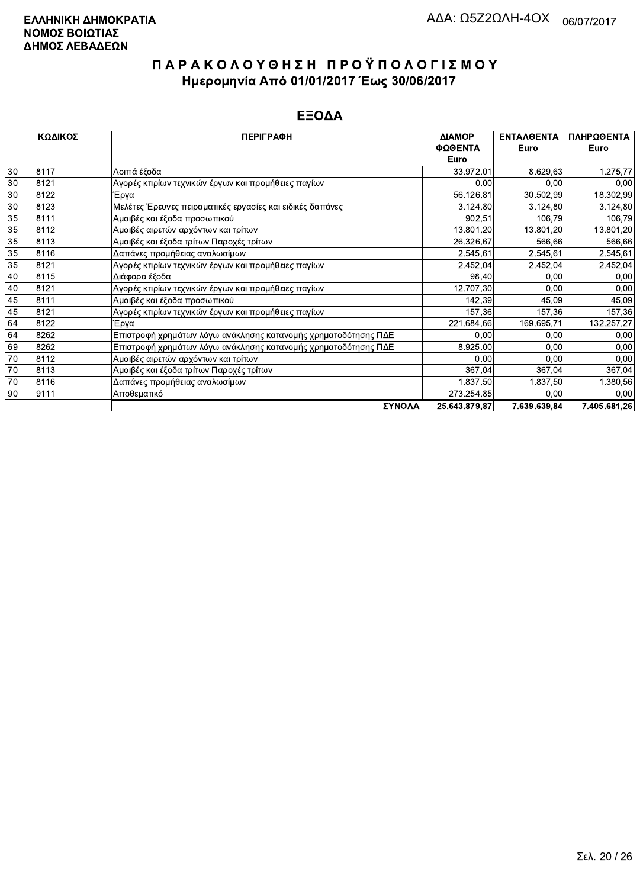| ΚΩΔΙΚΟΣ |      | <b>ПЕРІГРАФН</b>                                               | ΔΙΑΜΟΡ        | <b>ENTAAOENTA</b> | ΠΛΗΡΩΘΕΝΤΑ   |
|---------|------|----------------------------------------------------------------|---------------|-------------------|--------------|
|         |      |                                                                | ΦΩΘΕΝΤΑ       | Euro              | Euro         |
|         |      |                                                                | Euro          |                   |              |
| 30      | 8117 | Λοιπά έξοδα                                                    | 33.972,01     | 8.629,63          | 1.275,77     |
| 30      | 8121 | Αγορές κτιρίων τεχνικών έργων και προμήθειες παγίων            | 0,00          | 0,00              | 0,00         |
| 30      | 8122 | ίΈργα                                                          | 56.126,81     | 30.502,99         | 18.302,99    |
| 30      | 8123 | Μελέτες Έρευνες πειραματικές εργασίες και ειδικές δαπάνες      | 3.124,80      | 3.124,80          | 3.124,80     |
| 35      | 8111 | Αμοιβές και έξοδα προσωπικού                                   | 902,51        | 106,79            | 106,79       |
| 35      | 8112 | Αμοιβές αιρετών αρχόντων και τρίτων                            | 13.801,20     | 13.801,20         | 13.801,20    |
| 35      | 8113 | Αμοιβές και έξοδα τρίτων Παροχές τρίτων                        | 26.326,67     | 566,66            | 566,66       |
| 35      | 8116 | Δαπάνες προμήθειας αναλωσίμων                                  | 2.545,61      | 2.545,61          | 2.545,61     |
| 35      | 8121 | Αγορές κτιρίων τεχνικών έργων και προμήθειες παγίων            | 2.452,04      | 2.452,04          | 2.452,04     |
| 40      | 8115 | Διάφορα έξοδα                                                  | 98,40         | 0,00              | 0,00         |
| 40      | 8121 | Αγορές κτιρίων τεχνικών έργων και προμήθειες παγίων            | 12.707,30     | 0,00              | 0,00         |
| 45      | 8111 | Αμοιβές και έξοδα προσωπικού                                   | 142,39        | 45,09             | 45,09        |
| 45      | 8121 | Αγορές κτιρίων τεχνικών έργων και προμήθειες παγίων            | 157,36        | 157,36            | 157,36       |
| 64      | 8122 | Έργα                                                           | 221.684,66    | 169.695,71        | 132.257,27   |
| 64      | 8262 | Επιστροφή χρημάτων λόγω ανάκλησης κατανομής χρηματοδότησης ΠΔΕ | 0,00          | 0,00              | 0,00         |
| 69      | 8262 | Επιστροφή χρημάτων λόγω ανάκλησης κατανομής χρηματοδότησης ΠΔΕ | 8.925,00      | 0,00              | 0,00         |
| 70      | 8112 | Αμοιβές αιρετών αρχόντων και τρίτων                            | 0,00          | 0,00              | 0,00         |
| 70      | 8113 | Αμοιβές και έξοδα τρίτων Παροχές τρίτων                        | 367,04        | 367,04            | 367,04       |
| 70      | 8116 | Δαπάνες προμήθειας αναλωσίμων                                  | 1.837,50      | 1.837,50          | 1.380,56     |
| 90      | 9111 | Αποθεματικό                                                    | 273.254,85    | 0,00              | 0,00         |
|         |      | <b><i>SYNOAA</i></b>                                           | 25 643 879 87 | 7 639 639 84      | 7 405 681 26 |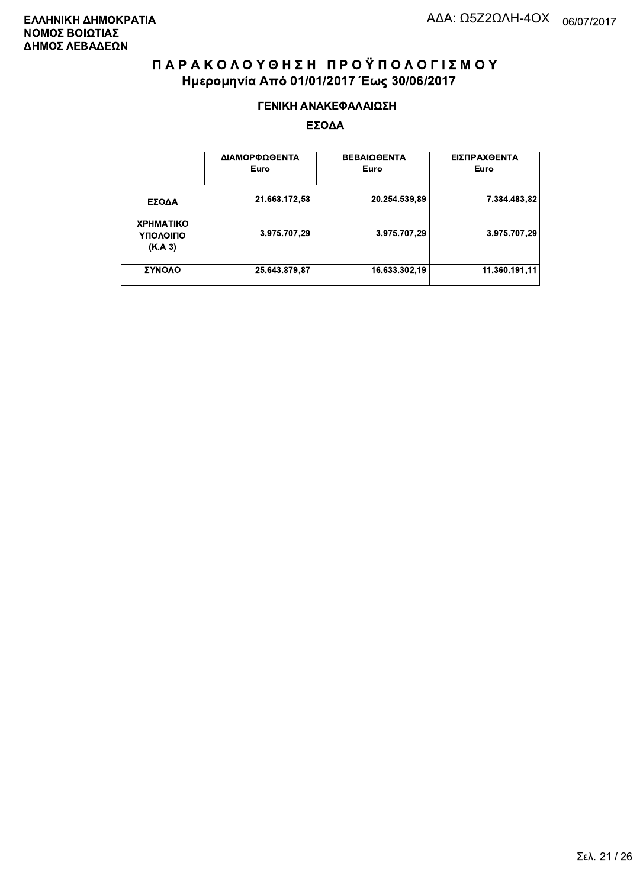#### ΓΕΝΙΚΗ ΑΝΑΚΕΦΑΛΑΙΩΣΗ

|                                         | ΔΙΑΜΟΡΦΩΘΕΝΤΑ<br>Euro | <b>ΒΕΒΑΙΩΘΕΝΤΑ</b><br>Euro | ΕΙΣΠΡΑΧΘΕΝΤΑ<br>Euro |
|-----------------------------------------|-----------------------|----------------------------|----------------------|
| ΕΣΟΔΑ                                   | 21.668.172,58         | 20.254.539,89              | 7.384.483,82         |
| <b>XPHMATIKO</b><br>ΥΠΟΛΟΙΠΟ<br>(K.A.3) | 3.975.707,29          | 3.975.707,29               | 3.975.707,29         |
| ΣΥΝΟΛΟ                                  | 25.643.879,87         | 16.633.302,19              | 11.360.191.11        |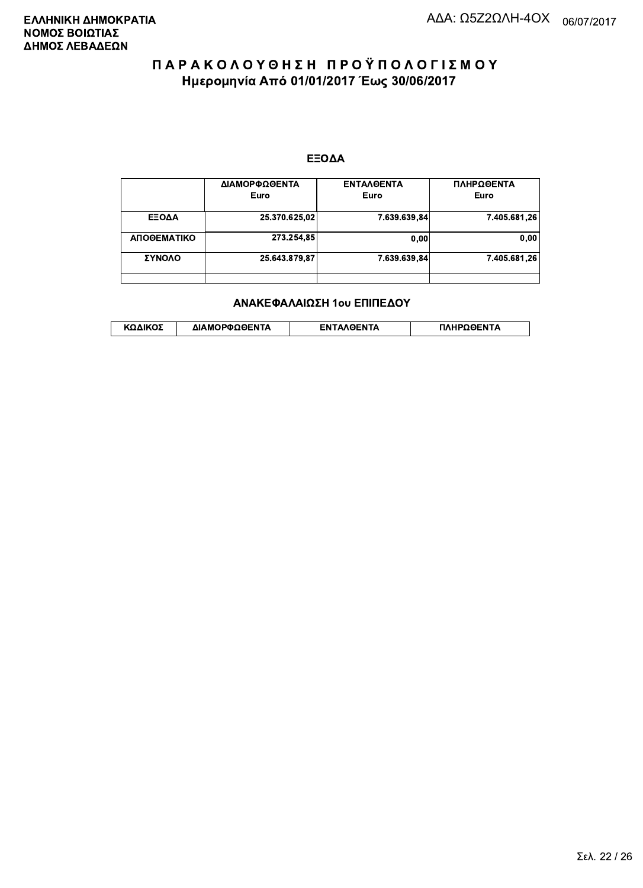#### ΕΞΟΔΑ

|             | ΔΙΑΜΟΡΦΩΘΕΝΤΑ<br>Euro | <b>ENTAAGENTA</b><br>Euro | ΠΛΗΡΩΘΕΝΤΑ<br>Euro |
|-------------|-----------------------|---------------------------|--------------------|
| ΕΞΟΔΑ       | 25.370.625,02         | 7.639.639,84              | 7.405.681,26       |
| ΑΠΟΘΕΜΑΤΙΚΟ | 273.254.85            | 0.00                      | 0.00               |
| ΣΥΝΟΛΟ      | 25.643.879.87         | 7.639.639.84              | 7.405.681,26       |
|             |                       |                           |                    |

#### ΑΝΑΚΕΦΑΛΑΙΩΣΗ 1ου ΕΠΙΠΕΔΟΥ

|  | λΔΙΚΟΣ | ΔΙΑΜΟΡΦΩΘΕΝΤΑ | <b>OENTA</b><br>FΝ | ΠΛΗΡΩΘΕΝΤΑ |
|--|--------|---------------|--------------------|------------|
|--|--------|---------------|--------------------|------------|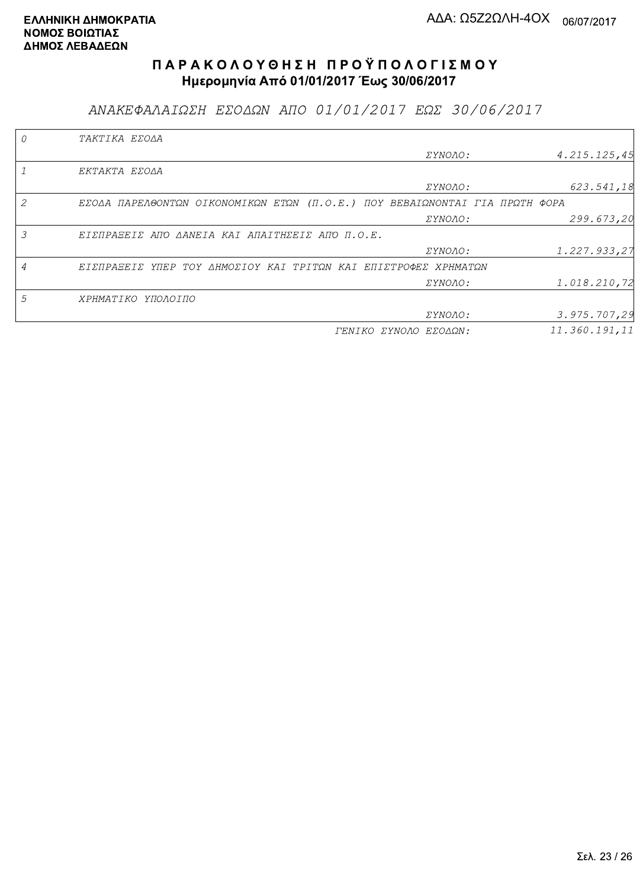ΑΝΑΚΕΦΑΛΑΙΩΣΗ ΕΣΟΔΩΝ ΑΠΟ 01/01/2017 ΕΩΣ 30/06/2017

| TAKTIKA EZOAA                                                               |                       |               |
|-----------------------------------------------------------------------------|-----------------------|---------------|
|                                                                             | <i>EYNOAO:</i>        | 4.215.125,45  |
| EKTAKTA EZOAA                                                               |                       |               |
|                                                                             | ΣΥΝΟΛΟ:               | 623.541,18    |
| EZOAA ΠΑΡΕΛΘΟΝΤΩΝ ΟΙΚΟΝΟΜΙΚΩΝ ΕΤΩΝ (Π.Ο.Ε.) ΠΟΥ ΒΕΒΑΙΩΝΟΝΤΑΙ ΓΙΑ ΠΡΩΤΗ ΦΟΡΑ |                       |               |
|                                                                             | <i>EYNOAO:</i>        | 299.673,20    |
| EIZNPAEEIZ ANO AANEIA KAI ANAITHZEIZ ANO N.O.E.                             |                       |               |
|                                                                             | ΣΥΝΟΛΟ:               | 1.227.933,27  |
| ΕΙΣΠΡΑΞΕΙΣ ΥΠΕΡ ΤΟΥ ΔΗΜΟΣΙΟΥ ΚΑΙ ΤΡΙΤΩΝ ΚΑΙ ΕΠΙΣΤΡΟΦΕΣ ΧΡΗΜΑΤΩΝ             |                       |               |
|                                                                             | ΣΥΝΟΛΟ:               | 1.018.210,72  |
| ΧΡΗΜΑΤΙΚΟ ΥΠΟΛΟΙΠΟ                                                          |                       |               |
|                                                                             | ΣΥΝΟΛΟ:               | 3.975.707,29  |
|                                                                             | ΓΕΝΙΚΟ ΣΥΝΟΛΟ ΕΣΟΔΩΝ: | 11.360.191,11 |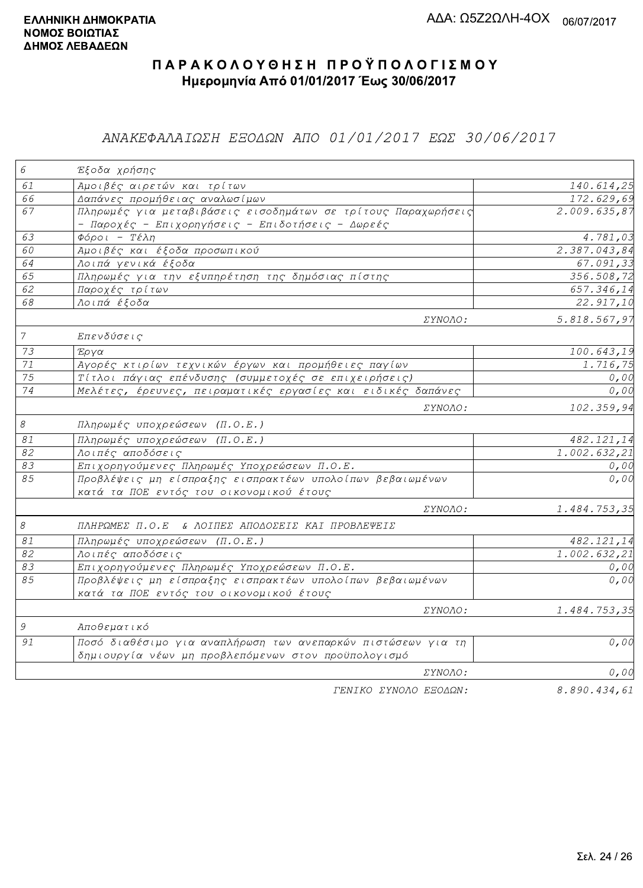### ΑΝΑΚΕΦΑΛΑΙΩΣΗ ΕΞΟΔΩΝ ΑΠΟ 01/01/2017 ΕΩΣ 30/06/2017

| $\epsilon$      | Έξοδα χρήσης                                                  |                           |
|-----------------|---------------------------------------------------------------|---------------------------|
| 61              | Αμοιβές αιρετών και τρίτων                                    | 140.614,25                |
| 66              | Δαπάνες προμήθειας αναλωσίμων                                 | 172.629,69                |
| 67              | Πληρωμές για μεταβιβάσεις εισοδημάτων σε τρίτους Παραχωρήσεις | 2.009.635,87              |
|                 | - Παροχές - Επιχορηγήσεις - Επιδοτήσεις - Δωρεές              |                           |
| 63              | $Φ$ όροι - Τέλη                                               | 4.781,03                  |
| 60              | Αμοιβές και έξοδα προσωπικού                                  | 2.387.043,84              |
| 64              | Λοιπά γενικά έξοδα                                            | 67.091,33                 |
| 65              | Πληρωμές για την εξυπηρέτηση της δημόσιας πίστης              | 356.508,72                |
| 62              | Παροχές τρίτων                                                | 657.346,14                |
| 68              | Λοιπά έξοδα                                                   | 22.917,10                 |
|                 | <i>EYNOAO:</i>                                                | 5.818.567,97              |
| $\overline{7}$  | Επενδύσεις                                                    |                           |
| 73              | Έργα                                                          | 100.643,19                |
| $71\,$          | Αγορές κτιρίων τεχνικών έργων και προμήθειες παγίων           | 1.716,75                  |
| $\overline{75}$ | Τίτλοι πάγιας επένδυσης (συμμετοχές σε επιχειρήσεις)          | 0,00                      |
| 74              | Μελέτες, έρευνες, πειραματικές εργασίες και ειδικές δαπάνες   | 0, 00                     |
|                 | $\Sigma YNOAO$ :                                              | 102.359,94                |
| $\mathcal S$    | Πληρωμές υποχρεώσεων (Π.Ο.Ε.)                                 |                           |
| $\mathcal{S}1$  | Πληρωμές υποχρεώσεων (Π.Ο.Ε.)                                 | 482.121,14                |
| 82              | Λοιπές αποδόσεις                                              | $\overline{1.002.632,21}$ |
| 83              | Επιχορηγούμενες Πληρωμές Υποχρεώσεων Π.Ο.Ε.                   | 0,00                      |
| 85              | Προβλέψεις μη είσπραξης εισπρακτέων υπολοίπων βεβαιωμένων     | 0,00                      |
|                 | κατά τα ΠΟΕ εντός του οικονομικού έτους                       |                           |
|                 | ΣΥΝΟΛΟ:                                                       | 1.484.753,35              |
| $\mathcal S$    | ΠΛΗΡΩΜΕΣ Π.Ο.Ε & ΛΟΙΠΕΣ ΑΠΟΔΟΣΕΙΣ ΚΑΙ ΠΡΟΒΛΕΨΕΙΣ              |                           |
| $\mathcal{S}1$  | Πληρωμές υποχρεώσεων (Π.Ο.Ε.)                                 | 482.121,14                |
| 82              | Λοιπές αποδόσεις                                              | 1.002.632, 21             |
| 83              | Επιχορηγούμενες Πληρωμές Υποχρεώσεων Π.Ο.Ε.                   | 0,00                      |
| $\overline{85}$ | Προβλέψεις μη είσπραξης εισπρακτέων υπολοίπων βεβαιωμένων     | 0,00                      |
|                 | κατά τα ΠΟΕ εντός του οικονομικού έτους                       |                           |
|                 | ΣΥΝΟΛΟ:                                                       | 1.484.753,35              |
| $\mathcal G$    | Αποθεματικό                                                   |                           |
| 91              | Ποσό διαθέσιμο για αναπλήρωση των ανεπαρκών πιστώσεων για τη  | 0,00                      |
|                 | δημιουργία νέων μη προβλεπόμενων στον προϋπολογισμό           |                           |
|                 | ΣΥΝΟΛΟ:                                                       | 0,00                      |
|                 | FENIKO XYNOAO EFOAQN:                                         | 8.890.434.61              |